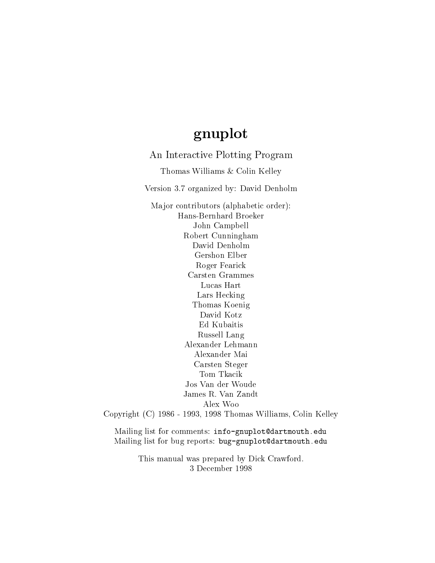# gnuplot

An Interactive Plotting Program

Thomas Williams & Colin Kelley

Version 3.7 organized by: David Denholm

Ma jor contributors (alphabetic order): Hans-Bernhard Broeker John Campbell Robert Cunningham David Denholm Gershon Elber Roger Fearick Carsten Grammes Lucas Hart Lars Hecking Thomas Koenig David Kotz Ed Kubaitis Russell Lang Alexander Lehmann Alexander Mai Carsten Steger Tom Tkacik Jos Van der Woude James R. Van Zandt Alex Woo Copyright (C) 1986 - 1993, 1998 Thomas Williams, Colin Kelley

Mailing list for comments: info-gnuplot@dartmouth.edu Mailing list for bug reports: bug-gnuplot@dartmouth.edu

This manual was prepared by Dick Crawford. 3 December 1998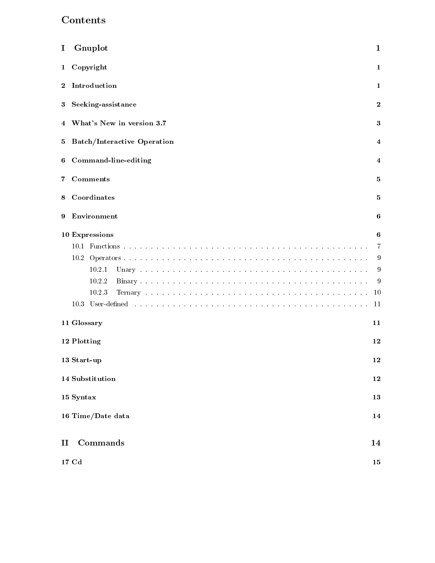# **Contents**

| I                | Gnuplot                                                      | 1                                 |
|------------------|--------------------------------------------------------------|-----------------------------------|
| $\mathbf{1}$     | Copyright                                                    | 1                                 |
| $\boldsymbol{2}$ | Introduction                                                 | 1                                 |
| $\bf{3}$         | Seeking-assistance                                           | $\boldsymbol{2}$                  |
| 4                | What's New in version 3.7                                    | 3                                 |
| 5                | <b>Batch/Interactive Operation</b>                           | 4                                 |
| 6                | Command-line-editing                                         | 4                                 |
| 7                | Comments                                                     | 5                                 |
| 8                | Coordinates                                                  | 5                                 |
| 9                | Environment                                                  | 6                                 |
|                  | 10 Expressions<br>10.1<br>10.2<br>10.2.1<br>10.2.2<br>10.2.3 | 6<br>7<br>9<br>9<br>9<br>10<br>11 |
|                  | 11 Glossary                                                  | 11                                |
|                  | 12 Plotting                                                  | 12                                |
|                  | 13 Start-up                                                  | 12                                |
|                  | 14 Substitution                                              | 12                                |
|                  | 15 Syntax                                                    | 13                                |
|                  | 16 Time/Date data                                            | 14                                |
| $\rm II$         | Commands                                                     | 14                                |
|                  | $17\mbox{~Cd}$                                               | 15                                |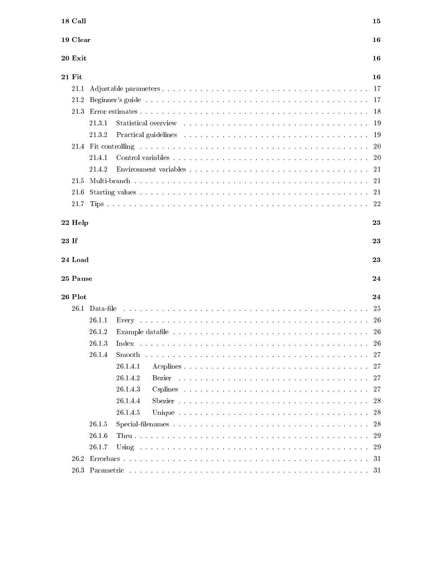| 19 Clear<br>20 Exit<br>21 Fit<br>21.1<br>21.2                                                                                                                                                                                              | 16<br>16<br>16 |
|--------------------------------------------------------------------------------------------------------------------------------------------------------------------------------------------------------------------------------------------|----------------|
|                                                                                                                                                                                                                                            |                |
|                                                                                                                                                                                                                                            |                |
|                                                                                                                                                                                                                                            |                |
|                                                                                                                                                                                                                                            | $-17$          |
|                                                                                                                                                                                                                                            | -17            |
|                                                                                                                                                                                                                                            | -18            |
| Statistical overview resources in the contract of the statistic contract of the statistic statistic statistic statistic statistic statistic statistic statistic statistic statistic statistic statistic statistic statistic st<br>21.3.1   | -19            |
| Practical guidelines and a subsequently and a subsequently and subsequently and subsequently and subsequently a subsequently and subsequently a subsequently and subsequently and subsequently and subsequently and subsequent<br>21.3.2   | -19            |
| 21.4 Fit controlling entry experience in the contract of the contract of the controlling entry and the controlling of the controlling of the controlling of the controlling of the controlling of the controlling of the contr             | 20             |
| 21.4.1                                                                                                                                                                                                                                     | 20             |
| 21.4.2                                                                                                                                                                                                                                     | 21             |
| 21.5                                                                                                                                                                                                                                       | 21             |
| 21.6                                                                                                                                                                                                                                       | -21            |
|                                                                                                                                                                                                                                            | -22            |
| 22 Help                                                                                                                                                                                                                                    | 23             |
| 23 If                                                                                                                                                                                                                                      | 23             |
|                                                                                                                                                                                                                                            |                |
| 24 Load                                                                                                                                                                                                                                    | 23             |
| 25 Pause                                                                                                                                                                                                                                   | 24             |
| 26 Plot                                                                                                                                                                                                                                    | 24             |
| 26.1 Data-file                                                                                                                                                                                                                             | -25            |
| 26.1.1                                                                                                                                                                                                                                     | 26             |
| Example datafile the contract of the contract of the contract of the contract of the contract of the contract of the contract of the contract of the contract of the contract of the contract of the contract of the contract<br>26.1.2    | 26             |
| 26.1.3<br>Index<br>and the company of the company of the company of the company of the company of the company of the company of the                                                                                                        | 26             |
| 26.1.4<br>Smooth<br>a constitutiva de la caractería de la caractería de la caractería de la caractería de la caractería de la cara                                                                                                         | 27             |
| 26.1.4.1                                                                                                                                                                                                                                   | 27             |
| 26.1.4.2<br>Bezier received a received a series and construction of the construction of the construction of the construction of the construction of the construction of the construction of the construction of the construction of the co | 27             |
| 26.1.4.3                                                                                                                                                                                                                                   | 27             |
| 26.1.4.4                                                                                                                                                                                                                                   | 28             |
| 26.1.4.5<br>Unique des conservations and conservation and conservation of the United States of the United States and Conservation of the United States of the United States and Conservation of the United States of the United States of  | 28             |
|                                                                                                                                                                                                                                            | 28             |
| 26.1.5                                                                                                                                                                                                                                     |                |
| 26.1.6                                                                                                                                                                                                                                     | 29             |
| 26.1.7<br>Using the community of the community of the community of the community of the community of the community of the community of the community of the community of the community of the community of the community of the communit   | 29             |
| 26.2                                                                                                                                                                                                                                       | 31             |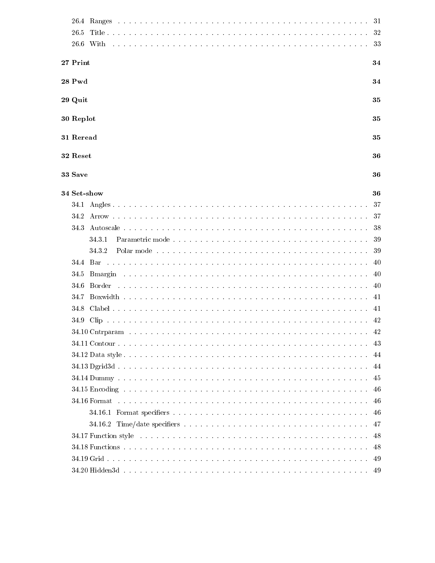| 26.5        |                                                                                                                                                                                                                                | 31<br>32 |
|-------------|--------------------------------------------------------------------------------------------------------------------------------------------------------------------------------------------------------------------------------|----------|
|             | $26.6$ With                                                                                                                                                                                                                    | 33       |
|             |                                                                                                                                                                                                                                |          |
| 27 Print    |                                                                                                                                                                                                                                | 34       |
| 28 Pwd      |                                                                                                                                                                                                                                | 34       |
| 29 Quit     |                                                                                                                                                                                                                                | 35       |
| 30 Replot   |                                                                                                                                                                                                                                | 35       |
| 31 Reread   |                                                                                                                                                                                                                                | 35       |
|             |                                                                                                                                                                                                                                |          |
| 32 Reset    |                                                                                                                                                                                                                                | 36       |
| 33 Save     |                                                                                                                                                                                                                                | 36       |
| 34 Set-show |                                                                                                                                                                                                                                | 36       |
| 34.1        |                                                                                                                                                                                                                                | 37       |
| 34.2        |                                                                                                                                                                                                                                | 37       |
| 34.3        |                                                                                                                                                                                                                                | 38       |
|             | 34 3.1                                                                                                                                                                                                                         | 39       |
|             | 34 3 2                                                                                                                                                                                                                         | 39       |
| 34.4        |                                                                                                                                                                                                                                | 40       |
| 34.5        |                                                                                                                                                                                                                                | 40       |
| 34.6        |                                                                                                                                                                                                                                | 40       |
| 34.7        |                                                                                                                                                                                                                                | 41       |
| 34.8        |                                                                                                                                                                                                                                | 41       |
| 34.9        |                                                                                                                                                                                                                                | -42      |
|             |                                                                                                                                                                                                                                | -42      |
|             |                                                                                                                                                                                                                                | 43       |
|             |                                                                                                                                                                                                                                | 44       |
|             |                                                                                                                                                                                                                                | 44       |
|             |                                                                                                                                                                                                                                | 45       |
|             |                                                                                                                                                                                                                                | 46       |
|             | 34.16 Format because the contract of the contract of the contract of the contract of the contract of the contract of the contract of the contract of the contract of the contract of the contract of the contract of the contr | 46       |
|             | 34.16.1                                                                                                                                                                                                                        | 46       |
|             |                                                                                                                                                                                                                                | 47       |
|             |                                                                                                                                                                                                                                | 48       |
|             |                                                                                                                                                                                                                                | 48       |
|             |                                                                                                                                                                                                                                | 49       |
|             |                                                                                                                                                                                                                                |          |
|             |                                                                                                                                                                                                                                |          |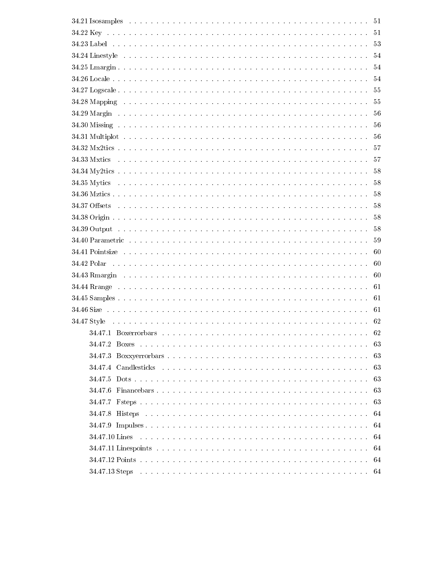| 34.21 Isosamples but the contract of the contract of the contract of the contract of the contract of the contract of the contract of the contract of the contract of the contract of the contract of the contract of the contr      |                                                                                                                                                                                                                                |                                                                                                                 |  |  |  |  |  |  |  |  |  |  |    |
|-------------------------------------------------------------------------------------------------------------------------------------------------------------------------------------------------------------------------------------|--------------------------------------------------------------------------------------------------------------------------------------------------------------------------------------------------------------------------------|-----------------------------------------------------------------------------------------------------------------|--|--|--|--|--|--|--|--|--|--|----|
|                                                                                                                                                                                                                                     |                                                                                                                                                                                                                                |                                                                                                                 |  |  |  |  |  |  |  |  |  |  | 51 |
|                                                                                                                                                                                                                                     |                                                                                                                                                                                                                                |                                                                                                                 |  |  |  |  |  |  |  |  |  |  | 53 |
|                                                                                                                                                                                                                                     |                                                                                                                                                                                                                                |                                                                                                                 |  |  |  |  |  |  |  |  |  |  | 54 |
|                                                                                                                                                                                                                                     |                                                                                                                                                                                                                                |                                                                                                                 |  |  |  |  |  |  |  |  |  |  | 54 |
|                                                                                                                                                                                                                                     |                                                                                                                                                                                                                                |                                                                                                                 |  |  |  |  |  |  |  |  |  |  | 54 |
|                                                                                                                                                                                                                                     |                                                                                                                                                                                                                                |                                                                                                                 |  |  |  |  |  |  |  |  |  |  | 55 |
|                                                                                                                                                                                                                                     |                                                                                                                                                                                                                                |                                                                                                                 |  |  |  |  |  |  |  |  |  |  | 55 |
|                                                                                                                                                                                                                                     |                                                                                                                                                                                                                                |                                                                                                                 |  |  |  |  |  |  |  |  |  |  | 56 |
|                                                                                                                                                                                                                                     |                                                                                                                                                                                                                                |                                                                                                                 |  |  |  |  |  |  |  |  |  |  | 56 |
|                                                                                                                                                                                                                                     |                                                                                                                                                                                                                                |                                                                                                                 |  |  |  |  |  |  |  |  |  |  | 56 |
|                                                                                                                                                                                                                                     |                                                                                                                                                                                                                                |                                                                                                                 |  |  |  |  |  |  |  |  |  |  | 57 |
|                                                                                                                                                                                                                                     |                                                                                                                                                                                                                                |                                                                                                                 |  |  |  |  |  |  |  |  |  |  | 57 |
|                                                                                                                                                                                                                                     |                                                                                                                                                                                                                                |                                                                                                                 |  |  |  |  |  |  |  |  |  |  | 58 |
|                                                                                                                                                                                                                                     |                                                                                                                                                                                                                                |                                                                                                                 |  |  |  |  |  |  |  |  |  |  | 58 |
|                                                                                                                                                                                                                                     |                                                                                                                                                                                                                                |                                                                                                                 |  |  |  |  |  |  |  |  |  |  | 58 |
|                                                                                                                                                                                                                                     |                                                                                                                                                                                                                                |                                                                                                                 |  |  |  |  |  |  |  |  |  |  | 58 |
|                                                                                                                                                                                                                                     |                                                                                                                                                                                                                                |                                                                                                                 |  |  |  |  |  |  |  |  |  |  | 58 |
|                                                                                                                                                                                                                                     |                                                                                                                                                                                                                                |                                                                                                                 |  |  |  |  |  |  |  |  |  |  | 58 |
|                                                                                                                                                                                                                                     |                                                                                                                                                                                                                                |                                                                                                                 |  |  |  |  |  |  |  |  |  |  | 59 |
|                                                                                                                                                                                                                                     |                                                                                                                                                                                                                                |                                                                                                                 |  |  |  |  |  |  |  |  |  |  | 60 |
|                                                                                                                                                                                                                                     |                                                                                                                                                                                                                                |                                                                                                                 |  |  |  |  |  |  |  |  |  |  | 60 |
|                                                                                                                                                                                                                                     |                                                                                                                                                                                                                                |                                                                                                                 |  |  |  |  |  |  |  |  |  |  | 60 |
|                                                                                                                                                                                                                                     |                                                                                                                                                                                                                                |                                                                                                                 |  |  |  |  |  |  |  |  |  |  | 61 |
|                                                                                                                                                                                                                                     |                                                                                                                                                                                                                                |                                                                                                                 |  |  |  |  |  |  |  |  |  |  | 61 |
|                                                                                                                                                                                                                                     |                                                                                                                                                                                                                                |                                                                                                                 |  |  |  |  |  |  |  |  |  |  | 61 |
| 34.47 Style <i>and the communication</i> of the communication of the communication of the communication of the communication of the communication of the communication of the communication of the communication of the communicati |                                                                                                                                                                                                                                |                                                                                                                 |  |  |  |  |  |  |  |  |  |  | 62 |
|                                                                                                                                                                                                                                     |                                                                                                                                                                                                                                |                                                                                                                 |  |  |  |  |  |  |  |  |  |  | 62 |
| 34.47.2 Boxes                                                                                                                                                                                                                       |                                                                                                                                                                                                                                | the contract of the contract of the contract of the contract of the contract of the contract of the contract of |  |  |  |  |  |  |  |  |  |  | 63 |
| 34.47.3                                                                                                                                                                                                                             |                                                                                                                                                                                                                                |                                                                                                                 |  |  |  |  |  |  |  |  |  |  | 63 |
|                                                                                                                                                                                                                                     |                                                                                                                                                                                                                                |                                                                                                                 |  |  |  |  |  |  |  |  |  |  | 63 |
| 34.47.5                                                                                                                                                                                                                             |                                                                                                                                                                                                                                |                                                                                                                 |  |  |  |  |  |  |  |  |  |  | 63 |
|                                                                                                                                                                                                                                     |                                                                                                                                                                                                                                |                                                                                                                 |  |  |  |  |  |  |  |  |  |  | 63 |
|                                                                                                                                                                                                                                     |                                                                                                                                                                                                                                |                                                                                                                 |  |  |  |  |  |  |  |  |  |  | 63 |
| 34.47.8                                                                                                                                                                                                                             | Histeps and an annual contract of the contract of the contract of the contract of the contract of the contract of the contract of the contract of the contract of the contract of the contract of the contract of the contract |                                                                                                                 |  |  |  |  |  |  |  |  |  |  | 64 |
| 34.47.9                                                                                                                                                                                                                             |                                                                                                                                                                                                                                |                                                                                                                 |  |  |  |  |  |  |  |  |  |  | 64 |
| 34.47.10 Lines                                                                                                                                                                                                                      |                                                                                                                                                                                                                                | a constitution de la constitution de la constitution de la constitution de la constitution de la constitution   |  |  |  |  |  |  |  |  |  |  | 64 |
|                                                                                                                                                                                                                                     |                                                                                                                                                                                                                                |                                                                                                                 |  |  |  |  |  |  |  |  |  |  | 64 |
|                                                                                                                                                                                                                                     |                                                                                                                                                                                                                                |                                                                                                                 |  |  |  |  |  |  |  |  |  |  | 64 |
| 34.47.13 Steps                                                                                                                                                                                                                      |                                                                                                                                                                                                                                |                                                                                                                 |  |  |  |  |  |  |  |  |  |  |    |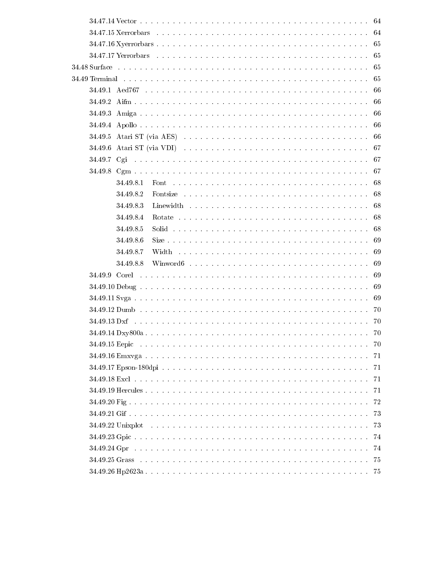| 34.48 Surface decompose to the contract of the contract of the contract of the contract of the contract of the contract of the contract of the contract of the contract of the contract of the contract of the contract of the |                                                                                                                                                                                                                                |                                                                                                                                                                                                                               |  |  |  |  |  |  |  |     |
|--------------------------------------------------------------------------------------------------------------------------------------------------------------------------------------------------------------------------------|--------------------------------------------------------------------------------------------------------------------------------------------------------------------------------------------------------------------------------|-------------------------------------------------------------------------------------------------------------------------------------------------------------------------------------------------------------------------------|--|--|--|--|--|--|--|-----|
| 34.49 Terminal distribution of the contract of the contract of the contract of the contract of the contract of                                                                                                                 |                                                                                                                                                                                                                                |                                                                                                                                                                                                                               |  |  |  |  |  |  |  |     |
|                                                                                                                                                                                                                                |                                                                                                                                                                                                                                |                                                                                                                                                                                                                               |  |  |  |  |  |  |  |     |
|                                                                                                                                                                                                                                |                                                                                                                                                                                                                                |                                                                                                                                                                                                                               |  |  |  |  |  |  |  |     |
| 34.49.3                                                                                                                                                                                                                        |                                                                                                                                                                                                                                |                                                                                                                                                                                                                               |  |  |  |  |  |  |  |     |
|                                                                                                                                                                                                                                |                                                                                                                                                                                                                                |                                                                                                                                                                                                                               |  |  |  |  |  |  |  |     |
| 34.49.5                                                                                                                                                                                                                        |                                                                                                                                                                                                                                |                                                                                                                                                                                                                               |  |  |  |  |  |  |  |     |
| 34.49.6                                                                                                                                                                                                                        |                                                                                                                                                                                                                                |                                                                                                                                                                                                                               |  |  |  |  |  |  |  |     |
|                                                                                                                                                                                                                                |                                                                                                                                                                                                                                |                                                                                                                                                                                                                               |  |  |  |  |  |  |  |     |
|                                                                                                                                                                                                                                |                                                                                                                                                                                                                                |                                                                                                                                                                                                                               |  |  |  |  |  |  |  |     |
|                                                                                                                                                                                                                                | 34.49.8.1                                                                                                                                                                                                                      |                                                                                                                                                                                                                               |  |  |  |  |  |  |  |     |
|                                                                                                                                                                                                                                | 34.49.8.2                                                                                                                                                                                                                      |                                                                                                                                                                                                                               |  |  |  |  |  |  |  |     |
|                                                                                                                                                                                                                                | 34.49.8.3                                                                                                                                                                                                                      |                                                                                                                                                                                                                               |  |  |  |  |  |  |  |     |
|                                                                                                                                                                                                                                | 34.49.8.4                                                                                                                                                                                                                      |                                                                                                                                                                                                                               |  |  |  |  |  |  |  |     |
|                                                                                                                                                                                                                                | 34.49.8.5                                                                                                                                                                                                                      |                                                                                                                                                                                                                               |  |  |  |  |  |  |  |     |
|                                                                                                                                                                                                                                | 34.49.8.6                                                                                                                                                                                                                      |                                                                                                                                                                                                                               |  |  |  |  |  |  |  |     |
|                                                                                                                                                                                                                                | 34.49.8.7                                                                                                                                                                                                                      |                                                                                                                                                                                                                               |  |  |  |  |  |  |  |     |
|                                                                                                                                                                                                                                | 34.49.8.8                                                                                                                                                                                                                      | Winword6 (and the contract of the contract of the contract of the contract of the contract of the contract of the contract of the contract of the contract of the contract of the contract of the contract of the contract of |  |  |  |  |  |  |  |     |
|                                                                                                                                                                                                                                |                                                                                                                                                                                                                                |                                                                                                                                                                                                                               |  |  |  |  |  |  |  | 69  |
|                                                                                                                                                                                                                                |                                                                                                                                                                                                                                |                                                                                                                                                                                                                               |  |  |  |  |  |  |  |     |
|                                                                                                                                                                                                                                |                                                                                                                                                                                                                                |                                                                                                                                                                                                                               |  |  |  |  |  |  |  |     |
|                                                                                                                                                                                                                                |                                                                                                                                                                                                                                |                                                                                                                                                                                                                               |  |  |  |  |  |  |  |     |
|                                                                                                                                                                                                                                |                                                                                                                                                                                                                                |                                                                                                                                                                                                                               |  |  |  |  |  |  |  |     |
|                                                                                                                                                                                                                                |                                                                                                                                                                                                                                |                                                                                                                                                                                                                               |  |  |  |  |  |  |  |     |
|                                                                                                                                                                                                                                |                                                                                                                                                                                                                                |                                                                                                                                                                                                                               |  |  |  |  |  |  |  |     |
|                                                                                                                                                                                                                                |                                                                                                                                                                                                                                |                                                                                                                                                                                                                               |  |  |  |  |  |  |  |     |
|                                                                                                                                                                                                                                |                                                                                                                                                                                                                                |                                                                                                                                                                                                                               |  |  |  |  |  |  |  | 71  |
|                                                                                                                                                                                                                                |                                                                                                                                                                                                                                |                                                                                                                                                                                                                               |  |  |  |  |  |  |  | -71 |
|                                                                                                                                                                                                                                |                                                                                                                                                                                                                                |                                                                                                                                                                                                                               |  |  |  |  |  |  |  | 71  |
|                                                                                                                                                                                                                                |                                                                                                                                                                                                                                |                                                                                                                                                                                                                               |  |  |  |  |  |  |  | -72 |
|                                                                                                                                                                                                                                |                                                                                                                                                                                                                                |                                                                                                                                                                                                                               |  |  |  |  |  |  |  | 73  |
|                                                                                                                                                                                                                                | 34.49.22 Unixplot the contract of the contract of the contract of the contract of the contract of the contract of the contract of the contract of the contract of the contract of the contract of the contract of the contract |                                                                                                                                                                                                                               |  |  |  |  |  |  |  | 73  |
|                                                                                                                                                                                                                                |                                                                                                                                                                                                                                |                                                                                                                                                                                                                               |  |  |  |  |  |  |  | 74  |
|                                                                                                                                                                                                                                |                                                                                                                                                                                                                                |                                                                                                                                                                                                                               |  |  |  |  |  |  |  | 74  |
|                                                                                                                                                                                                                                |                                                                                                                                                                                                                                |                                                                                                                                                                                                                               |  |  |  |  |  |  |  | -75 |
|                                                                                                                                                                                                                                |                                                                                                                                                                                                                                |                                                                                                                                                                                                                               |  |  |  |  |  |  |  |     |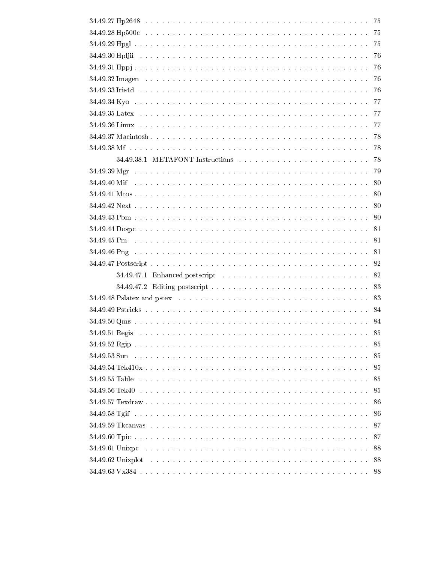| 34.49.32 Imagen and a construction of the contract of the construction of the construction of the construction of the construction of the construction of the construction of the construction of the construction of the cons        |    |
|---------------------------------------------------------------------------------------------------------------------------------------------------------------------------------------------------------------------------------------|----|
|                                                                                                                                                                                                                                       |    |
|                                                                                                                                                                                                                                       |    |
|                                                                                                                                                                                                                                       |    |
|                                                                                                                                                                                                                                       |    |
|                                                                                                                                                                                                                                       |    |
|                                                                                                                                                                                                                                       |    |
|                                                                                                                                                                                                                                       |    |
|                                                                                                                                                                                                                                       |    |
| 34.49.40 Mif because the contract of the contract of the contract of the contract of the contract of the contract of the contract of the contract of the contract of the contract of the contract of the contract of the contr        |    |
|                                                                                                                                                                                                                                       |    |
|                                                                                                                                                                                                                                       |    |
|                                                                                                                                                                                                                                       |    |
|                                                                                                                                                                                                                                       |    |
|                                                                                                                                                                                                                                       |    |
|                                                                                                                                                                                                                                       |    |
|                                                                                                                                                                                                                                       |    |
|                                                                                                                                                                                                                                       |    |
|                                                                                                                                                                                                                                       |    |
| 34.49.48 Pslatex and pstex resources resources in the contract of the state of the S3                                                                                                                                                 |    |
|                                                                                                                                                                                                                                       |    |
|                                                                                                                                                                                                                                       |    |
| 34.49.51 Regis and a contract of the contract of the contract of the contract of the 85                                                                                                                                               |    |
| -85                                                                                                                                                                                                                                   |    |
| 34.49.53 Sun decoderation and contact the contract of the contract of the contract of the contract of the contract of the contract of the contract of the contract of the contract of the contract of the contract of the cont<br>-85 |    |
| 85                                                                                                                                                                                                                                    |    |
| 34.49.55 Table discussed as a series of the series of the series of the series of the series of the series of the series of the series of the series of the series of the series of the series of the series of the series of         | 85 |
|                                                                                                                                                                                                                                       | 85 |
|                                                                                                                                                                                                                                       | 86 |
|                                                                                                                                                                                                                                       | 86 |
| 87                                                                                                                                                                                                                                    |    |
|                                                                                                                                                                                                                                       | 87 |
| 34.49.61 Unixpension and a series of the contract of the contract of the contract of the contract of the contract of the contract of the contract of the contract of the contract of the contract of the contract of the contr        | 88 |
| 34.49.62 Unixplot the contract of the contract of the contract of the contract of the contract of the contract of the contract of the contract of the contract of the contract of the contract of the contract of the contract        |    |
|                                                                                                                                                                                                                                       |    |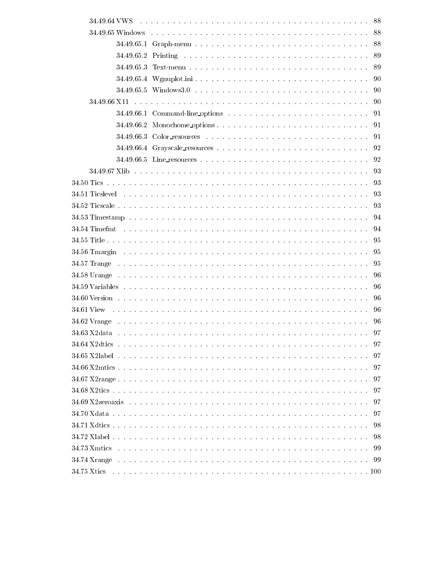|              | 34.57 Trange decoupled a series of the contract of the contract of the contract of the Sun of the Sun of the S |  |  |  |  |     |
|--------------|----------------------------------------------------------------------------------------------------------------|--|--|--|--|-----|
|              | 34.58 Urange business in a series of the series of the series of the series of the series of the series of the |  |  |  |  |     |
|              |                                                                                                                |  |  |  |  |     |
|              |                                                                                                                |  |  |  |  |     |
|              |                                                                                                                |  |  |  |  |     |
|              |                                                                                                                |  |  |  |  |     |
|              |                                                                                                                |  |  |  |  |     |
|              |                                                                                                                |  |  |  |  | 97  |
|              |                                                                                                                |  |  |  |  | 97  |
|              |                                                                                                                |  |  |  |  | 97  |
|              |                                                                                                                |  |  |  |  | 97  |
|              |                                                                                                                |  |  |  |  | 97  |
|              |                                                                                                                |  |  |  |  | 97  |
|              |                                                                                                                |  |  |  |  | 97  |
|              |                                                                                                                |  |  |  |  | 98  |
|              |                                                                                                                |  |  |  |  | 98  |
| 34.73 Xmtics |                                                                                                                |  |  |  |  | 99  |
|              |                                                                                                                |  |  |  |  | -99 |
|              |                                                                                                                |  |  |  |  |     |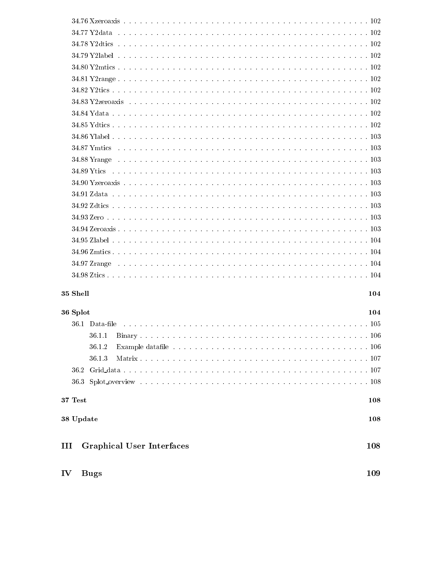| 36 Splot                                                                            | 104 |
|-------------------------------------------------------------------------------------|-----|
| 35 Shell                                                                            | 104 |
|                                                                                     |     |
| 34.97 Zrange received a series and contract the contract of the contract of the 104 |     |
|                                                                                     |     |
|                                                                                     |     |
|                                                                                     |     |
|                                                                                     |     |
|                                                                                     |     |
|                                                                                     |     |
|                                                                                     |     |
|                                                                                     |     |
|                                                                                     |     |
|                                                                                     |     |
|                                                                                     |     |
|                                                                                     |     |
|                                                                                     |     |
|                                                                                     |     |
|                                                                                     |     |
|                                                                                     |     |
|                                                                                     |     |
|                                                                                     |     |
|                                                                                     |     |
|                                                                                     |     |
|                                                                                     |     |

|           | 36.1.1                           |                                                                                                                                                                                                                                |  |  |  |  |  |  |  |  |  |  |  |  |     |
|-----------|----------------------------------|--------------------------------------------------------------------------------------------------------------------------------------------------------------------------------------------------------------------------------|--|--|--|--|--|--|--|--|--|--|--|--|-----|
|           | 36.1.2                           | Example datafile research research and the set of the set of the set of the set of the set of the set of the set of the set of the set of the set of the set of the set of the set of the set of the set of the set of the set |  |  |  |  |  |  |  |  |  |  |  |  |     |
|           | 36.1.3                           |                                                                                                                                                                                                                                |  |  |  |  |  |  |  |  |  |  |  |  |     |
|           |                                  |                                                                                                                                                                                                                                |  |  |  |  |  |  |  |  |  |  |  |  |     |
|           |                                  |                                                                                                                                                                                                                                |  |  |  |  |  |  |  |  |  |  |  |  |     |
| 37 Test   |                                  |                                                                                                                                                                                                                                |  |  |  |  |  |  |  |  |  |  |  |  | 108 |
| 38 Update |                                  |                                                                                                                                                                                                                                |  |  |  |  |  |  |  |  |  |  |  |  | 108 |
| $\rm III$ | <b>Graphical User Interfaces</b> |                                                                                                                                                                                                                                |  |  |  |  |  |  |  |  |  |  |  |  | 108 |

| IV Bugs | 109 |
|---------|-----|
|         |     |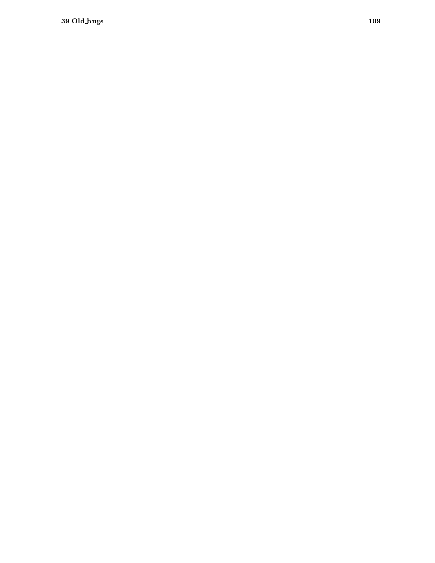39 Old bugs 109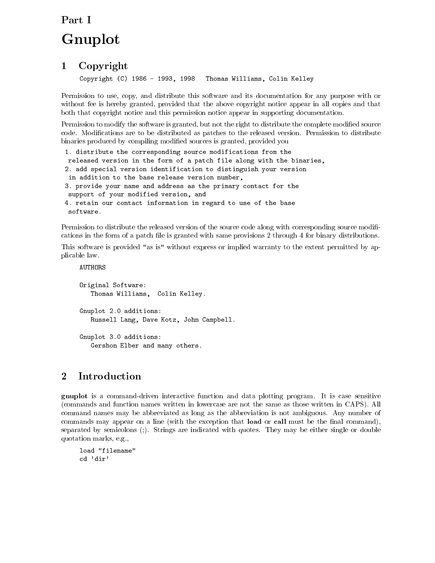# Part I Gnuplot

### 1Copyright

Copyright (C) 1986 - 1993, 1998 Thomas Williams, Colin Kelley

Permission to use, copy, and distribute this software and its documentation for any purpose with or without fee is hereby granted, provided that the above copyright notice appear in all copies and that both that copyright notice and this permission notice appear in supporting documentation.

Permission to modify the software is granted, but not the right to distribute the complete modified source code. Modications are to be distributed as patches to the released version. Permission to distribute binaries produced by compiling modied sources is granted, provided you

```
1. distribute the corresponding source modifications from the
released version in the form of a patch file along with the binaries,
2. add special version identification to distinguish your version
 in addition to the base release version number,
3. provide your name and address as the primary contact for the
 support of your modified version, and
4. retain our contact information in regard to use of the base
 software.
```
Permission to distribute the released version of the source code along with corresponding source modifications in the form of a patch le is granted with same provisions 2 through 4 for binary distributions.

This software is provided "as is" without express or implied warranty to the extent permitted by applicable law.

### **AUTHORS**

Original Software: Thomas Williams, Colin Kelley. Gnuplot 2.0 additions: Russell Lang, Dave Kotz, John Campbell. Gnuplot 3.0 additions: Gershon Elber and many others.

## $\overline{2}$

gnuplot is a command-driven interactive function and data plotting program. It is case sensitive (commands and function names written in lowercase are not the same as those written in CAPS). All command names may be abbreviated as long as the abbreviation is not ambiguous. Any number of commands may appear on a line (with the exception that **load** or **call** must be the final command), separated by semicolons (;). Strings are indicated with quotes. They may be either single or double quotation marks, e.g.,

```
load "filename"
cd 'dir'
```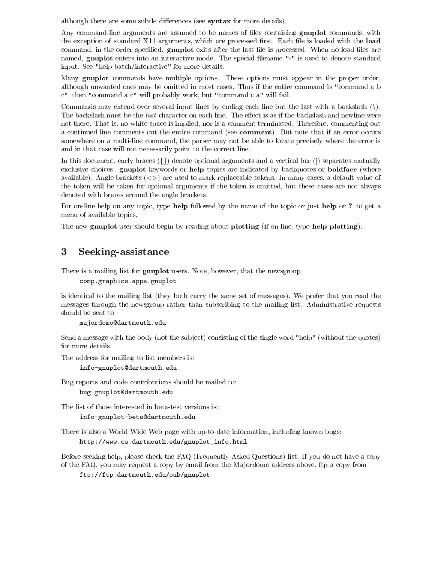although there are some subtle differences (see syntax for more details).

Any command-line arguments are assumed to be names of files containing **gnuplot** commands, with the exception of standard X11 arguments, which are processed first. Each file is loaded with the **load** command, in the order specified. **gnuplot** exits after the last file is processed. When no load files are named, gnuplot enters into an interactive mode. The special filename "-" is used to denote standard input. See "help batch/interactive" for more details.

Many gnuplot commands have multiple options. These options must appear in the proper order, although unwanted ones may be omitted in most cases. Thus if the entire command is "command a b c", then "command a c" will probably work, but "command c a" will fail.

Commands may extend over several input lines by ending each line but the last with a backslash  $( \cdot ).$ The backslash must be the *last* character on each line. The effect is as if the backslash and newline were not there. That is, no white space is implied, nor is a comment terminated. Therefore, commenting out a continued line comments out the entire command (see comment). But note that if an error occurs somewhere on a multi-line command, the parser may not be able to locate precisely where the error is and in that case will not necessarily point to the correct line.

In this document, curly braces  $({})$  denote optional arguments and a vertical bar  $({})$  separates mutually exclusive choices. gnuplot keywords or help topics are indicated by backquotes or boldface (where available). Angle brackets (<>) are used to mark replaceable tokens. In many cases, a default value of the token will be taken for optional arguments if the token is omitted, but these cases are not always denoted with braces around the angle brackets.

For on-line help on any topic, type **help** followed by the name of the topic or just **help** or ? to get a menu of available topics.

The new gnuplot user should begin by reading about plotting (if on-line, type help plotting).

## Seeking-assistance

There is a mailing list for **gnuplot** users. Note, however, that the newsgroup

comp.graphics.apps.gnuplot

is identical to the mailing list (they both carry the same set of messages). We prefer that you read the messages through the newsgroup rather than subscribing to the mailing list. Administrative requests should be sent to

majordomo@dartmouth.edu

Send a message with the body (not the subject) consisting of the single word "help" (without the quotes) for more details.

The address for mailing to list members is:

info-gnuplot@dartmouth.edu

Bug reports and code contributions should be mailed to:

bug-gnuplot@dartmouth.edu

The list of those interested in beta-test versions is: info-gnuplot-beta@dartmouth.edu

There is also a World Wide Web page with up-to-date information, including known bugs: http://www.cs.dartmouth.edu/gnuplot\_info.html

Before seeking help, please check the FAQ (Frequently Asked Questions) list. If you do not have a copy of the FAQ, you may request a copy by email from the Ma jordomo address above, ftp a copy from

ftp://ftp.dartmouth.edu/pub/gnuplot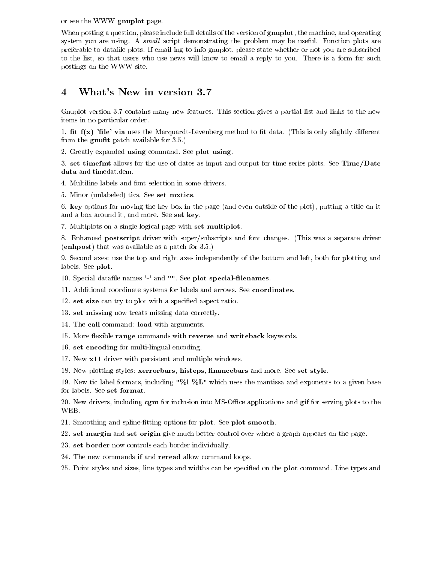or see the WWW gnuplot page.

When posting a question, please include full details of the version of gnuplot, the machine, and operating system you are using. A small script demonstrating the problem may be useful. Function plots are preferable to datale plots. If email-ing to info-gnuplot, please state whether or not you are subscribed to the list, so that users who use news will know to email a reply to you. There is a form for such postings on the WWW site.

#### What's New in version 3.7  $\boldsymbol{\varLambda}$

Gnuplot version 3.7 contains many new features. This section gives a partial list and links to the new items in no particular order.

1. **fit f(x)** 'file' via uses the Marquardt-Levenberg method to fit data. (This is only slightly different from the  $g$ nufit patch available for  $3.5$ .)

2. Greatly expanded using command. See plot using.

3. set timefmt allows for the use of dates as input and output for time series plots. See Time/Date data and timedat.dem.

4. Multiline labels and font selection in some drivers.

5. Minor (unlabeled) tics. See set mxtics.

6. key options for moving the key box in the page (and even outside of the plot), putting a title on it and a box around it, and more. See set key.

7. Multiplots on a single logical page with set multiplot.

8. Enhanced postscript driver with super/subscripts and font changes. (This was a separate driver (enhpost) that was available as a patch for 3.5.)

9. Second axes: use the top and right axes independently of the bottom and left, both for plotting and labels. See plot.

10. Special datafile names '-' and "". See plot special-filenames.

11. Additional coordinate systems for labels and arrows. See coordinates.

12. set size can try to plot with a specied aspect ratio.

13. set missing now treats missing data correctly.

14. The call command: load with arguments.

15. More flexible range commands with reverse and writeback keywords.

16. set encoding for multi-lingual encoding.

17. New x11 driver with persistent and multiple windows.

18. New plotting styles: xerrorbars, histeps, financebars and more. See set style.

19. New tic label formats, including "%l %L" which uses the mantissa and exponents to a given base for labels. See set format.

20. New drivers, including cgm for inclusion into MS-Office applications and gif for serving plots to the WEB.

21. Smoothing and spline-fitting options for plot. See plot smooth.

22. set margin and set origin give much better control over where a graph appears on the page.

23. set border now controls each border individually.

24. The new commands if and reread allow command loops.

25. Point styles and sizes, line types and widths can be specified on the **plot** command. Line types and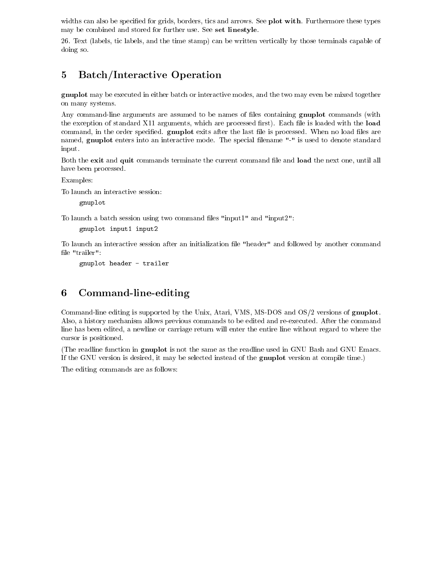widths can also be specified for grids, borders, tics and arrows. See plot with. Furthermore these types may be combined and stored for further use. See set linestyle.

26. Text (labels, tic labels, and the time stamp) can be written vertically by those terminals capable of doing so.

### Batch/Interactive Operation  $\mathbf{5}$

gnuplot may be executed in either batch or interactive modes, and the two may even be mixed together on many systems.

Any command-line arguments are assumed to be names of files containing gnuplot commands (with the exception of standard X11 arguments, which are processed first). Each file is loaded with the **load** command, in the order specified. **gnuplot** exits after the last file is processed. When no load files are named, gnuplot enters into an interactive mode. The special filename "-" is used to denote standard input.

Both the exit and quit commands terminate the current command file and load the next one, until all have been processed.

Examples:

To launch an interactive session:

gnuplot

To launch a batch session using two command files "input1" and "input2":

```
gnuplot input1 input2
```
To launch an interactive session after an initialization file "header" and followed by another command file "trailer":

gnuplot header - trailer

#### 6Command-line-editing

Command-line editing is supported by the Unix, Atari, VMS, MS-DOS and OS/2 versions of gnuplot. Also, a history mechanism allows previous commands to be edited and re-executed. After the command line has been edited, a newline or carriage return will enter the entire line without regard to where the cursor is positioned.

(The readline function in gnuplot is not the same as the readline used in GNU Bash and GNU Emacs. If the GNU version is desired, it may be selected instead of the gnuplot version at compile time.)

The editing commands are as follows: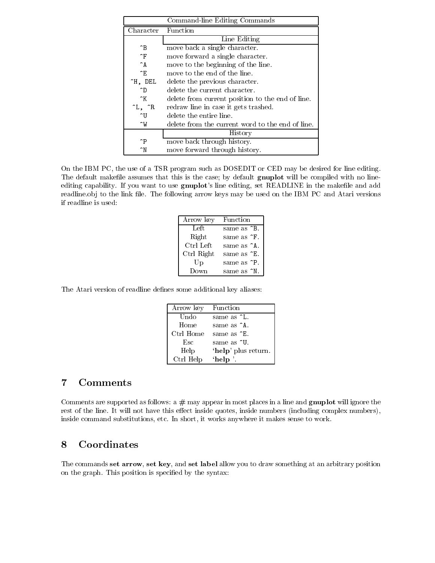|                             | Command-line Editing Commands                    |
|-----------------------------|--------------------------------------------------|
| Character                   | Function                                         |
|                             | Line Editing                                     |
| ^В                          | move back a single character.                    |
| $\mathbin{\char`\^}F$       | move forward a single character.                 |
| $\hat{A}$                   | move to the beginning of the line.               |
| ΛF.                         | move to the end of the line.                     |
| ^H, DEL                     | delete the previous character.                   |
| ≏D                          | delete the current character.                    |
| ûΚ                          | delete from current position to the end of line. |
| $\mathsf{L}$ , $\mathsf{R}$ | redraw line in case it gets trashed.             |
| ≏U                          | delete the entire line.                          |
| ∩∽                          | delete from the current word to the end of line. |
|                             | History                                          |
| ≏P                          | move back through history.                       |
| ^N                          | move forward through history.                    |

On the IBM PC, the use of a TSR program such as DOSEDIT or CED may be desired for line editing. The default makefile assumes that this is the case; by default gnuplot will be compiled with no lineediting capability. If you want to use gnuplot's line editing, set READLINE in the makefile and add readline. Obj to the link file. The following arrow keys may be used on the IBM PC and Atari versions if readline is used:

| Arrow key  | Function    |
|------------|-------------|
| Left       | same as ^B. |
| Right      | same as ^F. |
| Ctrl Left  | same as ^A. |
| Ctrl Right | same as ^E. |
| Up         | same as ^P. |
| Down       | same as ^N. |

The Atari version of readline defines some additional key aliases:

| Arrow key | Function                     |
|-----------|------------------------------|
| Undo      | same as $\hat{L}$ .          |
| Home      | same as $\hat{}$ A.          |
| Ctrl Home | same as $E$ .                |
| Esc       | same as $\hat{U}$ .          |
| Help      | 'help' plus return.          |
| Ctrl Help | $^{\circ}$ help $^{\circ}$ . |

#### 7Comments

Comments are supported as follows:  $a \#$  may appear in most places in a line and gnuplot will ignore the rest of the line. It will not have this effect inside quotes, inside numbers (including complex numbers), inside command substitutions, etc. In short, it works anywhere it makes sense to work.

#### 8Coordinates

The commands set arrow, set key, and set label allow you to draw something at an arbitrary position on the graph. This position is specied by the syntax: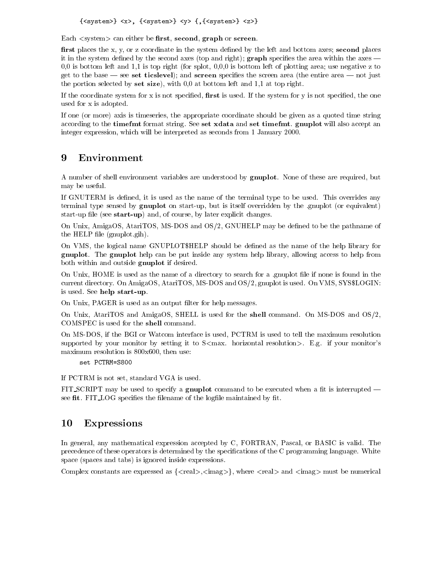$\{<$ system>}  $<$ x>,  $\{<$ system>}  $<$ y>  $\{$ ,  $\{<$ system>}  $<$ z>}

Each <system> can either be first, second, graph or screen.

first places the x, y, or z coordinate in the system defined by the left and bottom axes; second places it in the system defined by the second axes (top and right); graph specifies the area within the axes -0,0 is bottom left and 1,1 is top right (for splot, 0,0,0 is bottom left of plotting area; use negative z to get to the base — see set ticslevel); and screen specifies the screen area (the entire area  $-$  not just the portion selected by set size), with 0,0 at bottom left and 1,1 at top right.

If the coordinate system for x is not specified,  $\textbf{first}$  is used. If the system for y is not specified, the one used for x is adopted.

If one (or more) axis is timeseries, the appropriate coordinate should be given as a quoted time string according to the timefmt format string. See set xdata and set timefmt. gnuplot will also accept an integer expression, which will be interpreted as seconds from 1 January 2000.

## $\boldsymbol{\Omega}$

A number of shell environment variables are understood by gnuplot. None of these are required, but may be useful.

If GNUTERM is defined, it is used as the name of the terminal type to be used. This overrides any terminal type sensed by gnuplot on start-up, but is itself overridden by the .gnuplot (or equivalent) start-up file (see start-up) and, of course, by later explicit changes.

On Unix, AmigaOS, AtariTOS, MS-DOS and  $OS/2$ , GNUHELP may be defined to be the pathname of the HELP file  $(gnuplot.gh)$ .

On VMS, the logical name GNUPLOT\$HELP should be dened as the name of the help library for gnuplot. The gnuplot help can be put inside any system help library, allowing access to help from both within and outside gnuplot if desired.

On Unix, HOME is used as the name of a directory to search for a .gnuplot file if none is found in the current directory. On AmigaOS, AtariTOS, MS-DOS and OS/2, gnuplot is used. On VMS, SYS\$LOGIN: is used. See help start-up.

On Unix, PAGER is used as an output filter for help messages.

On Unix, AtariTOS and AmigaOS, SHELL is used for the shell command. On MS-DOS and OS/2, COMSPEC is used for the shell command.

On MS-DOS, if the BGI or Watcom interface is used, PCTRM is used to tell the maximum resolution supported by your monitor by setting it to  $S<$  max. horizontal resolution $>$ . E.g. if your monitor's maximum resolution is 800x600, then use:

set PCTRM=S800

If PCTRM is not set, standard VGA is used.

FIT\_SCRIPT may be used to specify a **gnuplot** command to be executed when a fit is interrupted  $$ see fit. FIT\_LOG specifies the filename of the logfile maintained by fit.

#### 10 Expressions

In general, any mathematical expression accepted by C, FORTRAN, Pascal, or BASIC is valid. The precedence of these operators is determined by the specications of the C programming language. White space (spaces and tabs) is ignored inside expressions.

Complex constants are expressed as  $\{<\text{real}\rangle,\langle\text{imag}\rangle\}$ , where  $\langle\text{real}\rangle$  and  $\langle\text{imag}\rangle$  must be numerical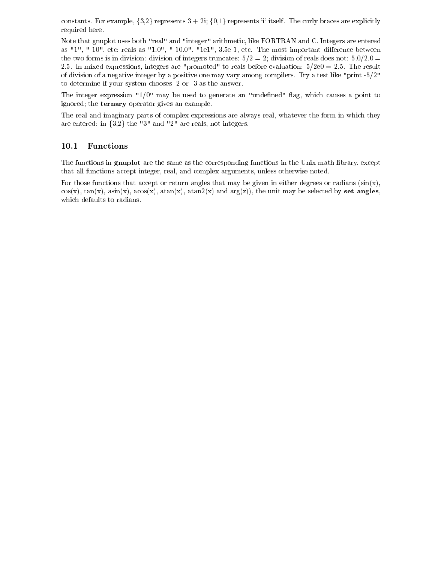constants. For example,  $\{3,2\}$  represents  $3 + 2i$ ;  $\{0,1\}$  represents 'i' itself. The curly braces are explicitly required here.

Note that gnuplot uses both "real" and "integer" arithmetic, like FORTRAN and C. Integers are entered as "1", "-10", etc; reals as "1.0", "-10.0", "1e1", 3.5e-1, etc. The most important difference between the two forms is in division: division of integers truncates:  $5/2 = 2$ ; division of reals does not:  $5.0/2.0 =$ 2.5. In mixed expressions, integers are "promoted" to reals before evaluation:  $5/2e0 = 2.5$ . The result of division of a negative integer by a positive one may vary among compilers. Try a test like "print  $-5/2$ " to determine if your system chooses -2 or -3 as the answer.

The integer expression " $1/0$ " may be used to generate an "undefined" flag, which causes a point to ignored; the ternary operator gives an example.

The real and imaginary parts of complex expressions are always real, whatever the form in which they are entered: in  $\{3,2\}$  the "3" and "2" are reals, not integers.

#### 10.1 **Functions**

The functions in gnuplot are the same as the corresponding functions in the Unix math library, except that all functions accept integer, real, and complex arguments, unless otherwise noted.

For those functions that accept or return angles that may be given in either degrees or radians  $(\sin(x),$  $cos(x)$ ,  $tan(x)$ ,  $asin(x)$ ,  $acos(x)$ ,  $atan(x)$ ,  $atan2(x)$  and  $arg(z)$ ), the unit may be selected by set angles, which defaults to radians.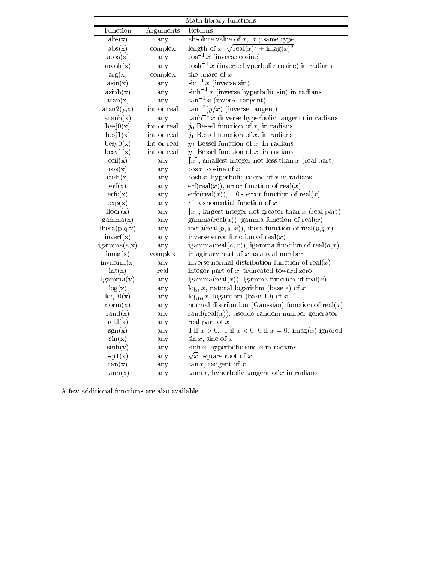|                             |             | Math library functions                                                        |
|-----------------------------|-------------|-------------------------------------------------------------------------------|
| Function                    | Arguments   | Returns                                                                       |
| abs(x)                      | any         | absolute value of x,  x ; same type                                           |
| abs(x)                      | complex     | length of x, $\sqrt{\text{real}(x)^2 + \text{imag}(x)^2}$                     |
| $\mathrm{acos}(\mathrm{x})$ | any         | $\cos^{-1} x$ (inverse cosine)                                                |
| acosh(x)                    | any         | $\cosh^{-1} x$ (inverse hyperbolic cosine) in radians                         |
| arg(x)                      | complex     | the phase of $x$                                                              |
| asin(x)                     | any         | $\sin^{-1} x$ (inverse $\sin$ )                                               |
| $a\sinh(x)$                 | any         | $\sinh^{-1} x$ (inverse hyperbolic sin) in radians                            |
| atan(x)                     | any         | $\tan^{-1} x$ (inverse tangent)                                               |
| atan2(y,x)                  | int or real | $\tan^{-1}(y/x)$ (inverse tangent)                                            |
| atanh(x)                    | any         | $\tanh^{-1} x$ (inverse hyperbolic tangent) in radians                        |
| besj0(x)                    | int or real | $j_0$ Bessel function of x, in radians                                        |
| besj1(x)                    | int or real | $j_1$ Bessel function of x, in radians                                        |
| $b \text{esy0}(x)$          | int or real | $y_0$ Bessel function of x, in radians                                        |
| besy1(x)                    | int or real | $y_1$ Bessel function of x, in radians                                        |
| ceil(x)                     | any         | $[x]$ , smallest integer not less than x (real part)                          |
| cos(x)                      | any         | $\cos x$ , cosine of x                                                        |
| cosh(x)                     | any         | $\cosh x$ , hyperbolic cosine of x in radians                                 |
| erf(x)                      | any         | $\text{erf}(\text{real}(x))$ , error function of real(x)                      |
| erfc(x)                     | any         | $erfc(\text{real}(x)), 1.0$ - error function of $\text{real}(x)$              |
| $\exp(x)$                   | any         | $e^x$ , exponential function of x                                             |
| floor(x)                    | any         | $\lfloor x \rfloor$ , largest integer not greater than x (real part)          |
| gamma(x)                    | any         | $\text{gamma}(\text{real}(x)), \text{gamma function of } \text{real}(x)$      |
| ibeta(p,q,x)                | any         | ibeta(real $(p, q, x)$ ), ibeta function of real $(p, q, x)$                  |
| inverf(x)                   | any         | inverse error function of real $(x)$                                          |
| igamma(a,x)                 | any         | igamma(real $(a, x)$ ), igamma function of real $(a, x)$                      |
| imag(x)                     | complex     | imaginary part of $x$ as a real number                                        |
| invnorm(x)                  | any         | inverse normal distribution function of real $(x)$                            |
| int(x)                      | real        | integer part of $x$ , truncated toward zero                                   |
| lgamma(x)                   | any         | $\text{lgamma}(\text{real}(x))$ , $\text{lgamma}(\text{function of real}(x))$ |
| $\log(x)$                   | any         | $log_e x$ , natural logarithm (base e) of x                                   |
| log10(x)                    | any         | $\log_{10} x$ , logarithm (base 10) of x                                      |
| norm(x)                     | any         | normal distribution (Gaussian) function of $real(x)$                          |
| $\text{rand}(x)$            | any         | $rand(real(x)),$ pseudo random number generator                               |
| real(x)                     | any         | real part of $x$                                                              |
| sgn(x)                      | any         | 1 if $x > 0$ , -1 if $x < 0$ , 0 if $x = 0$ imag(x) ignored                   |
| sin(x)                      | any         | $\sin x$ , sine of x                                                          |
| sinh(x)                     | any         | $\sinh x$ , hyperbolic sine x in radians                                      |
| sqrt(x)                     | any         | $\sqrt{x}$ , square root of x                                                 |
| tan(x)                      | any         | $\tan x$ , tangent of x                                                       |
| tanh(x)                     | any         | $\tanh x$ , hyperbolic tangent of x in radians                                |

A few additional functions are also available.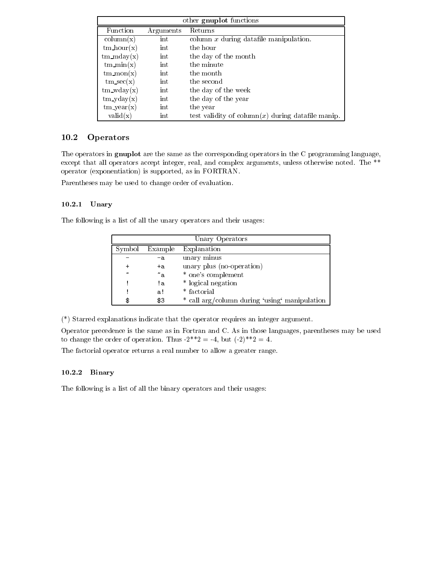|                    |           | other gnuplot functions                                    |
|--------------------|-----------|------------------------------------------------------------|
| Function           | Arguments | Returns                                                    |
| $\text{column}(x)$ | int       | column $x$ during datafile manipulation.                   |
| $tm\_hour(x)$      | int       | the hour                                                   |
| $tm_mday(x)$       | int       | the day of the month                                       |
| $tm\_min(x)$       | int       | the minute                                                 |
| $tm\_mon(x)$       | int       | the month                                                  |
| $tm\_sec(x)$       | int       | the second                                                 |
| $tm_wday(x)$       | int       | the day of the week                                        |
| $tm_yday(x)$       | int       | the day of the year                                        |
| $tm\_year(x)$      | int       | the year                                                   |
| valid(x)           | int       | test validity of $\text{column}(x)$ during datafile manip. |

#### 10.2 **Operators**

The operators in **gnuplot** are the same as the corresponding operators in the C programming language, except that all operators accept integer, real, and complex arguments, unless otherwise noted. The \*\* operator (exponentiation) is supported, as in FORTRAN.

Parentheses may be used to change order of evaluation.

### 10.2.1 Unary

The following is a list of all the unary operators and their usages:

|                       |                | Unary Operators                               |
|-----------------------|----------------|-----------------------------------------------|
| Symbol                | Example        | Explanation                                   |
|                       | -a             | unary minus                                   |
|                       | $+a$           | unary plus (no-operation)                     |
| $\tilde{\phantom{a}}$ | ~a             | * one's complement                            |
|                       | !a             | * logical negation                            |
|                       | a <sup>1</sup> | * factorial                                   |
| \$                    | \$3            | * call arg/column during 'using' manipulation |

(\*) Starred explanations indicate that the operator requires an integer argument.

Operator precedence is the same as in Fortran and C. As in those languages, parentheses may be used to change the order of operation. Thus  $-2^{**}2 = -4$ , but  $(-2)^{**}2 = 4$ .

The factorial operator returns a real number to allow a greater range.

### 10.2.2 Binary

The following is a list of all the binary operators and their usages: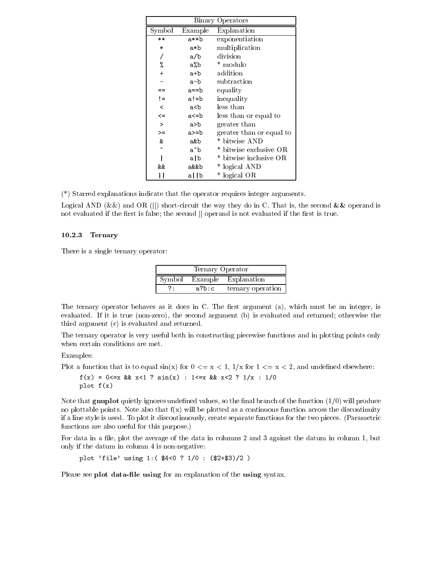| <b>Binary Operators</b>  |                                     |                          |
|--------------------------|-------------------------------------|--------------------------|
| Symbol                   | Example                             | Explanation              |
| $**$                     | $a**b$                              | exponentiation           |
| $\ast$                   | a*b                                 | multiplication           |
| Τ                        | a/b                                 | division                 |
| %                        | a%b                                 | * modulo                 |
| $\ddot{}$                | a+b                                 | addition                 |
|                          | a-b                                 | subtraction              |
| ==                       | a==b                                | equality                 |
| $!=$                     | a!=b                                | inequality               |
| $\overline{\phantom{0}}$ | a <b< td=""><td>less than</td></b<> | less than                |
| $\leq$                   | a<=b                                | less than or equal to    |
| $\geq$                   | a>b                                 | greater than             |
| $>=$                     | $a>=b$                              | greater than or equal to |
| &                        | a&b                                 | * bitwise AND            |
| ۰                        | a^b                                 | * bitwise exclusive OR   |
|                          | a   b                               | * bitwise inclusive OR   |
| &&                       | a&&b                                | * logical AND            |
|                          | a∥b                                 | * logical OR             |

(\*) Starred explanations indicate that the operator requires integer arguments.

Logical AND (&&) and OR (||) short-circuit the way they do in C. That is, the second  $&\&$  operand is not evaluated if the first is false; the second  $||$  operand is not evaluated if the first is true.

### 10.2.3 Ternary

There is a single ternary operator:

|    | Ternary Operator |                            |
|----|------------------|----------------------------|
|    |                  | Symbol Example Explanation |
| ?: | a?b:c            | ternary operation          |

The ternary operator behaves as it does in C. The first argument  $(a)$ , which must be an integer, is evaluated. If it is true (non-zero), the second argument (b) is evaluated and returned; otherwise the third argument (c) is evaluated and returned.

The ternary operator is very useful both in constructing piecewise functions and in plotting points only when certain conditions are met.

Examples:

```
Plot a function that is to equal sin(x) for 0 \le x \le 1, 1/x for 1 \le x \le 2, and undefined elsewhere:
```
 $f(x) = 0 \le x \& x \le 1$  ?  $\sin(x) : 1 \le x \& x \le 2$  ?  $1/x : 1/0$ plot f(x)

Note that gnuplot quietly ignores undefined values, so the final branch of the function  $(1/0)$  will produce no plottable points. Note also that  $f(x)$  will be plotted as a continuous function across the discontinuity if a line style is used. To plot it discontinuously, create separate functions for the two pieces. (Parametric functions are also useful for this purpose.)

For data in a file, plot the average of the data in columns 2 and 3 against the datum in column 1, but only if the datum in column 4 is non-negative:

plot 'file' using 1:( \$4<0 ? 1/0 : (\$2+\$3)/2 )

Please see plot data-file using for an explanation of the using syntax.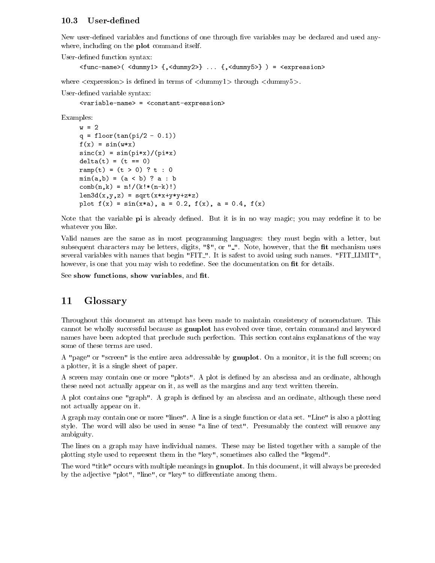New user-defined variables and functions of one through five variables may be declared and used anywhere, including on the **plot** command itself.

User-defined function syntax:

```
\frac{\text{Sumc-name}}{\text{Summ}} \frac{1}{6}, \frac{\text{Summyz}}{\text{Summ}} ... \frac{1}{6}, \frac{\text{Summyz}}{\text{Summ}} = \frac{\text{expression}}{\text{Summ}}
```
where  $\langle$  expression $\rangle$  is defined in terms of  $\langle$  dummy1 $\rangle$  through  $\langle$  dummy5 $\rangle$ .

User-defined variable syntax:

<variable-name> = <constant-expression>

Examples:

```
q = floor(tan(pi/2 - 0.1))
f(x) = sin(w*x)sinc(x) = sin(pix)/(pi*x)delta(t) = (t == 0)ramp(t) = (t > 0) ? t : 0
min(a, b) = (a < b) ? a : b
comb(n,k) = n!/(k!*(n-k)!)len3d(x,y,z) = sqrt(x*x+y*y+z*z)
plot f(x) = sin(x*a), a = 0.2, f(x), a = 0.4, f(x)
```
Note that the variable pi is already defined. But it is in no way magic; you may redefine it to be whatever you like.

Valid names are the same as in most programming languages: they must begin with a letter, but subsequent characters may be letters, digits, "\$", or "\_". Note, however, that the fit mechanism uses several variables with names that begin "FIT\_". It is safest to avoid using such names. "FIT\_LIMIT", however, is one that you may wish to redefine. See the documentation on fit for details.

See show functions, show variables, and fit.

#### 11Glossary

Throughout this document an attempt has been made to maintain consistency of nomenclature. This cannot be wholly successful because as gnuplot has evolved over time, certain command and keyword names have been adopted that preclude such perfection. This section contains explanations of the way some of these terms are used.

A "page" or "screen" is the entire area addressable by gnuplot. On a monitor, it is the full screen; on a plotter, it is a single sheet of paper.

A screen may contain one or more "plots". A plot is defined by an abscissa and an ordinate, although these need not actually appear on it, as well as the margins and any text written therein.

A plot contains one "graph". A graph is defined by an abscissa and an ordinate, although these need not actually appear on it.

A graph may contain one or more "lines". A line is a single function or data set. "Line" is also a plotting style. The word will also be used in sense "a line of text". Presumably the context will remove any ambiguity.

The lines on a graph may have individual names. These may be listed together with a sample of the plotting style used to represent them in the "key", sometimes also called the "legend".

The word "title" occurs with multiple meanings in gnuplot. In this document, it will always be preceded by the adjective "plot", "line", or "key" to differentiate among them.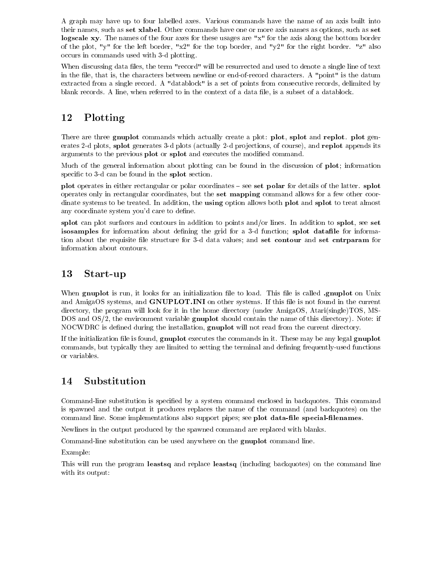A graph may have up to four labelled axes. Various commands have the name of an axis built into their names, such as set xlabel. Other commands have one or more axis names as options, such as set logscale xy. The names of the four axes for these usages are "x" for the axis along the bottom border of the plot, "y" for the left border, "x2" for the top border, and "y2" for the right border. "z" also occurs in commands used with 3-d plotting.

When discussing data files, the term "record" will be resurrected and used to denote a single line of text in the file, that is, the characters between newline or end-of-record characters. A "point" is the datum extracted from a single record. A "datablock" is a set of points from consecutive records, delimited by blank records. A line, when referred to in the context of a data le, is a subset of a datablock.

#### 12Plotting

There are three gnuplot commands which actually create a plot: plot, splot and replot. plot generates 2-d plots, splot generates 3-d plots (actually 2-d projections, of course), and replot appends its arguments to the previous plot or splot and executes the modified command.

Much of the general information about plotting can be found in the discussion of plot; information specific to 3-d can be found in the **splot** section.

plot operates in either rectangular or polar coordinates – see set polar for details of the latter. splot operates only in rectangular coordinates, but the set mapping command allows for a few other coordinate systems to be treated. In addition, the using option allows both plot and splot to treat almost any coordinate system you'd care to define.

splot can plot surfaces and contours in addition to points and/or lines. In addition to splot, see set isosamples for information about defining the grid for a 3-d function; splot datafile for information about the requisite file structure for 3-d data values; and set contour and set cntrparam for information about contours.

#### 13Start-up

When gnuplot is run, it looks for an initialization file to load. This file is called .gnuplot on Unix and AmigaOS systems, and GNUPLOT. INI on other systems. If this file is not found in the current directory, the program will look for it in the home directory (under AmigaOS, Atari(single)TOS, MS-DOS and  $OS/2$ , the environment variable **gnuplot** should contain the name of this directory). Note: if NOCWDRC is defined during the installation, gnuplot will not read from the current directory.

If the initialization file is found, gnuplot executes the commands in it. These may be any legal gnuplot commands, but typically they are limited to setting the terminal and defining frequently-used functions or variables.

#### 14Substitution

Command-line substitution is specied by a system command enclosed in backquotes. This command is spawned and the output it produces replaces the name of the command (and backquotes) on the command line. Some implementations also support pipes; see plot data-file special-filenames.

Newlines in the output produced by the spawned command are replaced with blanks.

Command-line substitution can be used anywhere on the gnuplot command line.

Example:

This will run the program leastsq and replace leastsq (including backquotes) on the command line with its output: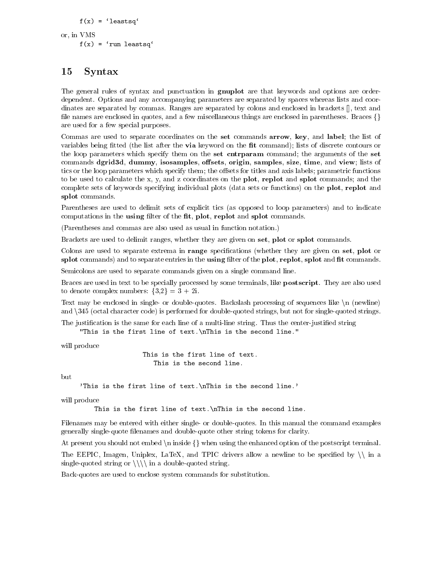$f(x) = 'leastsq'$ or, in VMS  $f(x) = 'run leastsq'$ 

#### 15Syntax

The general rules of syntax and punctuation in **gnuplot** are that keywords and options are orderdependent. Options and any accompanying parameters are separated by spaces whereas lists and coordinates are separated by commas. Ranges are separated by colons and enclosed in brackets [], text and file names are enclosed in quotes, and a few miscellaneous things are enclosed in parentheses. Braces  $\{\}$ are used for a few special purposes.

Commas are used to separate coordinates on the set commands arrow, key, and label; the list of variables being fitted (the list after the **via** keyword on the fit command); lists of discrete contours or the loop parameters which specify them on the set cntrparam command; the arguments of the set commands dgrid3d, dummy, isosamples, offsets, origin, samples, size, time, and view; lists of tics or the loop parameters which specify them; the offsets for titles and axis labels; parametric functions to be used to calculate the x, y, and z coordinates on the plot, replot and splot commands; and the complete sets of keywords specifying individual plots (data sets or functions) on the plot, replot and splot commands.

Parentheses are used to delimit sets of explicit tics (as opposed to loop parameters) and to indicate computations in the using filter of the fit, plot, replot and splot commands.

(Parentheses and commas are also used as usual in function notation.)

Brackets are used to delimit ranges, whether they are given on set, plot or splot commands.

Colons are used to separate extrema in range specifications (whether they are given on set, plot or splot commands) and to separate entries in the using filter of the plot, replot, splot and fit commands.

Semicolons are used to separate commands given on a single command line.

Braces are used in text to be specially processed by some terminals, like postscript. They are also used to denote complex numbers:  $\{3,2\} = 3 + 2i$ .

Text may be enclosed in single- or double-quotes. Backslash processing of sequences like  $n$  (newline) and  $345$  (octal character code) is performed for double-quoted strings, but not for single-quoted strings.

The justification is the same for each line of a multi-line string. Thus the center-justified string "This is the first line of text.\nThis is the second line."

will produce

This is the first line of text. This is the second line.

but

'This is the first line of text.\nThis is the second line.'

will produce

This is the first line of text.\nThis is the second line.

Filenames may be entered with either single- or double-quotes. In this manual the command examples generally single-quote lenames and double-quote other string tokens for clarity.

At present you should not embed  $\n$  inside  $\n$  when using the enhanced option of the postscript terminal.

The EEPIC, Imagen, Uniplex, LaTeX, and TPIC drivers allow a newline to be specified by  $\setminus \$ in a single-quoted string or  $\|\cdot\|$  in a double-quoted string.

Back-quotes are used to enclose system commands for substitution.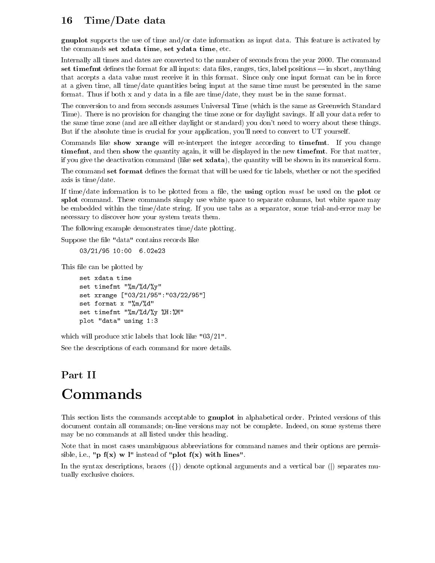### 16Time/Date data

gnuplot supports the use of time and/or date information as input data. This feature is activated by the commands set xdata time, set ydata time, etc.

Internally all times and dates are converted to the number of seconds from the year 2000. The command set time find defines the format for all inputs: data files, ranges, tics, label positions  $\equiv$  in short, anything that accepts a data value must receive it in this format. Since only one input format can be in force at a given time, all time/date quantities being input at the same time must be presented in the same format. Thus if both x and y data in a file are time/date, they must be in the same format.

The conversion to and from seconds assumes Universal Time (which is the same as Greenwich Standard Time). There is no provision for changing the time zone or for daylight savings. If all your data refer to the same time zone (and are all either daylight or standard) you don't need to worry about these things. But if the absolute time is crucial for your application, you'll need to convert to UT yourself.

Commands like show xrange will re-interpret the integer according to timefmt. If you change timefmt, and then show the quantity again, it will be displayed in the new timefmt. For that matter, if you give the deactivation command (like set xdata), the quantity will be shown in its numerical form.

The command set format defines the format that will be used for tic labels, whether or not the specified axis is time/date.

If time/date information is to be plotted from a file, the using option must be used on the plot or splot command. These commands simply use white space to separate columns, but white space may be embedded within the time/date string. If you use tabs as a separator, some trial-and-error may be necessary to discover how your system treats them.

The following example demonstrates time/date plotting.

Suppose the file "data" contains records like

03/21/95 10:00 6.02e23

This file can be plotted by

set xdata time set timefmt "%m/%d/%y" set xrange ["03/21/95":"03/22/95"] set format x "%m/%d" set timefmt "%m/%d/%y %H:%M" plot "data" using 1:3

which will produce xtic labels that look like "03/21". See the descriptions of each command for more details.

### Part II Commands <u>Commands and Commands and Commands and Commands and Commands and Commands and Commands and Commands and Commands and Commands and Commands and Commands and Commands and Commands and Commands and Commands and Commands and </u>

This section lists the commands acceptable to gnuplot in alphabetical order. Printed versions of this document contain all commands; on-line versions may not be complete. Indeed, on some systems there may be no commands at all listed under this heading.

Note that in most cases unambiguous abbreviations for command names and their options are permissible, i.e., "p  $f(x)$  w l" instead of "plot  $f(x)$  with lines".

In the syntax descriptions, braces  $({\{\})}$  denote optional arguments and a vertical bar () separates mutually exclusive choices.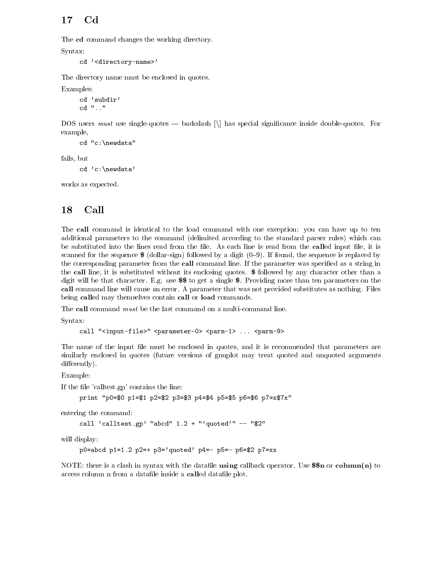## 17

The cd command changes the working directory.

Syntax:

cd '<directory-name>'

The directory name must be enclosed in quotes.

Examples:

cd 'subdir'

DOS users must use single-quotes — backslash  $[\n\cdot]$  has special significance inside double-quotes. For example,

```
communication and contract the contract of the contract of the contract of the contract of the contract of the contract of the contract of the contract of the contract of the contract of the contract of the contract of the
```
fails, but fails, but

```
cd 'c:\newdata'
```
works as expected.

#### Call 18

The call command isidentical to the load command with one exception: you can have up to ten additional parameters to the command (delimited according to the standard parser rules) which can be substituted into the lines read from the file. As each line is read from the called input file, it is scanned for the sequence  $\frac{1}{2}$  (dollar-sign) followed by a digit (0–9). If found, the sequence is replaced by the corresponding parameter from the **call** command line. If the parameter was specified as a string in the call line, it is substituted without its enclosing quotes. \$ followed by any character other than a digit will be that character. E.g. use \$\$ to get a single \$. Providing more than ten parameters on the call command line will cause an error. A parameter that was not provided substitutes as nothing. Files being called may themselves contain call or load commands.

The call command must be the last command on a multi-command line.

Syntax:

call "<input-file>" <parameter-0> <parm-1> ... <parm-9>

The name of the input file must be enclosed in quotes, and it is recommended that parameters are similarly enclosed in quotes (future versions of gnuplot may treat quoted and unquoted arguments differently).

Example:

If the file 'calltest.gp' contains the line:

print "p0=\$0 p1=\$1 p2=\$2 p3=\$3 p4=\$4 p5=\$5 p6=\$6 p7=x\$7x"

entering the command:

call 'calltest.gp' "abcd"  $1.2 +$  "'quoted'" -- "\$2"

will display:

```
p0=abcd p1=1.2 p2=+ p3='quoted' p4=- p5=- p6=$2 p7=xx
```
NOTE: there is a clash in syntax with the datafile using callback operator. Use  $\$\$ n or column(n) to access column n from a datafile inside a called datafile plot.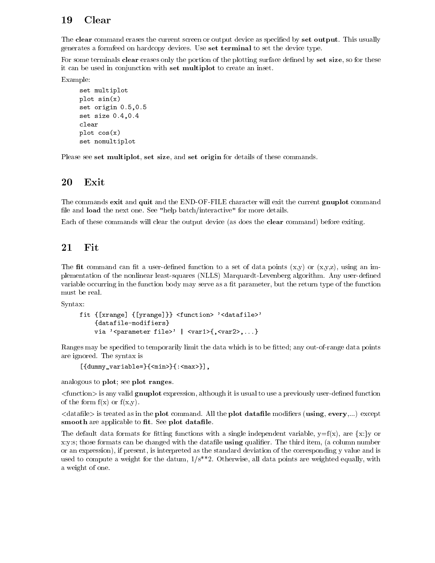#### 19Clear

The clear command erases the current screen or output device as specified by set output. This usually generates a formfeed on hardcopy devices. Use set terminal to set the device type.

For some terminals clear erases only the portion of the plotting surface defined by set size, so for these it can be used in conjunction with set multiplot to create an inset.

Example:

```
set multiplot
plot sin(x)
set origin 0.5,0.5
set size 0.4,0.4
clear
plot cos(x)
set nomultiplot
```
Please see set multiplot, set size, and set origin for details of these commands.

### $\boldsymbol{\mathrm{Exit}}$

The commands exit and quit and the END-OF-FILE character will exit the current gnuplot command file and load the next one. See "help batch/interactive" for more details.

Each of these commands will clear the output device (as does the clear command) before exiting.

#### 21 **Fit**

The fit command can fit a user-defined function to a set of data points  $(x,y)$  or  $(x,y,z)$ , using an implementation of the nonlinear least-squares (NLLS) Marquardt-Levenberg algorithm. Any user-defined variable occurring in the function body may serve as a fit parameter, but the return type of the function must be real.

Syntax:

```
fit {[xrange] {[yrange]}} <function> '<datafile>'
    {datafile-modifiers}
    via '<parameter file>' | <var1>{,<var2>,...}
```
Ranges may be specified to temporarily limit the data which is to be fitted; any out-of-range data points are ignored. The syntax is

```
[{{\text{dummy\_variable}}}={\text{((\text{min})}, {\text{((\text{max}))}}},
```
analogous to plot; see plot ranges.

 $\epsilon$  =  $\epsilon$  is any valid grauplot expression, although it is usual to use a previously user-defined function of the form  $f(x)$  or  $f(x,y)$ .

 $\langle$  datafile is treated as in the plot command. All the plot datafile modifiers (using, every,...) except smooth are applicable to fit. See plot datafile.

The default data formats for fitting functions with a single independent variable,  $y=f(x)$ , are  $\{x:\}y$  or x:y:s; those formats can be changed with the datafile using qualifier. The third item, (a column number or an expression), if present, is interpreted as the standard deviation of the corresponding y value and is used to compute a weight for the datum,  $1/s**2$ . Otherwise, all data points are weighted equally, with a weight of one.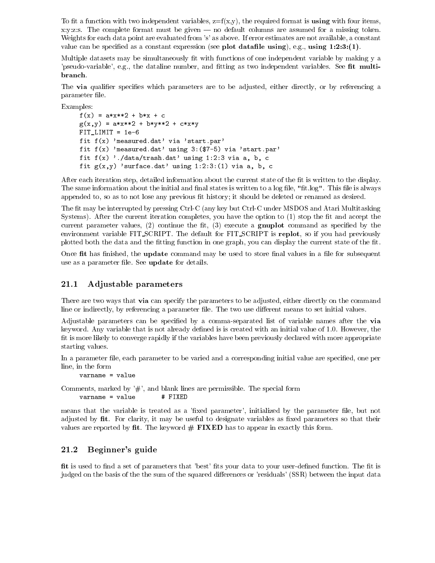To fit a function with two independent variables,  $z=f(x,y)$ , the required format is using with four items,  $x:y:z:s$ . The complete format must be given — no default columns are assumed for a missing token. Weights for each data point are evaluated from 's' as above. If error estimates are not available, a constant value can be specified as a constant expression (see plot datafile using), e.g., using  $1:2:3:(1)$ .

Multiple datasets may be simultaneously fit with functions of one independent variable by making y a 'pseudo-variable', e.g., the dataline number, and fitting as two independent variables. See fit multibranch.

The via qualifier specifies which parameters are to be adjusted, either directly, or by referencing a parameter file.

```
Examples:
```

```
f(x) = a*x**2 + b*x + cg(x,y) = a*x**2 + b*y**2 + c*x*yFIT_LIMIT = 1e-6fit f(x) 'measured.dat' via 'start.par'
fit f(x) 'measured.dat' using 3:($7-5) via 'start.par'
fit f(x) './data/trash.dat' using 1:2:3 via a, b, c
fit g(x, y) 'surface.dat' using 1:2:3:(1) via a, b, c
```
After each iteration step, detailed information about the current state of the fit is written to the display. The same information about the initial and final states is written to a log file, "fit.log". This file is always appended to, so as to not lose any previous fit history; it should be deleted or renamed as desired.

The fit may be interrupted by pressing Ctrl-C (any key but Ctrl-C under MSDOS and Atari Multitasking Systems). After the current iteration completes, you have the option to  $(1)$  stop the fit and accept the current parameter values,  $(2)$  continue the fit,  $(3)$  execute a gnuplot command as specified by the environment variable FIT SCRIPT. The default for FIT SCRIPT is replot, so if you had previously plotted both the data and the fitting function in one graph, you can display the current state of the fit.

Once fit has finished, the update command may be used to store final values in a file for subsequent use as a parameter file. See update for details.

### 21.1 Adjustable parameters

There are two ways that via can specify the parameters to be adjusted, either directly on the command line or indirectly, by referencing a parameter file. The two use different means to set initial values.

Adjustable parameters can be specified by a comma-separated list of variable names after the via keyword. Any variable that is not already defined is is created with an initial value of 1.0. However, the fit is more likely to converge rapidly if the variables have been previously declared with more appropriate starting values.

In a parameter file, each parameter to be varied and a corresponding initial value are specified, one per line, in the form

varname = value

Comments, marked by  $\frac{1}{4}$ , and blank lines are permissible. The special form varname = value # FIXED

means that the variable is treated as a 'fixed parameter', initialized by the parameter file, but not adjusted by fit. For clarity, it may be useful to designate variables as fixed parameters so that their values are reported by fit. The keyword  $#$  **FIXED** has to appear in exactly this form.

### 21.2 Beginner's guide

fit is used to find a set of parameters that 'best' fits your data to your user-defined function. The fit is judged on the basis of the the sum of the squared differences or 'residuals' (SSR) between the input data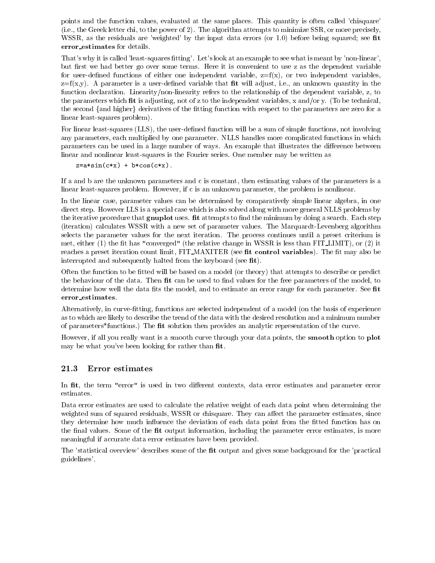points and the function values, evaluated at the same places. This quantity is often called 'chisquare' (i.e., the Greek letter chi, to the power of 2). The algorithm attempts to minimize SSR, or more precisely, WSSR, as the residuals are 'weighted' by the input data errors (or 1.0) before being squared; see  $fit$ error estimates for details.

That's why it is called 'least-squares fitting'. Let's look at an example to see what is meant by 'non-linear', but first we had better go over some terms. Here it is convenient to use z as the dependent variable for user-defined functions of either one independent variable,  $z=f(x)$ , or two independent variables,  $z = f(x,y)$ . A parameter is a user-defined variable that fit will adjust, i.e., an unknown quantity in the function declaration. Linearity/non-linearity refers to the relationship of the dependent variable, z, to the parameters which  $\mathbf{fit}$  is adjusting, not of z to the independent variables, x and/or y. (To be technical, the second  $\{$ and higher $\}$  derivatives of the fitting function with respect to the parameters are zero for a linear least-squares problem).

For linear least-squares (LLS), the user-defined function will be a sum of simple functions, not involving any parameters, each multiplied by one parameter. NLLS handles more complicated functions in which parameters can be used in a large number of ways. An example that illustrates the difference between linear and nonlinear least-squares is the Fourier series. One member may be written as

 $z = a * sin(c * x) + b * cos(c * x).$ 

If a and b are the unknown parameters and c is constant, then estimating values of the parameters is a linear least-squares problem. However, if c is an unknown parameter, the problem is nonlinear.

In the linear case, parameter values can be determined by comparatively simple linear algebra, in one direct step. However LLS is a special case which is also solved along with more general NLLS problems by the iterative procedure that gnuplot uses. fit attempts to find the minimum by doing a search. Each step (iteration) calculates WSSR with a new set of parameter values. The Marquardt-Levenberg algorithm selects the parameter values for the next iteration. The process continues until a preset criterium is met, either  $(1)$  the fit has "converged" (the relative change in WSSR is less than FIT LIMIT), or  $(2)$  it reaches a preset iteration count limit, FIT\_MAXITER (see fit control variables). The fit may also be interrupted and subsequently halted from the keyboard (see  $\text{fit}$ ).

Often the function to be fitted will be based on a model (or theory) that attempts to describe or predict the behaviour of the data. Then **fit** can be used to find values for the free parameters of the model, to determine how well the data fits the model, and to estimate an error range for each parameter. See  $fit$ error\_estimates.

Alternatively, in curve-tting, functions are selected independent of a model (on the basis of experience as to which are likely to describe the trend of the data with the desired resolution and a minimum number of parameters\*functions.) The **fit** solution then provides an analytic representation of the curve.

However, if all you really want is a smooth curve through your data points, the smooth option to plot may be what you've been looking for rather than fit.

#### 21.3 Error estimates

In fit, the term "error" is used in two different contexts, data error estimates and parameter error estimates.

Data error estimates are used to calculate the relative weight of each data point when determining the weighted sum of squared residuals, WSSR or chisquare. They can affect the parameter estimates, since they determine how much influence the deviation of each data point from the fitted function has on the final values. Some of the fit output information, including the parameter error estimates, is more meaningful if accurate data error estimates have been provided.

The 'statistical overview' describes some of the **fit** output and gives some background for the 'practical guidelines'.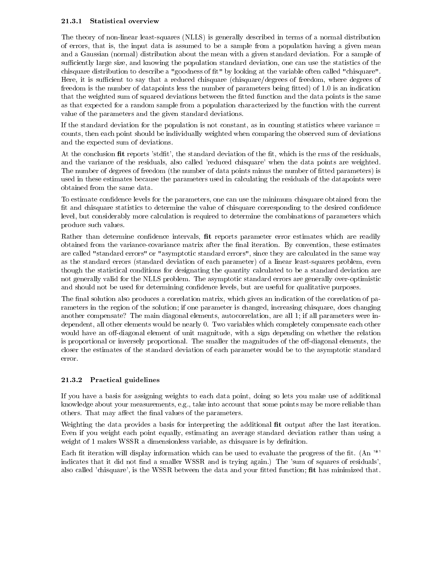The theory of non-linear least-squares (NLLS) is generally described in terms of a normal distribution of errors, that is, the input data is assumed to be a sample from a population having a given mean and a Gaussian (normal) distribution about the mean with a given standard deviation. For a sample of sufficiently large size, and knowing the population standard deviation, one can use the statistics of the chisquare distribution to describe a "goodness of fit" by looking at the variable often called "chisquare". Here, it is sufficient to say that a reduced chisquare (chisquare/degrees of freedom, where degrees of freedom is the number of datapoints less the number of parameters being fitted) of 1.0 is an indication that the weighted sum of squared deviations between the fitted function and the data points is the same as that expected for a random sample from a population characterized by the function with the current value of the parameters and the given standard deviations.

If the standard deviation for the population is not constant, as in counting statistics where variance  $=$ counts, then each point should be individually weighted when comparing the observed sum of deviations and the expected sum of deviations.

At the conclusion  $\overline{\mathbf{f}}$  reports 'stdfit', the standard deviation of the fit, which is the rms of the residuals, and the variance of the residuals, also called 'reduced chisquare' when the data points are weighted. The number of degrees of freedom (the number of data points minus the number of fitted parameters) is used in these estimates because the parameters used in calculating the residuals of the datapoints were obtained from the same data.

To estimate condence levels for the parameters, one can use the minimum chisquare obtained from the fit and chisquare statistics to determine the value of chisquare corresponding to the desired confidence level, but considerably more calculation is required to determine the combinations of parameters which produce such values.

Rather than determine confidence intervals, fit reports parameter error estimates which are readily obtained from the variance-covariance matrix after the final iteration. By convention, these estimates are called "standard errors" or "asymptotic standard errors", since they are calculated in the same way as the standard errors (standard deviation of each parameter) of a linear least-squares problem, even though the statistical conditions for designating the quantity calculated to be a standard deviation are not generally valid for the NLLS problem. The asymptotic standard errors are generally over-optimistic and should not be used for determining confidence levels, but are useful for qualitative purposes.

The final solution also produces a correlation matrix, which gives an indication of the correlation of parameters in the region of the solution; if one parameter is changed, increasing chisquare, does changing another compensate? The main diagonal elements, autocorrelation, are all 1; if all parameters were independent, all other elements would be nearly 0. Two variables which completely compensate each other would have an off-diagonal element of unit magnitude, with a sign depending on whether the relation is proportional or inversely proportional. The smaller the magnitudes of the off-diagonal elements, the closer the estimates of the standard deviation of each parameter would be to the asymptotic standard error.

### 21.3.2 Practical guidelines

If you have a basis for assigning weights to each data point, doing so lets you make use of additional knowledge about your measurements, e.g., take into account that some points may be more reliable than others. That may affect the final values of the parameters.

Weighting the data provides a basis for interpreting the additional fit output after the last iteration. Even if you weight each point equally, estimating an average standard deviation rather than using a weight of 1 makes WSSR a dimensionless variable, as chisquare is by definition.

Each fit iteration will display information which can be used to evaluate the progress of the fit. (An  $'$ \*') indicates that it did not find a smaller WSSR and is trying again.) The 'sum of squares of residuals', also called 'chisquare', is the WSSR between the data and your fitted function; fit has minimized that.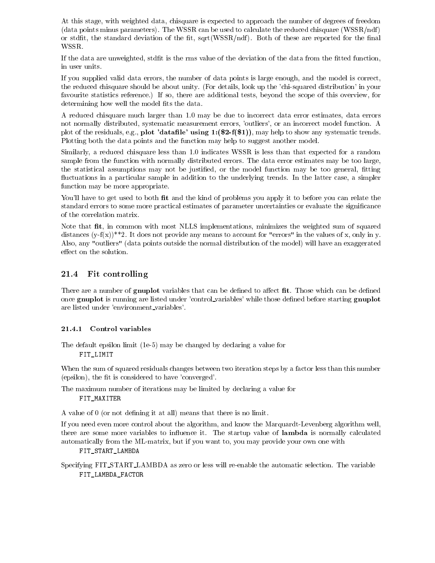At this stage, with weighted data, chisquare is expected to approach the number of degrees of freedom (data points minus parameters). The WSSR can be used to calculate the reduced chisquare (WSSR/ndf) or stdfit, the standard deviation of the fit,  $sqrt(WSSR/ndf)$ . Both of these are reported for the final WSSR.

If the data are unweighted, stdfit is the rms value of the deviation of the data from the fitted function, in user units.

If you supplied valid data errors, the number of data points is large enough, and the model is correct, the reduced chisquare should be about unity. (For details, look up the 'chi-squared distribution' in your favourite statistics reference.) If so, there are additional tests, beyond the scope of this overview, for determining how well the model fits the data.

A reduced chisquare much larger than 1.0 may be due to incorrect data error estimates, data errors not normally distributed, systematic measurement errors, 'outliers', or an incorrect model function. A plot of the residuals, e.g., **plot 'datafile' using**  $1:(\$2-f(\$1))$ , may help to show any systematic trends. Plotting both the data points and the function may help to suggest another model.

Similarly, a reduced chisquare less than 1.0 indicates WSSR is less than that expected for a random sample from the function with normally distributed errors. The data error estimates may be too large, the statistical assumptions may not be justified, or the model function may be too general, fitting fluctuations in a particular sample in addition to the underlying trends. In the latter case, a simpler function may be more appropriate.

You'll have to get used to both fit and the kind of problems you apply it to before you can relate the standard errors to some more practical estimates of parameter uncertainties or evaluate the signicance of the correlation matrix.

Note that fit, in common with most NLLS implementations, minimizes the weighted sum of squared distances  $(y-f(x))^{**}$ ? It does not provide any means to account for "errors" in the values of x, only in y. Also, any "outliers" (data points outside the normal distribution of the model) will have an exaggerated effect on the solution.

### 21.4 Fit controlling

There are a number of **gnuplot** variables that can be defined to affect fit. Those which can be defined once gnuplot is running are listed under 'control-variables' while those defined before starting gnuplot are listed under 'environment variables'.

### 21.4.1 Control variables

The default epsilon limit (1e-5) may be changed by declaring a value for

FIT\_LIMIT

When the sum of squared residuals changes between two iteration steps by a factor less than this number (epsilon), the fit is considered to have 'converged'.

The maximum number of iterations may be limited by declaring a value for FIT\_MAXITER

A value of 0 (or not defining it at all) means that there is no limit.

If you need even more control about the algorithm, and know the Marquardt-Levenberg algorithm well, there are some more variables to influence it. The startup value of **lambda** is normally calculated automatically from the ML-matrix, but if you want to, you may provide your own one with

### FITLE CONTRACTOR COMPANY

Specifying FIT START LAMBDA as zero or less will re-enable the automatic selection. The variable FIT\_LAMBDA\_FACTOR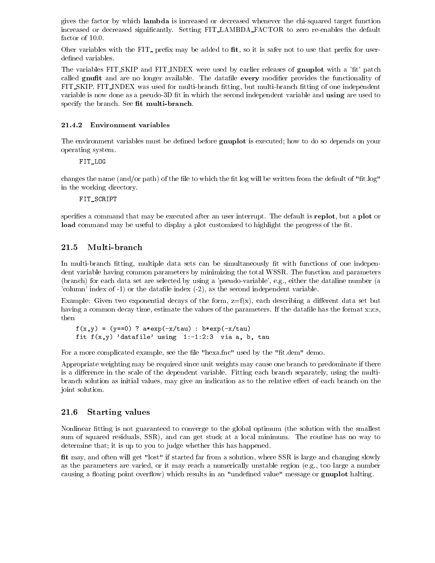gives the factor by which lambda is increased or decreased whenever the chi-squared target function increased or decreased signicantly. Setting FIT LAMBDA FACTOR to zero re-enables the default factor of 10.0.

Oher variables with the FIT<sub>-</sub> prefix may be added to  $\mathbf{fit}$ , so it is safer not to use that prefix for userdefined variables.

The variables FIT\_SKIP and FIT\_INDEX were used by earlier releases of gnuplot with a 'fit' patch called gnufit and are no longer available. The datafile every modifier provides the functionality of FIT\_SKIP. FIT\_INDEX was used for multi-branch fitting, but multi-branch fitting of one independent variable is now done as a pseudo-3D fit in which the second independent variable and using are used to specify the branch. See fit multi-branch.

### 21.4.2 Environment variables

The environment variables must be defined before **gnuplot** is executed; how to do so depends on your operating system.

FIT\_LOG

changes the name (and/or path) of the file to which the fit log will be written from the default of "fit.log" in the working directory.

FIT\_SCRIPT

specifies a command that may be executed after an user interrupt. The default is replot, but a plot or **load** command may be useful to display a plot customized to highlight the progress of the fit.

In multi-branch fitting, multiple data sets can be simultaneously fit with functions of one independent variable having common parameters by minimizing the total WSSR. The function and parameters (branch) for each data set are selected by using a 'pseudo-variable', e.g., either the dataline number (a 'column' index of  $-1$ ) or the datafile index  $(-2)$ , as the second independent variable.

Example: Given two exponential decays of the form,  $z=f(x)$ , each describing a different data set but having a common decay time, estimate the values of the parameters. If the datafile has the format x:z:s, then

 $f(x,y) = (y == 0)$  ?  $a * exp(-x/tau)$  :  $b * exp(-x/tau)$ fit  $f(x,y)$  'datafile' using  $1:-1:2:3$  via a, b, tau

For a more complicated example, see the file "hexa.fnc" used by the "fit.dem" demo.

Appropriate weighting may be required since unit weights may cause one branch to predominate if there is a difference in the scale of the dependent variable. Fitting each branch separately, using the multibranch solution as initial values, may give an indication as to the relative effect of each branch on the joint solution.

#### 21.6 **Starting values**

Nonlinear fitting is not guaranteed to converge to the global optimum (the solution with the smallest sum of squared residuals, SSR), and can get stuck at a local minimum. The routine has no way to determine that; it is up to you to judge whether this has happened.

fit may, and often will get "lost" if started far from a solution, where SSR is large and changing slowly as the parameters are varied, or it may reach a numerically unstable region (e.g., too large a number causing a floating point overflow) which results in an "undefined value" message or gnuplot halting.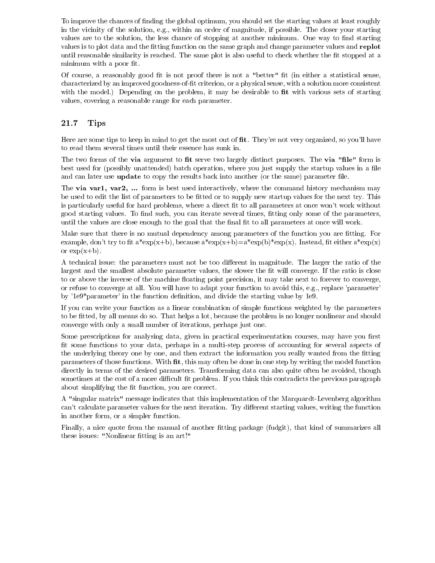To improve the chances of nding the global optimum, you should set the starting values at least roughly in the vicinity of the solution, e.g., within an order of magnitude, if possible. The closer your starting values are to the solution, the less chance of stopping at another minimum. One way to find starting values is to plot data and the fitting function on the same graph and change parameter values and replot until reasonable similarity is reached. The same plot is also useful to check whether the fit stopped at a minimum with a poor fit.

Of course, a reasonably good fit is not proof there is not a "better" fit (in either a statistical sense, characterized by an improved goodness-of-t criterion, or a physical sense, with a solution more consistent with the model.) Depending on the problem, it may be desirable to  $\mathbf{fit}$  with various sets of starting values, covering a reasonable range for each parameter.

### 21.7 Tips

Here are some tips to keep in mind to get the most out of fit. They're not very organized, so you'll have to read them several times until their essence has sunk in.

The two forms of the via argument to fit serve two largely distinct purposes. The via "file" form is best used for (possibly unattended) batch operation, where you just supply the startup values in a file and can later use **update** to copy the results back into another (or the same) parameter file.

The via var1, var2, ... form is best used interactively, where the command history mechanism may be used to edit the list of parameters to be fitted or to supply new startup values for the next try. This is particularly useful for hard problems, where a direct fit to all parameters at once won't work without good starting values. To find such, you can iterate several times, fitting only some of the parameters, until the values are close enough to the goal that the final fit to all parameters at once will work.

Make sure that there is no mutual dependency among parameters of the function you are fitting. For example, don't try to fit a\*exp(x+b), because a\*exp(x+b)=a\*exp(b)\*exp(x). Instead, fit either a\*exp(x) or  $\exp(x+b)$ .

A technical issue: the parameters must not be too different in magnitude. The larger the ratio of the largest and the smallest absolute parameter values, the slower the fit will converge. If the ratio is close to or above the inverse of the machine floating point precision, it may take next to forever to converge, or refuse to converge at all. You will have to adapt your function to avoid this, e.g., replace 'parameter' by  $1e9*$  parameter' in the function definition, and divide the starting value by 1e9.

If you can write your function as a linear combination of simple functions weighted by the parameters to be fitted, by all means do so. That helps a lot, because the problem is no longer nonlinear and should converge with only a small number of iterations, perhaps just one.

Some prescriptions for analysing data, given in practical experimentation courses, may have you first fit some functions to your data, perhaps in a multi-step process of accounting for several aspects of the underlying theory one by one, and then extract the information you really wanted from the fitting parameters of those functions. With  $\text{fit}$ , this may often be done in one step by writing the model function directly in terms of the desired parameters. Transforming data can also quite often be avoided, though sometimes at the cost of a more difficult fit problem. If you think this contradicts the previous paragraph about simplifying the fit function, you are correct.

A "singular matrix" message indicates that this implementation of the Marquardt-Levenberg algorithm can't calculate parameter values for the next iteration. Try different starting values, writing the function in another form, or a simpler function.

Finally, a nice quote from the manual of another fitting package (fudgit), that kind of summarizes all these issues: "Nonlinear fitting is an art!"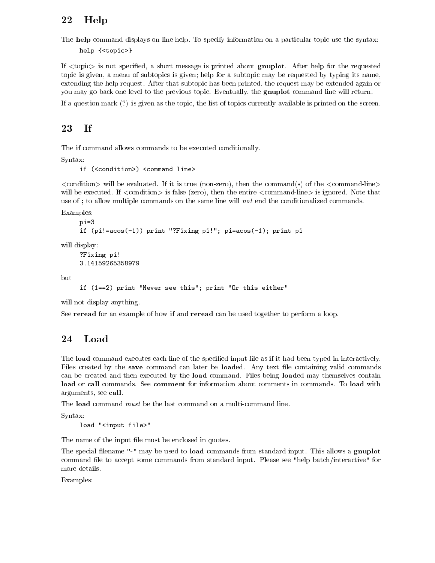#### 22Help

The help command displays on-line help. To specify information on a particular topic use the syntax: help {<topic>}

If <topic> is not specied, a short message is printed about gnuplot. After help for the requested topic is given, a menu of subtopics is given; help for a subtopic may be requested by typing its name, extending the help request. After that subtopic has been printed, the request may be extended again or you may go back one level to the previous topic. Eventually, the gnuplot command line will return.

If a question mark (?) is given as the topic, the list of topics currently available is printed on the screen.

#### 23 **If**

The if command allows commands to be executed conditionally.

Syntax:

if (<condition>) <command-line>

 $\alpha$  <condition will be evaluated. If it is true (non-zero), then the command(s) of the  $\alpha$  <command-line will be executed. If  $\leq$ condition $\geq$  is false (zero), then the entire  $\leq$ command-line $\geq$  is ignored. Note that use of ; to allow multiple commands on the same line will not end the conditionalized commands.

Examples:

```
pi=3
if (pi!=acos(-1)) print "?Fixing pi!"; pi=acos(-1); print pi
```
will display:

```
?Fixing pi!
3.14159265358979
```
if (1==2) print "Never see this"; print "Or this either"

will not display anything.

See reread for an example of how if and reread can be used together to perform a loop.

## 24

The load command executes each line of the specified input file as if it had been typed in interactively. Files created by the save command can later be loaded. Any text le containing valid commands can be created and then executed by the load command. Files being loaded may themselves contain load or call commands. See comment for information about comments in commands. To load with arguments, see call.

The **load** command *must* be the last command on a multi-command line.

Syntax:

load "<input-file>"

The name of the input file must be enclosed in quotes.

The special filename "-" may be used to **load** commands from standard input. This allows a gnuplot command file to accept some commands from standard input. Please see "help batch/interactive" for more details.

Examples: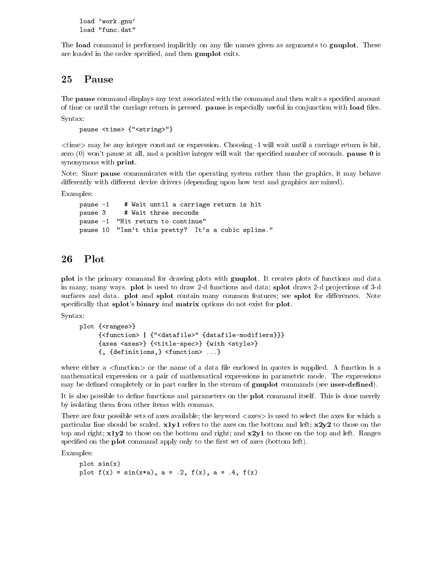load 'work.gnu'

The **load** command is performed implicitly on any file names given as arguments to **gnuplot**. These are loaded in the order specified, and then gnuplot exits.

#### 25 Pause

The **pause** command displays any text associated with the command and then waits a specified amount of time or until the carriage return is pressed. pause is especially useful in conjunction with load files. Syntax:

pause <time> {"<string>"}

<time> may be any integer constant or expression. Choosing -1 will wait until a carriage return is hit, zero  $(0)$  won't pause at all, and a positive integer will wait the specified number of seconds. **pause 0** is synonymous with print.

Note: Since pause communicates with the operating system rather than the graphics, it may behave differently with different device drivers (depending upon how text and graphics are mixed).

Examples:

```
pause -1 # Wait until a carriage return is hit
pause 3 # Wait three seconds
pause -1 "Hit return to continue"
pause 10 "Isn't this pretty? It's a cubic spline."
```
#### 26 Plot 26

plot is the primary command for drawing plots with gnuplot. It creates plots of functions and data in many, many ways. plot is used to draw 2-d functions and data; splot draws 2-d projections of 3-d surfaces and data. plot and splot contain many common features; see splot for differences. Note specifically that splot's binary and matrix options do not exist for plot.

Syntax:

```
plot {<ranges>}
     {<function> | {"<datafile>" {datafile-modifiers}}}
     {axes <axes>} {<title-spec>} {with <style>}
     {, {definitions,} <function> ...}
```
where either a  $\lt$  function  $\gt$  or the name of a data file enclosed in quotes is supplied. A function is a mathematical expression or a pair of mathematical expressions in parametric mode. The expressions may be defined completely or in part earlier in the stream of **gnuplot** commands (see **user-defined**).

It is also possible to define functions and parameters on the **plot** command itself. This is done merely by isolating them from other items with commas.

There are four possible sets of axes available; the keyword  $\langle$  axes $\rangle$  is used to select the axes for which a particular line should be scaled.  $x1y1$  refers to the axes on the bottom and left;  $x2y2$  to those on the top and right;  $x1y2$  to those on the bottom and right; and  $x2y1$  to those on the top and left. Ranges specified on the **plot** command apply only to the first set of axes (bottom left).

Examples:

plot sin(x) plot  $f(x) = sin(x*a)$ , a = .2,  $f(x)$ , a = .4,  $f(x)$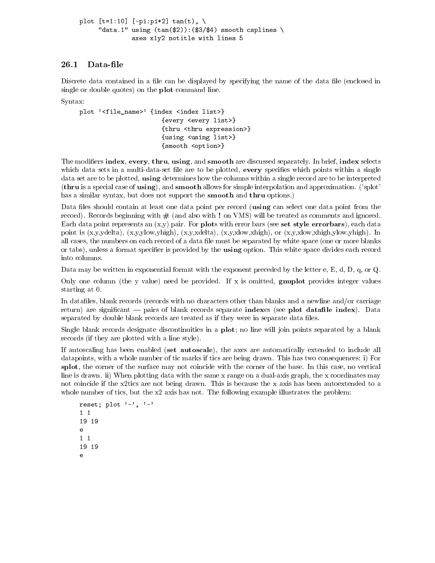```
plot [t=1:10] [-pi:pi*2] tan(t), \setminus"data.1" using (tan(\$2)):(\$3/\$4) smooth csplines \
               axes x1y2 notitle with lines 5
```
#### 26.1 Data-file

Discrete data contained in a file can be displayed by specifying the name of the data file (enclosed in single or double quotes) on the plot command line.

Syntax:

```
plot '<file_name>' {index <index list>}
                      {every <every list>}
                      {thru <thru expression>}
                      {using <using list>}
                      {smooth <option>}
```
The modifiers index, every, thru, using, and smooth are discussed separately. In brief, index selects which data sets in a multi-data-set file are to be plotted, every specifies which points within a single data set are to be plotted, using determines how the columns within a single record are to be interpreted (thru is a special case of using), and smooth allows for simple interpolation and approximation. ('splot' has a similar syntax, but does not support the **smooth** and **thru** options.)

Data files should contain at least one data point per record (using can select one data point from the record). Records beginning with  $\#$  (and also with ! on VMS) will be treated as comments and ignored. Each data point represents an  $(x,y)$  pair. For **plots** with error bars (see set style errorbars), each data point is (x,y,ydelta), (x,y,ylow,yhigh), (x,y,xdelta), (x,y,xlow,xhigh), or (x,y,xlow,xhigh,ylow,yhigh). In all cases, the numbers on each record of a data le must be separated by white space (one or more blanks or tabs), unless a format specifier is provided by the using option. This white space divides each record into columns.

Data may be written in exponential format with the exponent preceded by the letter e, E, d, D, q, or Q.

Only one column (the y value) need be provided. If x is omitted, grapplot provides integer values starting at 0.

In datafiles, blank records (records with no characters other than blanks and a newline and/or carriage return) are significant  $-$  pairs of blank records separate indexes (see plot datafile index). Data separated by double blank records are treated as if they were in separate data files.

Single blank records designate discontinuities in a plot; no line will join points separated by a blank records (if they are plotted with a line style).

If autoscaling has been enabled (set autoscale), the axes are automatically extended to include all datapoints, with a whole number of tic marks if tics are being drawn. This has two consequences: i) For splot, the corner of the surface may not coincide with the corner of the base. In this case, no vertical line is drawn. ii) When plotting data with the same x range on a dual-axis graph, the x coordinates may not coincide if the x2tics are not being drawn. This is because the x axis has been autoextended to a whole number of tics, but the x2 axis has not. The following example illustrates the problem:

```
reset; plot '-', '-'1\quad119 19
\epsilon1 1
19 19
```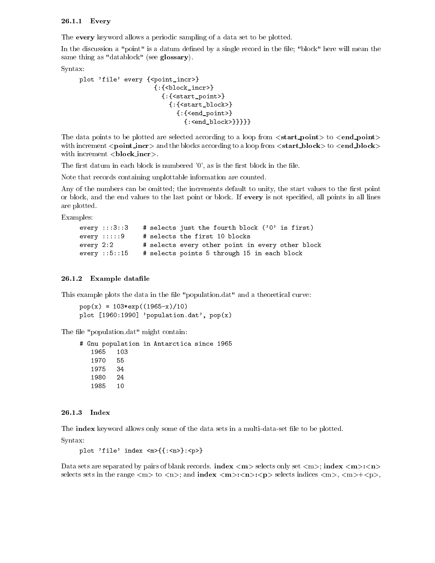### 26.1.1 Every

The every keyword allows a periodic sampling of a data set to be plotted.

In the discussion a "point" is a datum defined by a single record in the file; "block" here will mean the same thing as "datablock" (see glossary).

Syntax:

```
plot 'file' every {<point_incr>}
                    {:{<block_incr>}
                      {:{<start_point>}
                        {:{<start_block>}
                          {:{<end_point>}
                            {:<end_block>}}}}}
```
The data points to be plotted are selected according to a loop from  $\lt$ **start\_point** $>$  to  $\lt$ **end\_point** $>$ with increment  $\langle$ **point\_incr>** and the blocks according to a loop from  $\langle$ **start\_block>** to  $\langle$ **end\_block>** with increment **.** 

The first datum in each block is numbered  $'0'$ , as is the first block in the file.

Note that records containing unplottable information are counted.

Any of the numbers can be omitted; the increments default to unity, the start values to the first point or block, and the end values to the last point or block. If every is not specied, all points in all lines are plotted.

Examples:

```
every :::3::3 # selects just the fourth block ('0' is first)
every :::::9 # selects the first 10 blocks
every 2:2 # selects every other point in every other block
every ::5::15 # selects points 5 through 15 in each block
```
### 26.1.2 Example datafile

This example plots the data in the file "population.dat" and a theoretical curve:

```
pop(x) = 103*exp((1965-x)/10)plot [1960:1990] 'population.dat', pop(x)
```
The file "population.dat" might contain:

```
# Gnu population in Antarctica since 1965
   1965 103
   1970
          55
   1975
          34
   1980
          24
   1985
         10
```
### $26.1.3$  Index

The index keyword allows only some of the data sets in a multi-data-set file to be plotted.

Syntax:

plot 'file' index <m>{{:<n>}:<p>}

Data sets are separated by pairs of blank records. index  $\langle m \rangle$  selects only set  $\langle m \rangle$ ; index  $\langle m \rangle$ : $\langle n \rangle$ selects sets in the range  $\langle m \rangle$  to  $\langle n \rangle$ ; and **index**  $\langle m \rangle$ : $\langle n \rangle$ : $\langle p \rangle$  selects indices  $\langle m \rangle$ ,  $\langle m \rangle$ + $\langle p \rangle$ ,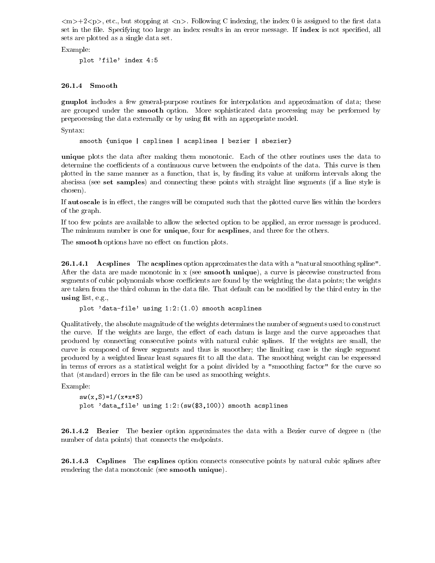$\langle m \rangle + 2 \langle p \rangle$ , etc., but stopping at  $\langle n \rangle$ . Following C indexing, the index 0 is assigned to the first data set in the file. Specifying too large an index results in an error message. If index is not specified, all sets are plotted as a single data set.

Example:

plot 'file' index 4:5

### 26.1.4 Smooth

gnuplot includes a few general-purpose routines for interpolation and approximation of data; these are grouped under the smooth option. More sophisticated data processing may be performed by preprocessing the data externally or by using  $\text{fit}$  with an appropriate model.

Syntax:

smooth {unique | csplines | acsplines | bezier | sbezier}

unique plots the data after making them monotonic. Each of the other routines uses the data to determine the coefficients of a continuous curve between the endpoints of the data. This curve is then plotted in the same manner as a function, that is, by finding its value at uniform intervals along the abscissa (see set samples) and connecting these points with straight line segments (if a line style is chosen).

If **autoscale** is in effect, the ranges will be computed such that the plotted curve lies within the borders of the graph.

If too few points are available to allow the selected option to be applied, an error message is produced. The minimum number is one for **unique**, four for **acsplines**, and three for the others.

The smooth options have no effect on function plots.

26.1.4.1 Acsplines The acsplines option approximates the data with a "natural smoothing spline". After the data are made monotonic in x (see **smooth unique**), a curve is piecewise constructed from segments of cubic polynomials whose coefficients are found by the weighting the data points; the weights are taken from the third column in the data file. That default can be modified by the third entry in the using list, e.g.,

```
plot 'data-file' using 1:2:(1.0) smooth acsplines
```
Qualitatively, the absolute magnitude of the weights determines the number of segments used to construct the curve. If the weights are large, the effect of each datum is large and the curve approaches that produced by connecting consecutive points with natural cubic splines. If the weights are small, the curve is composed of fewer segments and thus is smoother; the limiting case is the single segment produced by a weighted linear least squares fit to all the data. The smoothing weight can be expressed in terms of errors as a statistical weight for a point divided by a "smoothing factor" for the curve so that (standard) errors in the file can be used as smoothing weights.

Example:

```
sw(x, S)=1/(x*x*S)plot 'data_file' using 1:2:(sw($3,100)) smooth acsplines
```
26.1.4.2 Bezier The bezier option approximates the data with a Bezier curve of degree n (the number of data points) that connects the endpoints.

26.1.4.3 Csplines The csplines option connects consecutive points by natural cubic splines after rendering the data monotonic (see **smooth unique**).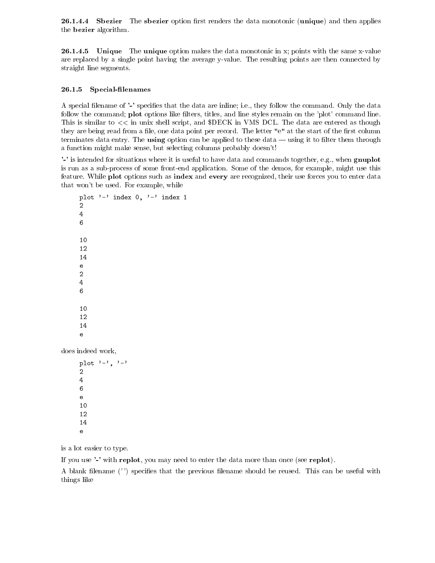26.1.4.4 Sbezier The sbezier option first renders the data monotonic (unique) and then applies the bezier algorithm.

26.1.4.5 Unique The unique option makes the data monotonic in x; points with the same x-value are replaced by a single point having the average y-value. The resulting points are then connected by straight line segments.

### 26.1.5 Special-lenames

A special filename of '-' specifies that the data are inline; i.e., they follow the command. Only the data follow the command; **plot** options like filters, titles, and line styles remain on the 'plot' command line. This is similar to << in unix shell script, and \$DECK in VMS DCL. The data are entered as though they are being read from a file, one data point per record. The letter "e" at the start of the first column terminates data entry. The using option can be applied to these data  $-$  using it to filter them through a function might make sense, but selecting columns probably doesn't!

 $\cdot$ -' is intended for situations where it is useful to have data and commands together, e.g., when gnuplot is run as a sub-process of some front-end application. Some of the demos, for example, might use this feature. While plot options such as index and every are recognized, their use forces you to enter data that won't be used. For example, while

plot  $'-$  index 0,  $'-$  index 1 4 6 12 14 6 10 12 14

does indeed work,

plot  $'-'$ ,  $'-'$ 6 e 10 12 14 e

is a lot easier to type.

If you use '-' with replot, you may need to enter the data more than once (see replot).

A blank filename (') specifies that the previous filename should be reused. This can be useful with things like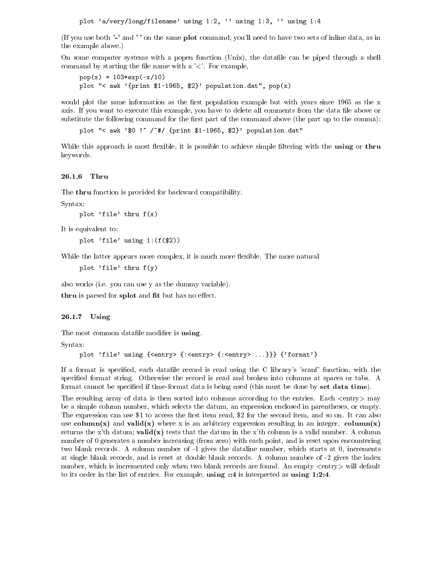(If you use both '-' and ' ' on the same plot command, you'll need to have two sets of inline data, as in the example above.)

On some computer systems with a popen function (Unix), the datafile can be piped through a shell command by starting the file name with a  $\leq$ . For example,

```
pop(x) = 103*exp(-x/10)plot "< awk '{print $1-1965, $2}' population.dat", pop(x)
```
would plot the same information as the first population example but with years since  $1965$  as the x axis. If you want to execute this example, you have to delete all comments from the data file above or substitute the following command for the first part of the command above (the part up to the comma):

plot "< awk '\$0 !" /^#/ {print \$1-1965, \$2}' population.dat"

While this approach is most flexible, it is possible to achieve simple filtering with the **using** or **thru** keywords.

### 26.1.6 Thru

The thru function is provided for backward compatibility.

Syntax:

plot 'file' thru f(x)

It is equivalent to:

plot 'file' using 1:(f(\$2))

While the latter appears more complex, it is much more flexible. The more natural

plot 'file' thru f(y)

also works (i.e. you can use y as the dummy variable).

thru is parsed for splot and fit but has no effect.

### 26.1.7 Using

The most common datafile modifier is **using**.

Syntax:

plot 'file' using {<entry> {:<entry> {:<entry> ...}}} {'format'}

If a format is specified, each datafile record is read using the C library's 'scanf' function, with the specied format string. Otherwise the record is read and broken into columns at spaces or tabs. A format cannot be specified if time-format data is being used (this must be done by set data time).

The resulting array of data is then sorted into columns according to the entries. Each  $\langle$  entry $\rangle$  may be a simple column number, which selects the datum, an expression enclosed in parentheses, or empty. The expression can use \$1 to access the first item read, \$2 for the second item, and so on. It can also use column(x) and valid(x) where x is an arbitrary expression resulting in an integer. column(x) returns the x'th datum; valid $(x)$  tests that the datum in the x'th column is a valid number. A column number of 0 generates a number increasing (from zero) with each point, and is reset upon encountering two blank records. A column number of -1 gives the dataline number, which starts at 0, increments at single blank records, and is reset at double blank records. A column number of -2 gives the index number, which is incremented only when two blank records are found. An empty  $\langle$ entry $\rangle$  will default to its order in the list of entries. For example, using :: 4 is interpreted as using 1:2:4.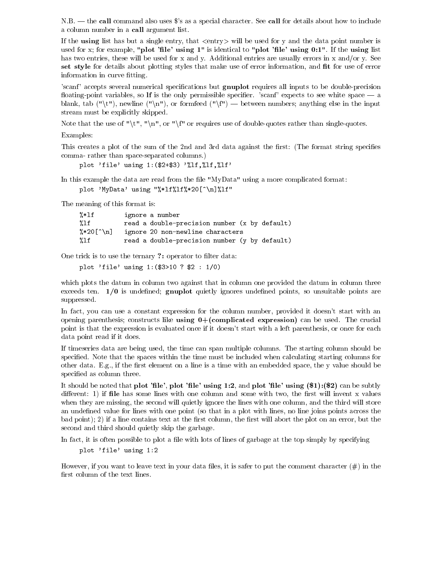$N.B.$  — the call command also uses  $\hat{\mathcal{S}}$ 's as a special character. See call for details about how to include a column number in a call argument list.

If the using list has but a single entry, that  $\langle \text{entry} \rangle$  will be used for y and the data point number is used for x; for example, "plot 'file' using  $1$ " is identical to "plot 'file' using  $0:1$ ". If the using list has two entries, these will be used for x and y. Additional entries are usually errors in x and/or y. See set style for details about plotting styles that make use of error information, and fit for use of error information in curve fitting.

'scanf' accepts several numerical specifications but **gnuplot** requires all inputs to be double-precision floating-point variables, so If is the only permissible specifier. 'scanf' expects to see white space  $\overline{\phantom{a}}$  a blank, tab ("\t"), newline ("\n"), or formfeed ("\f") — between numbers; anything else in the input stream must be explicitly skipped.

Note that the use of " $\trth$ ", " $\ln$ ", or " $\trth$ " or requires use of double-quotes rather than single-quotes.

Examples:

This creates a plot of the sum of the 2nd and 3rd data against the first: (The format string specifies comma- rather than space-separated columns.)

```
plot 'file' using 1:($2+$3) '%lf,%lf,%lf'
```
In this example the data are read from the file "MyData" using a more complicated format: plot 'MyData' using "%\*lf%lf%\*20[^\n]%lf"

The meaning of this format is:

| $% *1f$   | ignore a number                               |
|-----------|-----------------------------------------------|
| %lf       | read a double-precision number (x by default) |
| %*20[^\n] | ignore 20 non-newline characters              |
| %lf       | read a double-precision number (y by default) |

One trick is to use the ternary ?: operator to filter data:

plot 'file' using 1:(\$3>10 ? \$2 : 1/0)

which plots the datum in column two against that in column one provided the datum in column three exceeds ten.  $1/0$  is undefined; gnuplot quietly ignores undefined points, so unsuitable points are suppressed.

In fact, you can use a constant expression for the column number, provided it doesn't start with an opening parenthesis; constructs like using  $0+$ (complicated expression) can be used. The crucial point is that the expression is evaluated once if it doesn't start with a left parenthesis, or once for each data point read if it does.

If timeseries data are being used, the time can span multiple columns. The starting column should be specied. Note that the spaces within the time must be included when calculating starting columns for other data. E.g., if the first element on a line is a time with an embedded space, the y value should be specied as column three.

It should be noted that plot 'file', plot 'file' using  $1:2$ , and plot 'file' using  $(\$1)$ : $(\$2)$  can be subtly different: 1) if file has some lines with one column and some with two, the first will invent x values when they are missing, the second will quietly ignore the lines with one column, and the third will store an undened value for lines with one point (so that in a plot with lines, no line joins points across the bad point); 2) if a line contains text at the first column, the first will abort the plot on an error, but the second and third should quietly skip the garbage.

In fact, it is often possible to plot a file with lots of lines of garbage at the top simply by specifying

plot 'file' using 1:2

However, if you want to leave text in your data files, it is safer to put the comment character  $(\#)$  in the first column of the text lines.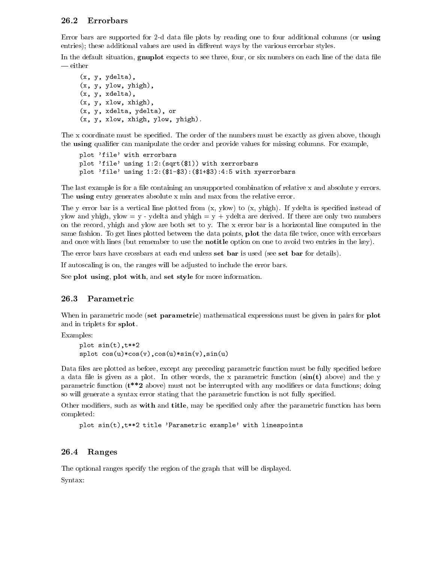Error bars are supported for 2-d data file plots by reading one to four additional columns (or using entries); these additional values are used in different ways by the various errorbar styles.

In the default situation, gnuplot expects to see three, four, or six numbers on each line of the data file  $-$  either

(x, y, ydelta), (x, y, ylow, yhigh), (x, y, xdelta),  $(x, y, xlow, xhigh)$ , (x, y, xdelta, ydelta), or (x, y, xlow, xhigh, ylow, yhigh).

The x coordinate must be specified. The order of the numbers must be exactly as given above, though the using qualifier can manipulate the order and provide values for missing columns. For example,

```
plot 'file' with errorbars
plot 'file' using 1:2:(sqrt($1)) with xerrorbars
plot 'file' using 1:2:($1-$3):($1+$3):4:5 with xyerrorbars
```
The last example is for a file containing an unsupported combination of relative x and absolute y errors. The using entry generates absolute x min and max from the relative error.

The y error bar is a vertical line plotted from  $(x, ylow)$  to  $(x, yhigh)$ . If ydelta is specified instead of ylow and yhigh, ylow  $=y$  - ydelta and yhigh  $=y+$  ydelta are derived. If there are only two numbers on the record, yhigh and ylow are both set to y. The x error bar is a horizontal line computed in the same fashion. To get lines plotted between the data points, plot the data file twice, once with errorbars and once with lines (but remember to use the notitle option on one to avoid two entries in the key).

The error bars have crossbars at each end unless set bar is used (see set bar for details).

If autoscaling is on, the ranges will be adjusted to include the error bars.

See plot using, plot with, and set style for more information.

## 26.3 Parametric

When in parametric mode (set parametric) mathematical expressions must be given in pairs for plot and in triplets for splot.

Examples:

```
plot sin(t),t**2
splot \cos(u)*cos(v), cos(u)*sin(v), sin(u)
```
Data files are plotted as before, except any preceding parametric function must be fully specified before a data file is given as a plot. In other words, the x parametric function  $(\sin(t)$  above) and the y parametric function  $(t^{**}2)$  above) must not be interrupted with any modifiers or data functions; doing so will generate a syntax error stating that the parametric function is not fully specied.

Other modifiers, such as with and title, may be specified only after the parametric function has been completed:

plot sin(t),t\*\*2 title 'Parametric example' with linespoints

### 26.4 Ranges

The optional ranges specify the region of the graph that will be displayed. Syntax: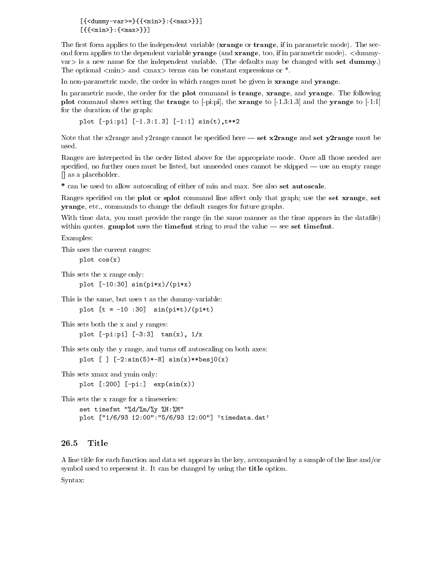$[{\{\langle \text{dummy-var}\rangle = \}} {\{\{\langle \text{min}\rangle\} : {\{\langle \text{max}\rangle\} \}}]$ [{{<min>}:{<max>}}]

The first form applies to the independent variable (**xrange** or **trange**, if in parametric mode). The second form applies to the dependent variable yrange (and xrange, too, if in parametric mode). <dummy  $var$  is a new name for the independent variable. (The defaults may be changed with set dummy.) The optional  $\langle \text{min} \rangle$  and  $\langle \text{max} \rangle$  terms can be constant expressions or  $*$ .

In non-parametric mode, the order in which ranges must be given is xrange and yrange.

In parametric mode, the order for the **plot** command is **trange**, **xrange**, and **yrange**. The following plot command shows setting the trange to [-pi:pi], the xrange to  $[-1.3:1.3]$  and the yrange to  $[-1:1]$ for the duration of the graph:

plot [-pi:pi] [-1.3:1.3] [-1:1] sin(t),t\*\*2

Note that the x2range and y2range cannot be specified here  $-$  set x2range and set y2range must be used.

Ranges are interpreted in the order listed above for the appropriate mode. Once all those needed are specified, no further ones must be listed, but unneeded ones cannot be skipped  $-$  use an empty range [] as a placeholder.

\* can be used to allow autoscaling of either of min and max. See also set autoscale.

Ranges specified on the plot or splot command line affect only that graph; use the set xrange, set yrange, etc., commands to change the default ranges for future graphs.

With time data, you must provide the range (in the same manner as the time appears in the datafile) within quotes. gnuplot uses the time fmt string to read the value  $-$  see set time fmt.

Examples:

This uses the current ranges:

plot cos(x)

This sets the x range only:

plot [-10:30] sin(pi\*x)/(pi\*x)

This is the same, but uses t as the dummy-variable: plot  $[t = -10 : 30]$   $sin(pix) / (pi*t)$ 

This sets both the x and y ranges: plot  $[-pi:pi]$   $[-3:3]$   $tan(x)$ ,  $1/x$ 

This sets only the y range, and turns off autoscaling on both axes: plot [ ]  $[-2:sin(5)*-8] sin(x)*+besj0(x)$ 

This sets xmax and ymin only:

```
plot [:200] [-pi:] exp(sin(x))
```
This sets the x range for a timeseries:

set timefmt "%d/%m/%y %H:%M" plot ["1/6/93 12:00":"5/6/93 12:00"] 'timedata.dat'

#### 26.5 Title

A line title for each function and data set appears in the key, accompanied by a sample of the line and/or symbol used to represent it. It can be changed by using the title option.

Syntax: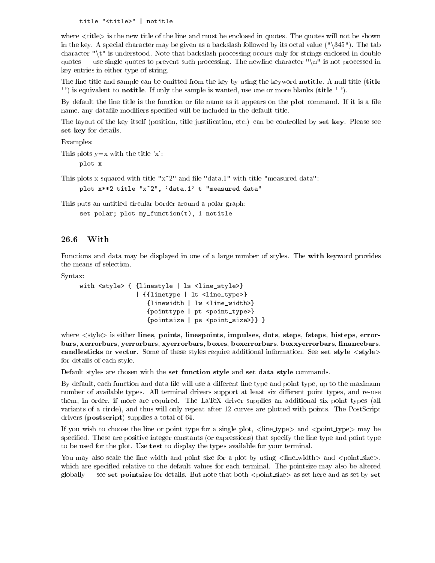```
title "title" in the title of the second of the second of the second of the second of the second of the second o
```
where <title> is the new title of the line and must be enclosed in quotes. The quotes will not be shown in the key. A special character may be given as a backslash followed by its octal value (" $345$ "). The tab character " $\tt\$ t" is understood. Note that backslash processing occurs only for strings enclosed in double quotes — use single quotes to prevent such processing. The newline character " $\ln$ " is not processed in key entries in either type of string.

The line title and sample can be omitted from the key by using the keyword notitle. A null title (title ' ') is equivalent to notitle. If only the sample is wanted, use one or more blanks (title ' ').

By default the line title is the function or file name as it appears on the plot command. If it is a file name, any datafile modifiers specified will be included in the default title.

The layout of the key itself (position, title justification, etc.) can be controlled by set key. Please see set key for details.

Examples:

This plots  $y=x$  with the title 'x':

plot x

This plots x squared with title " $x^2$ " and file "data.1" with title "measured data":

plot x\*\*2 title "x^2", 'data.1' t "measured data"

This puts an untitled circular border around a polar graph:

```
set polar; plot my_function(t), 1 notitle
```
#### 26.6 With

Functions and data may be displayed in one of a large number of styles. The with keyword provides the means of selection.

Syntax:

```
with <style> { {linestyle | ls <line_style>}
               | {{linetype | lt <line_type>}
                  {linewidth | lw <line_width>}
                  {pointtype | pt <point_type>}
                  {pointsize | ps \{point_size>}} }
```
where  $\langle$ style $\rangle$  is either lines, points, linespoints, impulses, dots, steps, fisteps, histeps, errorbars, xerrorbars, yerrorbars, xyerrorbars, boxes, boxerrorbars, boxxyerrorbars, nancebars, candlesticks or vector. Some of these styles require additional information. See set style <style> for details of each style.

Default styles are chosen with the set function style and set data style commands.

By default, each function and data file will use a different line type and point type, up to the maximum number of available types. All terminal drivers support at least six different point types, and re-use them, in order, if more are required. The LaTeX driver supplies an additional six point types (all variants of a circle), and thus will only repeat after 12 curves are plotted with points. The PostScript drivers (postscript) supplies a total of 64.

If you wish to choose the line or point type for a single plot,  $\langle$  line\_type $\rangle$  and  $\langle$  point\_type $\rangle$  may be specied. These are positive integer constants (or expressions) that specify the line type and point type to be used for the plot. Use test to display the types available for your terminal.

You may also scale the line width and point size for a plot by using  $\langle$  line width $\rangle$  and  $\langle$  point size $\rangle$ , which are specified relative to the default values for each terminal. The pointsize may also be altered globally — see set pointsize for details. But note that both  $\langle$  point\_size $\rangle$  as set here and as set by set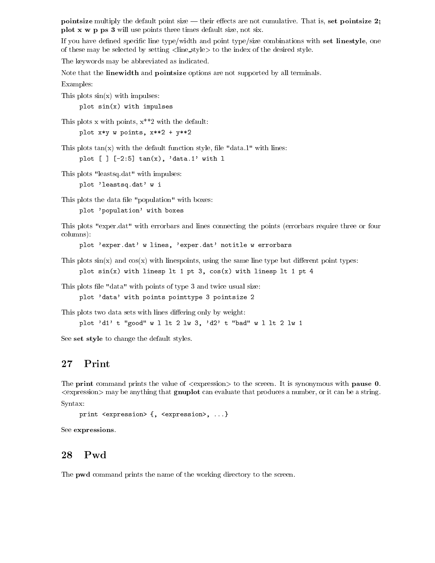pointsize multiply the default point size  $-$  their effects are not cumulative. That is, set pointsize 2; plot x w p ps 3 will use points three times default size, not six.

If you have defined specific line type/width and point type/size combinations with set linestyle, one of these may be selected by setting <line style> to the index of the desired style.

The keywords may be abbreviated as indicated.

Note that the **linewidth** and **pointsize** options are not supported by all terminals.

Examples:

This plots  $sin(x)$  with impulses:

plot sin(x) with impulses

This plots x with points,  $x^{**2}$  with the default:

plot x\*y w points, x\*\*2 + y\*\*2

This plots  $tan(x)$  with the default function style, file "data.1" with lines:

plot  $[ ] [-2:5]$  tan $(x)$ , 'data.1' with 1

This plots "leastsq.dat" with impulses:

plot 'leastsq.dat' w i

This plots the data file "population" with boxes:

plot 'population' with boxes

This plots "exper.dat" with errorbars and lines connecting the points (errorbars require three or four columns):

plot 'exper.dat' w lines, 'exper.dat' notitle w errorbars

This plots  $sin(x)$  and  $cos(x)$  with linespoints, using the same line type but different point types: plot  $sin(x)$  with linesp 1t 1 pt 3,  $cos(x)$  with linesp 1t 1 pt 4

This plots file "data" with points of type 3 and twice usual size:

plot 'data' with points pointtype 3 pointsize 2

This plots two data sets with lines differing only by weight:

plot 'd1' t "good" w l lt 2 lw 3, 'd2' t "bad" w l lt 2 lw 1

See set style to change the default styles.

### 27Print

The **print** command prints the value of  $\langle$  expression $\rangle$  to the screen. It is synonymous with **pause 0**.  $\langle$  expression $\rangle$  may be anything that **gnuplot** can evaluate that produces a number, or it can be a string. Syntax:

```
print <expression> {, <expression>, ...}
```
See expressions.

### $Pwd$ 28

The pwd command prints the name of the working directory to the screen.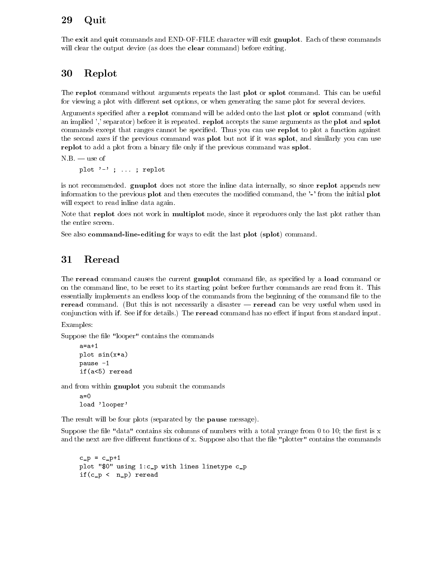### 29Quit

The exit and quit commands and END-OF-FILE character will exit gnuplot. Each of these commands will clear the output device (as does the **clear** command) before exiting.

### 30Replot

The replot command without arguments repeats the last plot or splot command. This can be useful for viewing a plot with different set options, or when generating the same plot for several devices.

Arguments specified after a replot command will be added onto the last plot or splot command (with an implied ',' separator) before it is repeated. replot accepts the same arguments as the plot and splot commands except that ranges cannot be specified. Thus you can use replot to plot a function against the second axes if the previous command was plot but not if it was splot, and similarly you can use replot to add a plot from a binary file only if the previous command was splot.

 $N.B.$  — use of plot  $'$ -'; ...; replot

is not recommended. gnuplot does not store the inline data internally, so since replot appends new information to the previous **plot** and then executes the modified command, the '-' from the initial **plot** will expect to read inline data again.

Note that replot does not work in multiplot mode, since it reproduces only the last plot rather than the entire screen.

See also command-line-editing for ways to edit the last plot (splot) command.

### 31Reread

The **reread** command causes the current **gnuplot** command file, as specified by a **load** command or on the command line, to be reset to its starting point before further commands are read from it. This essentially implements an endless loop of the commands from the beginning of the command file to the reread command. (But this is not necessarily a disaster - reread can be very useful when used in conjunction with if. See if for details.) The reread command has no effect if input from standard input.

Examples:

Suppose the file "looper" contains the commands

```
a=a+1plot sin(x*a)
pause -1
if(a<5) reread
```
and from within gnuplot you submit the commands

 $a=0$ load 'looper'

The result will be four plots (separated by the pause message).

Suppose the file "data" contains six columns of numbers with a total yrange from 0 to 10; the first is  $x$ and the next are five different functions of x. Suppose also that the file "plotter" contains the commands

```
c_p = c_p + 1plot "$0" using 1:c_p with lines linetype c_p
if(c_p < n_p) reread
```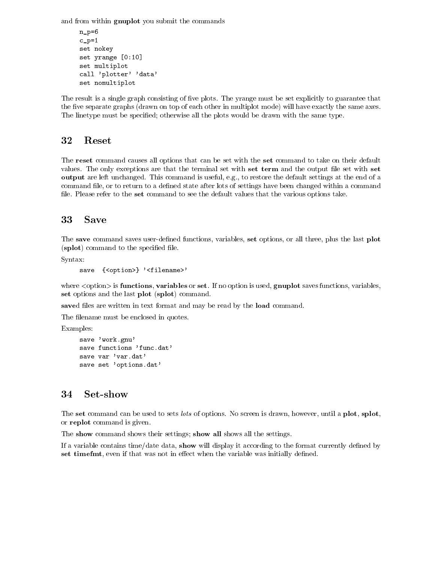and from within gnuplot you submit the commands

```
n_p=6
c_p=1set nokey
set yrange [0:10]
set multiplot
call 'plotter' 'data'
set nomultiplot
```
The result is a single graph consisting of five plots. The yrange must be set explicitly to guarantee that the five separate graphs (drawn on top of each other in multiplot mode) will have exactly the same axes. The linetype must be specied; otherwise all the plots would be drawn with the same type.

The reset command causes all options that can be set with the set command to take on their default values. The only exceptions are that the terminal set with set term and the output file set with set output are left unchanged. This command is useful, e.g., to restore the default settings at the end of a command file, or to return to a defined state after lots of settings have been changed within a command file. Please refer to the set command to see the default values that the various options take.

### 33 **Save**

The save command saves user-defined functions, variables, set options, or all three, plus the last plot (splot) command to the specified file.

Syntax:

```
save {<option>} '<filename>'
```
where  $\leq$ option $\geq$  is functions, variables or set. If no option is used, gnuplot saves functions, variables, set options and the last **plot** (splot) command.

saved files are written in text format and may be read by the **load** command.

The filename must be enclosed in quotes.

Examples:

```
save 'work.gnu'
save functions 'func.dat'
save var 'var.dat'
save set 'options.dat'
```
#### 34 Set-show - -

The set command can be used to sets *lots* of options. No screen is drawn, however, until a **plot**, splot, or replot command is given.

The show command shows their settings; show all shows all the settings.

If a variable contains time/date data, show will display it according to the format currently defined by set timefmt, even if that was not in effect when the variable was initially defined.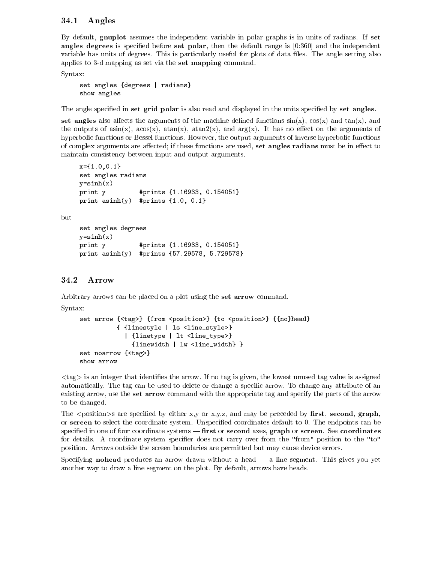# 34.1 Angles

By default, gnuplot assumes the independent variable in polar graphs is in units of radians. If set angles degrees is specified before set polar, then the default range is [0:360] and the independent variable has units of degrees. This is particularly useful for plots of data files. The angle setting also applies to 3-d mapping as set via the set mapping command.

Syntax:

```
set angles {degrees | radians}
show angles
```
The angle specified in set grid polar is also read and displayed in the units specified by set angles.

set angles also affects the arguments of the machine-defined functions  $sin(x)$ ,  $cos(x)$  and  $tan(x)$ , and the outputs of  $a\sin(x)$ ,  $a\cos(x)$ ,  $\tan(x)$ ,  $\tan(x)$ ,  $\tan(x)$ , and  $\arg(x)$ . It has no effect on the arguments of hyperbolic functions or Bessel functions. However, the output arguments of inverse hyperbolic functions of complex arguments are affected; if these functions are used, set angles radians must be in effect to maintain consistency between input and output arguments.

```
x = \{1.0, 0.1\}set angles radians
y=sinh(x)print y #prints {1.16933, 0.154051}
print asinh(y) #prints \{1.0, 0.1\}
```
**but** 

```
set angles degrees
y = sinh(x)print y #prints {1.16933, 0.154051}
print asinh(y) #prints {57.29578, 5.729578}
```
Arbitrary arrows can be placed on a plot using the set arrow command. Syntax:

```
set arrow \{\langle tag \rangle\} {from \langle position \rangle\} {to \langle position \rangle\} {\{no\}head}
             { {linestyle | ls <line_style>}
               | {linetype | lt <line_type>}
                  {linewidth | lw <line_width} }
set noarrow {<tag>}
show arrow
```
 $\langle \text{tag}\rangle$  is an integer that identifies the arrow. If no tag is given, the lowest unused tag value is assigned automatically. The tag can be used to delete or change a specific arrow. To change any attribute of an existing arrow, use the set arrow command with the appropriate tag and specify the parts of the arrow to be changed.

The  $\epsilon$  position > s are specified by either x,y or x,y,z, and may be preceded by first, second, graph, or screen to select the coordinate system. Unspecified coordinates default to 0. The endpoints can be specified in one of four coordinate systems  $-$  first or second axes, graph or screen. See coordinates for details. A coordinate system specifier does not carry over from the "from" position to the "to" position. Arrows outside the screen boundaries are permitted but may cause device errors.

Specifying nohead produces an arrow drawn without a head  $-$  a line segment. This gives you yet another way to draw a line segment on the plot. By default, arrows have heads.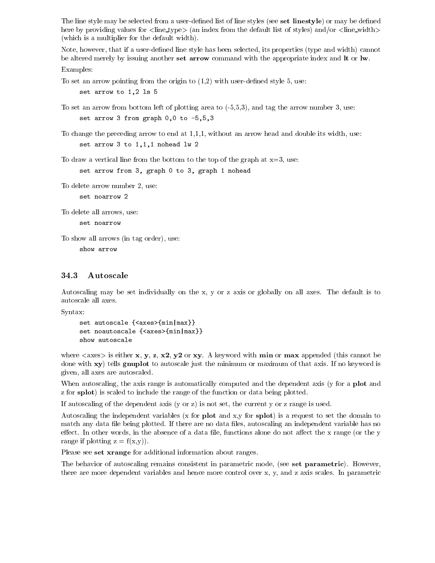The line style may be selected from a user-defined list of line styles (see set linestyle) or may be defined here by providing values for  $\langle$ line\_type $\rangle$  (an index from the default list of styles) and/or  $\langle$ line\_width $\rangle$ (which is a multiplier for the default width).

Note, however, that if a user-defined line style has been selected, its properties (type and width) cannot be altered merely by issuing another set arrow command with the appropriate index and lt or lw.

Examples:

To set an arrow pointing from the origin to  $(1,2)$  with user-defined style 5, use: set arrow to 1,2 ls 5

- To set an arrow from bottom left of plotting area to (-5,5,3), and tag the arrow number 3, use: set arrow  $3$  from graph  $0,0$  to  $-5,5,3$
- To change the preceding arrow to end at 1,1,1, without an arrow head and double its width, use: set arrow  $3$  to  $1,1,1$  nohead  $1w$   $2$

To draw a vertical line from the bottom to the top of the graph at  $x=3$ , use:

set arrow from 3, graph 0 to 3, graph 1 nohead

To delete arrow number 2, use:

set noarrow 2

To delete all arrows, use:

set noarrow

To show all arrows (in tag order), use:

show arrow

Autoscaling may be set individually on the x,y or z axis or globally on all axes. The default is to autoscale all axes.

Syntax:

```
set autoscale {<axes>{min|max}}
set noautoscale {<axes>{min|max}}
show autoscale
```
where  $\langle x \rangle$  is either x, y, z, x2, y2 or xy. A keyword with min or max appended (this cannot be done with xy) tells gnuplot to autoscale just the minimum or maximum of that axis. If no keyword is given, all axes are autoscaled.

When autoscaling, the axis range is automatically computed and the dependent axis (y for a plot and z for splot) is scaled to include the range of the function or data being plotted.

If autoscaling of the dependent axis (y or z) is not set, the current y or z range is used.

Autoscaling the independent variables (x for plot and x,y for splot) is a request to set the domain to match any data file being plotted. If there are no data files, autoscaling an independent variable has no effect. In other words, in the absence of a data file, functions alone do not affect the  $x$  range (or the y range if plotting  $z = f(x,y)$ .

Please see set xrange for additional information about ranges.

The behavior of autoscaling remains consistent in parametric mode, (see set parametric). However, there are more dependent variables and hence more control over x, y, and z axis scales. In parametric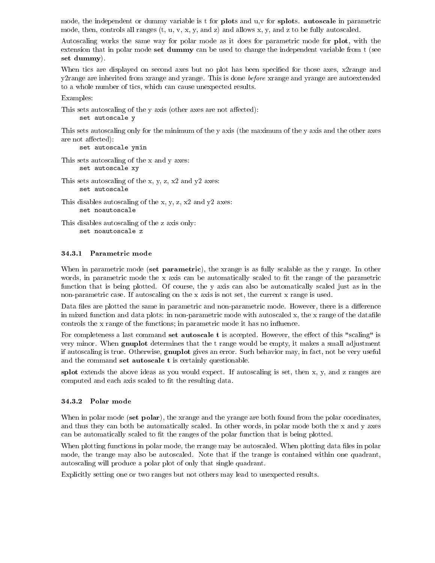mode, the independent or dummy variable is t for **plots** and u,v for **splots**. **autoscale** in parametric mode, then, controls all ranges (t, u, v, x, y, and z) and allows x, y, and z to be fully autoscaled.

Autoscaling works the same way for polar mode as it does for parametric mode for plot, with the extension that in polar mode set dummy can be used to change the independent variable from t (see set dummy).

When tics are displayed on second axes but no plot has been specified for those axes, x2range and y2range are inherited from xrange and yrange. This is done before xrange and yrange are autoextended to a whole number of tics, which can cause unexpected results.

Examples:

This sets autoscaling of the y axis (other axes are not affected): set autoscale y

This sets autoscaling only for the minimum of the y axis (the maximum of the y axis and the other axes are not affected):

set autoscale ymin

This sets autoscaling of the x and y axes: set autoscale xy

This sets autoscaling of the x, y, z, x2 and y2 axes: set autoscale

This disables autoscaling of the x, y, z, x2 and y2 axes: set noautoscale

This disables autoscaling of the z axis only: set noautoscale z

### 34.3.1 Parametric mode

When in parametric mode (set parametric), the xrange is as fully scalable as the y range. In other words, in parametric mode the x axis can be automatically scaled to fit the range of the parametric function that is being plotted. Of course, the y axis can also be automatically scaled just as in the non-parametric case. If autoscaling on the x axis is not set, the current x range is used.

Data files are plotted the same in parametric and non-parametric mode. However, there is a difference in mixed function and data plots: in non-parametric mode with autoscaled x, the x range of the datale controls the x range of the functions; in parametric mode it has no influence.

For completeness a last command set autoscale t is accepted. However, the effect of this "scaling" is very minor. When gnuplot determines that the t range would be empty, it makes a small adjustment if autoscaling is true. Otherwise, gnuplot gives an error. Such behavior may, in fact, not be very useful and the command set autoscale t is certainly questionable.

splot extends the above ideas as you would expect. If autoscaling is set, then x, y, and z ranges are computed and each axis scaled to fit the resulting data.

### 34.3.2 Polar mode

When in polar mode (set polar), the xrange and the yrange are both found from the polar coordinates, and thus they can both be automatically scaled. In other words, in polar mode both the x and y axes can be automatically scaled to fit the ranges of the polar function that is being plotted.

When plotting functions in polar mode, the rrange may be autoscaled. When plotting data files in polar mode, the trange may also be autoscaled. Note that if the trange is contained within one quadrant, autoscaling will produce a polar plot of only that single quadrant.

Explicitly setting one or two ranges but not others may lead to unexpected results.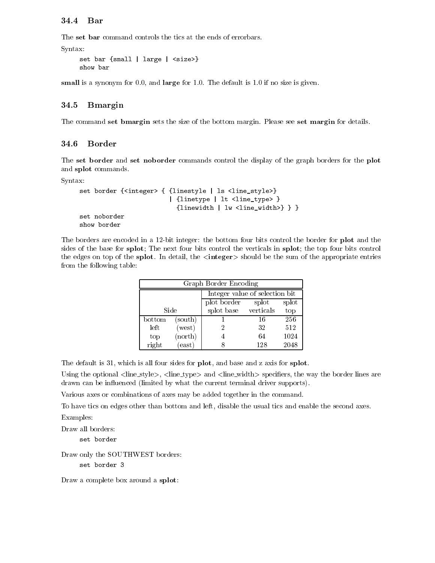The set bar command controls the tics at the ends of errorbars.

Syntax:

set bar {small | large | <size>} show bar

small is a synonym for 0.0, and large for 1.0. The default is 1.0 if no size is given.

### 34.5 **B**margin

The command set bmargin sets the size of the bottom margin. Please see set margin for details.

#### 34.6 **Border**

The set border and set noborder commands control the display of the graph borders for the plot and splot commands.

Syntax:

```
set border {<integer> { {linestyle | ls <line_style>}
                        | {linetype | lt <line_type> }
                          {linewidth | lw <line_width>} } }
show border
```
The borders are encoded in a 12-bit integer: the bottom four bits control the border for **plot** and the sides of the base for splot; The next four bits control the verticals in splot; the top four bits control the edges on top of the splot. In detail, the  $\langle$ integer $\rangle$  should be the sum of the appropriate entries from the following table:

| Graph Border Encoding |         |                                 |           |       |  |  |  |
|-----------------------|---------|---------------------------------|-----------|-------|--|--|--|
|                       |         | Integer value of selection bit. |           |       |  |  |  |
|                       |         | plot border                     | splot     | splot |  |  |  |
| Side                  |         | splot base                      | verticals | top   |  |  |  |
| bottom                | (south) |                                 | 16        | 256   |  |  |  |
| left                  | (west)  | 2                               | 32        | 512   |  |  |  |
| top                   | (north) | 4                               | 64        | 1024  |  |  |  |
| right                 | (east)  |                                 | 128       | 2048  |  |  |  |

The default is 31, which is all four sides for plot, and base and z axis for splot.

Using the optional  $\langle$ line\_style>,  $\langle$ line\_type> and  $\langle$ line\_width> specifiers, the way the border lines are drawn can be influenced (limited by what the current terminal driver supports).

Various axes or combinations of axes may be added together in the command.

To have tics on edges other than bottom and left, disable the usual tics and enable the second axes.

Examples:

Draw all borders:

set border

Draw only the SOUTHWEST borders: set border 3

Draw a complete box around a splot: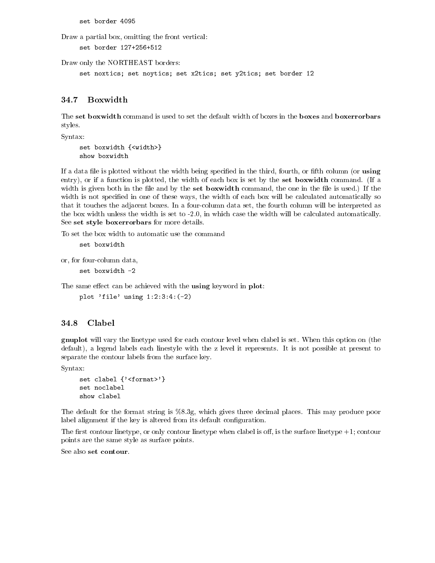Draw a partial box, omitting the front vertical:

set border 127+256+512

Draw only the NORTHEAST borders:

set noxtics; set noytics; set x2tics; set y2tics; set border 12

### **Boxwidth** 34.7

The set boxwidth command is used to set the default width of boxes in the boxes and boxerrorbars styles.

Syntax:

set boxwidth {<width>} show boxwidth

If a data file is plotted without the width being specified in the third, fourth, or fifth column (or using entry), or if a function is plotted, the width of each box is set by the set boxwidth command. (If a width is given both in the file and by the set boxwidth command, the one in the file is used.) If the width is not specified in one of these ways, the width of each box will be calculated automatically so that it touches the adjacent boxes. In a four-column data set, the fourth column will be interpreted as the box width unless the width is set to -2.0, in which case the width will be calculated automatically. See set style boxerrorbars for more details.

To set the box width to automatic use the command

set boxwidth

or, for four-column data,

The same effect can be achieved with the **using** keyword in **plot**:

plot 'file' using 1:2:3:4:(-2)

gnuplot will vary the linetype used for each contour level when clabel is set. When this option on (the default), a legend labels each linestyle with the z level it represents. It is not possible at present to separate the contour labels from the surface key.

Syntax:

```
set clabel {'<format>'}
set noclabel
show clabel
```
The default for the format string is %8.3g, which gives three decimal places. This may produce poor label alignment if the key is altered from its default configuration.

The first contour linetype, or only contour linetype when clabel is off, is the surface linetype  $+1$ ; contour points are the same style as surface points.

See also set contour.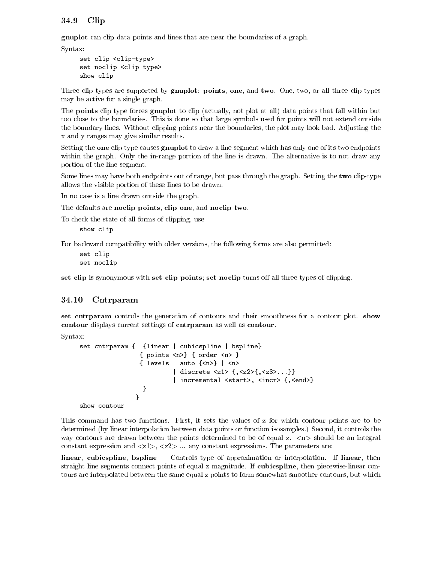## 34.9 Clipped Control 2014

gnuplot can clip data points and lines that are near the boundaries of a graph.

Syntax:

```
set clip <clip-type>
set noclip <clip-type>
show clip
```
Three clip types are supported by **gnuplot:** points, one, and two. One, two, or all three clip types may be active for a single graph.

The points clip type forces gnuplot to clip (actually, not plot at all) data points that fall within but too close to the boundaries. This is done so that large symbols used for points will not extend outside the boundary lines. Without clipping points near the boundaries, the plot may look bad. Adjusting the x and y ranges may give similar results.

Setting the one clip type causes gnuplot to draw a line segment which has only one of its two endpoints within the graph. Only the in-range portion of the line is drawn. The alternative is to not draw any portion of the line segment.

Some lines may have both endpoints out of range, but pass through the graph. Setting the two clip-type allows the visible portion of these lines to be drawn.

In no case is a line drawn outside the graph.

The defaults are noclip points, clip one, and noclip two.

To check the state of all forms of clipping, use

show clip

For backward compatibility with older versions, the following forms are also permitted:

```
set clip
set noclip
```
set clip is synonymous with set clip points; set noclip turns off all three types of clipping.

#### 34.10 Cntrparam

set cntrparam controls the generation of contours and their smoothness for a contour plot. show contour displays current settings of cntrparam as well as contour.

Syntax:

```
set cntrparam { {linear | cubicspline | bspline}
                  { points <n>} { order <n> }
                  { levels auto \{\langle n\rangle\} | \langle n\rangle| discrete <z1> {,<z2>{,<z3>...}}
                            | incremental <start>, <incr> {,<end>}
                   }
                 <u>Property</u>
```
show contour

This command has two functions. First, it sets the values of z for which contour points are to be determined (by linear interpolation between data points or function isosamples.) Second, it controls the way contours are drawn between the points determined to be of equal z.  $\langle n \rangle$  should be an integral constant expression and  $\langle z_1 \rangle, \langle z_2 \rangle$  ... any constant expressions. The parameters are:

 $linear, cubic spline, b spline$   $\sim$  Controls type of approximation or interpolation. If linear, then straight line segments connect points of equal z magnitude. If cubicspline, then piecewise-linear contours are interpolated between the same equal z points to form somewhat smoother contours, but which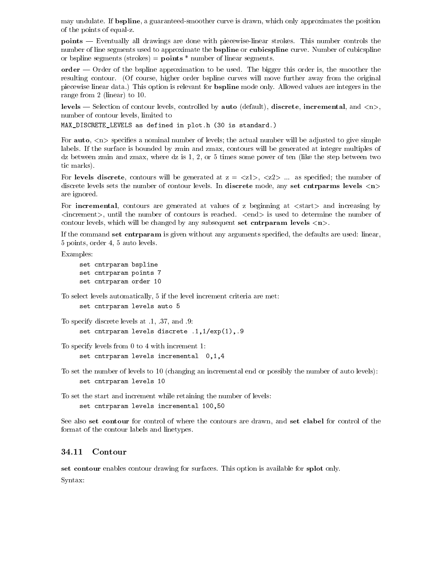may undulate. If bspline, a guaranteed-smoother curve is drawn, which only approximates the position of the points of equal-z.

points | Eventually all drawings are done with piecewise-linear strokes. This number controls the number of line segments used to approximate the bspline or cubicspline curve. Number of cubicspline or bspline segments (strokes) =  $\text{points} * \text{number of linear segments.}$ 

order — Order of the bspline approximation to be used. The bigger this order is, the smoother the resulting contour. (Of course, higher order bspline curves will move further away from the original piecewise linear data.) This option is relevant for bspline mode only. Allowed values are integers in the range from 2 (linear) to 10.

levels — Selection of contour levels, controlled by **auto** (default), **discrete**, **incremental**, and  $\langle n \rangle$ , number of contour levels, limited to

MAX\_DISCRETE\_LEVELS as defined in plot.h (30 is standard.)

For **auto**,  $\langle n \rangle$  specifies a nominal number of levels; the actual number will be adjusted to give simple labels. If the surface is bounded by zmin and zmax, contours will be generated at integer multiples of dz between zmin and zmax, where dz is 1, 2, or 5 times some power of ten (like the step between two tic marks).

For levels discrete, contours will be generated at  $z = \langle z_1 \rangle, \langle z_2 \rangle$  ... as specified; the number of discrete levels sets the number of contour levels. In discrete mode, any set cntrparms levels  $\langle n \rangle$ are ignored.

For **incremental**, contours are generated at values of z beginning at  $\lt$  start  $>$  and increasing by <increment>, until the number of contours is reached. <end> is used to determine the number of contour levels, which will be changed by any subsequent set cntrparam levels  $\langle n \rangle$ .

If the command set cntrparam is given without any arguments specified, the defaults are used: linear, 5 points, order 4, 5 auto levels.

Examples:

```
set cntrparam bspline
set cntrparam points 7
set cntrparam order 10
```
To select levels automatically, 5 if the level increment criteria are met:

set cntrparam levels auto 5

```
To specify discrete levels at .1, .37, and .9:
     set cntrparam levels discrete .1,1/exp(1),.9
```
To specify levels from 0 to 4 with increment 1: set cntrparam levels incremental 0,1,4

To set the number of levels to 10 (changing an incremental end or possibly the number of auto levels): set cntrparam levels 10

To set the start and increment while retaining the number of levels: set cntrparam levels incremental 100,50

See also set contour for control of where the contours are drawn, and set clabel for control of the format of the contour labels and linetypes.

set contour enables contour drawing for surfaces. This option is available for splot only.

Syntax: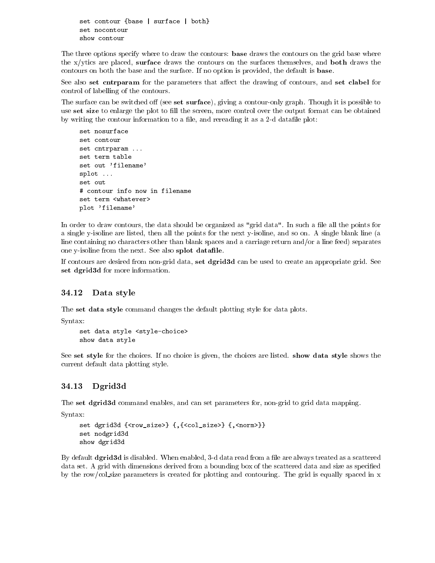set contour {base | surface | both} set nocontour show contour

The three options specify where to draw the contours: **base** draws the contours on the grid base where the  $x$ /ytics are placed, surface draws the contours on the surfaces themselves, and both draws the contours on both the base and the surface. If no option is provided, the default is base.

See also set cntrparam for the parameters that affect the drawing of contours, and set clabel for control of labelling of the contours.

The surface can be switched off (see set surface), giving a contour-only graph. Though it is possible to use **set size** to enlarge the plot to fill the screen, more control over the output format can be obtained by writing the contour information to a file, and rereading it as a 2-d datafile plot:

```
set nosurface
set contour
set cntrparam ...
set term table
set out 'filename'
splot ...
set out
# contour info now in filename
set term <whatever>
plot 'filename'
```
In order to draw contours, the data should be organized as "grid data". In such a file all the points for a single y-isoline are listed, then all the points for the next y-isoline, and so on. A single blank line (a line containing no characters other than blank spaces and a carriage return and/or a line feed) separates one y-isoline from the next. See also splot datafile.

If contours are desired from non-grid data, set dgrid3d can be used to create an appropriate grid. See set dgrid3d for more information.

#### 34.12 Data style

The set data style command changes the default plotting style for data plots.

Syntax:

```
set data style <style-choice>
show data style
```
See set style for the choices. If no choice is given, the choices are listed. show data style shows the current default data plotting style.

### 34.13 Dgrid3d

The set dgrid3d command enables, and can set parameters for, non-grid to grid data mapping.

Syntax:

```
set dgrid3d {<row_size>} {,{<col_size>} {,<norm>}}
set nodgrid3d
show dgrid3d
```
By default **dgrid3d** is disabled. When enabled, 3-d data read from a file are always treated as a scattered data set. A grid with dimensions derived from a bounding box of the scattered data and size as specied by the row/col size parameters is created for plotting and contouring. The grid is equally spaced in x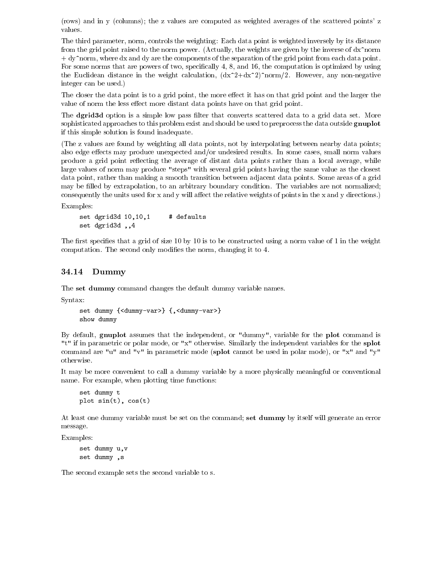(rows) and in y (columns); the z values are computed as weighted averages of the scattered points' z

The third parameter, norm, controls the weighting: Each data point is weighted inversely by its distance from the grid point raised to the norm power. (Actually, the weights are given by the inverse of dx^norm + dy^norm, where dx and dy are the components of the separation of the grid point from each data point. For some norms that are powers of two, specifically 4, 8, and 16, the computation is optimized by using the Euclidean distance in the weight calculation,  $(\text{dx}^2+\text{dx}^2)^n$  norm/2. However, any non-negative integer can be used.)

The closer the data point is to a grid point, the more effect it has on that grid point and the larger the value of norm the less effect more distant data points have on that grid point.

The **dgrid3d** option is a simple low pass filter that converts scattered data to a grid data set. More sophisticated approaches to this problem exist and should be used to preprocess the data outside gnuplot if this simple solution is found inadequate.

(The z values are found by weighting all data points, not by interpolating between nearby data points; also edge effects may produce unexpected and/or undesired results. In some cases, small norm values produce a grid point reflecting the average of distant data points rather than a local average, while large values of norm may produce "steps" with several grid points having the same value as the closest data point, rather than making a smooth transition between adjacent data points. Some areas of a grid may be filled by extrapolation, to an arbitrary boundary condition. The variables are not normalized; consequently the units used for x and y will affect the relative weights of points in the x and y directions.)

Examples:

set dgrid3d 10,10,1 # defaults set dgrid3d ,,4

The first specifies that a grid of size  $10 \text{ by } 10$  is to be constructed using a norm value of 1 in the weight computation. The second only modies the norm, changing it to 4.

#### 34.14 Dummy

The set dummy command changes the default dummy variable names.

Syntax:

set dummy {<dummy-var>} {,<dummy-var>} show dummy

By default, gnuplot assumes that the independent, or "dummy", variable for the plot command is "t" if in parametric or polar mode, or "x" otherwise. Similarly the independent variables for the splot command are "u" and "v" in parametric mode (splot cannot be used in polar mode), or "x" and "y" otherwise.

It may be more convenient to call a dummy variable by a more physically meaningful or conventional name. For example, when plotting time functions:

```
set dummy t
plot sin(t), cos(t)
```
At least one dummy variable must be set on the command; set dummy by itself will generate an error message.

Examples:

set dummy u,v set dummy ,s

The second example sets the second variable to s.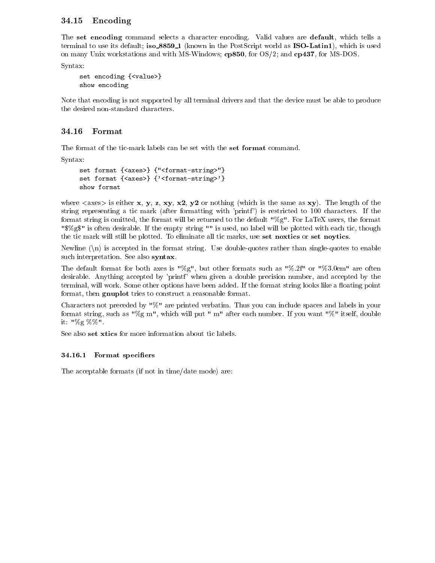# 34.15 Encoding

The set encoding command selects a character encoding. Valid values are default, which tells a terminal to use its default; iso 8859.1 (known in the PostScript world as ISO-Latin1), which is used on many Unix workstations and with MS-Windows; cp850, for OS/2; and cp437, for MS-DOS.

Syntax:

```
set encoding {<value>}
show encoding
```
Note that encoding is not supported by all terminal drivers and that the device must be able to produce the desired non-standard characters.

# 34.16 Format

The format of the tic-mark labels can be set with the set format command.

Syntax:

```
set format {<axes>} {"<format-string>"}
set format {<axes>} {'<format-string>'}
show format
```
where  $\langle x \rangle$  is either x, y, z, xy, x2, y2 or nothing (which is the same as xy). The length of the string representing a tic mark (after formatting with 'printf') is restricted to 100 characters. If the format string is omitted, the format will be returned to the default "%g". For LaTeX users, the format "\$%g\$" is often desirable. If the empty string "" is used, no label will be plotted with each tic, though the tic mark will still be plotted. To eliminate all tic marks, use set noxtics or set noytics.

Newline  $(\n\ln)$  is accepted in the format string. Use double-quotes rather than single-quotes to enable such interpretation. See also syntax.

The default format for both axes is " $\%g''$ , but other formats such as " $\%2f''$  or " $\%3.0em''$  are often desirable. Anything accepted by 'printf' when given a double precision number, and accepted by the terminal, will work. Some other options have been added. If the format string looks like a floating point format, then gnuplot tries to construct a reasonable format.

Characters not preceded by "%" are printed verbatim. Thus you can include spaces and labels in your format string, such as "%g m", which will put " m" after each number. If you want "%" itself, double it: "%g %%".

See also set xtics for more information about tic labels.

### 34.16.1 Format specifiers

The acceptable formats (if not in time/date mode) are: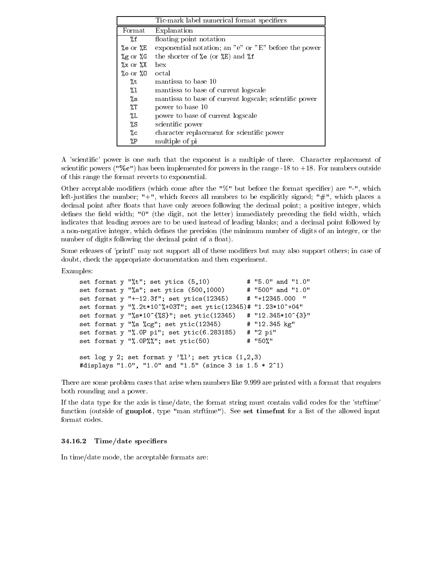|                  | Tic-mark label numerical format specifiers                   |
|------------------|--------------------------------------------------------------|
| Format           | Explanation                                                  |
| %f               | floating point notation                                      |
| %e or %E         | exponential notation; an " $e$ " or " $E$ " before the power |
| $\%$ g or $\%$ G | the shorter of % (or %E) and %f                              |
| $\chi$ or $\chi$ | hex                                                          |
| %0 or %0         | octal                                                        |
| %t               | mantissa to base 10                                          |
| %1               | mantissa to base of current logscale                         |
| %s               | mantissa to base of current logscale; scientific power       |
| %Т               | power to base 10                                             |
| %L               | power to base of current logscale                            |
| %S               | scientific power                                             |
| %c               | character replacement for scientific power                   |
| %P               | multiple of pi                                               |

A 'scientic' power is one such that the exponent is a multiple of three. Character replacement of scientific powers (" $\%$ c") has been implemented for powers in the range -18 to +18. For numbers outside of this range the format reverts to exponential.

Other acceptable modifiers (which come after the "%" but before the format specifier) are "-", which left-justifies the number; " $+$ ", which forces all numbers to be explicitly signed; " $#$ ", which places a decimal point after floats that have only zeroes following the decimal point; a positive integer, which defines the field width;  $"0"$  (the digit, not the letter) immediately preceding the field width, which indicates that leading zeroes are to be used instead of leading blanks; and a decimal point followed by a non-negative integer, which defines the precision (the minimum number of digits of an integer, or the number of digits following the decimal point of a float).

Some releases of 'printf' may not support all of these modifiers but may also support others; in case of doubt, check the appropriate documentation and then experiment.

Examples:

```
set format y "%t"; set ytics (5,10) # "5.0" and "1.0"
set format y "%s"; set ytics (500,1000) # "500" and "1.0"
set format y "+-12.3f"; set ytics(12345)# "+12345.000 "
set format y "%.2t*10^%+03T"; set ytic(12345)# "1.23*10^+04"
set format y "%s*10^{%S}"; set ytic(12345) # "12.345*10^{3}"
set format y "%s %cg"; set ytic(12345) # "12.345 kg"
set format y "%.0P pi"; set ytic(6.283185) # "2 pi"
set format y \frac{1}{6}. 0P\frac{1}{6}"; set ytic(50) \frac{1}{6} # "50\frac{1}{6}"
set log y 2; set format y \sqrt[n]{1}; set ytics (1,2,3)#displays "1.0", "1.0" and "1.5" (since 3 is 1.5 * 2^1)
```
There are some problem cases that arise when numbers like 9.999 are printed with a format that requires both rounding and a power.

If the data type for the axis is time/date, the format string must contain valid codes for the 'strftime' function (outside of gnuplot, type "man stritime"). See set time find for a list of the allowed input format codes.

### 34.16.2 Time/date specifiers

In time/date mode, the acceptable formats are: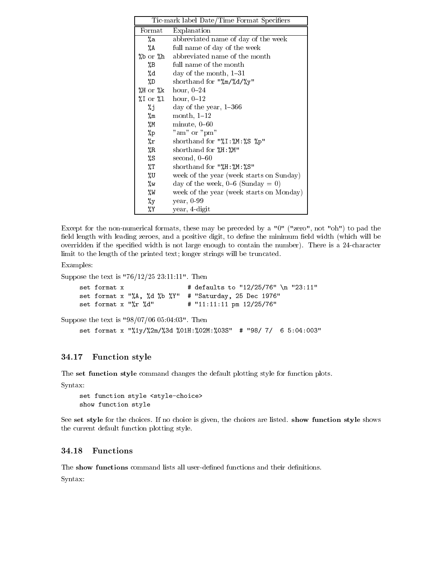| Tic-mark label Date/Time Format Specifiers |                                              |  |  |
|--------------------------------------------|----------------------------------------------|--|--|
| Format                                     | Explanation                                  |  |  |
| %a                                         | abbreviated name of day of the week          |  |  |
| %A                                         | full name of day of the week                 |  |  |
| %b or %h                                   | abbreviated name of the month                |  |  |
| %В                                         | full name of the month                       |  |  |
| %d                                         | day of the month, $1-31$                     |  |  |
| %D                                         | shorthand for " $\frac{m}{x}d/\frac{m}{y}$ " |  |  |
|                                            | $\lambda$ H or $\lambda$ k hour, 0-24        |  |  |
|                                            | %I or %1 hour, $0-12$                        |  |  |
| %j                                         | day of the year, $1-366$                     |  |  |
| %m                                         | month, $1-12$                                |  |  |
| %м                                         | minute, $0-60$                               |  |  |
| %p                                         | "am" or "pm"                                 |  |  |
| %r                                         | shorthand for "%I:%M:%S %p"                  |  |  |
| %R                                         | shorthand for %H: %M"                        |  |  |
| %S                                         | second, 0–60                                 |  |  |
| %т                                         | shorthand for "%H:%M:%S"                     |  |  |
| %U                                         | week of the year (week starts on Sunday)     |  |  |
| %w                                         | day of the week, $0-6$ (Sunday = 0)          |  |  |
| %W                                         | week of the year (week starts on Monday)     |  |  |
| %y                                         | year, 0-99                                   |  |  |
| %Y                                         | year, 4-digit                                |  |  |

Except for the non-numerical formats, these may be preceded by a "0" ("zero", not "oh") to pad the field length with leading zeroes, and a positive digit, to define the minimum field width (which will be overridden if the specified width is not large enough to contain the number). There is a 24-character limit to the length of the printed text; longer strings will be truncated.

Examples:

```
Suppose the text is "76/12/25 23:11:11". Then
```

```
set format x
                           # defaults to "12/25/76" \n "23:11"
set format x "%A, %d %b %Y" # "Saturday, 25 Dec 1976"
set format x "%r %d" # "11:11:11 pm 12/25/76"
```
Suppose the text is "98/07/06 05:04:03". Then

set format x "%1y/%2m/%3d %01H:%02M:%03S" # "98/ 7/ 6 5:04:003"

# 34.17 Function style

The set function style command changes the default plotting style for function plots.

Syntax:

set function style <style-choice> show function style

See set style for the choices. If no choice is given, the choices are listed. show function style shows the current default function plotting style.

#### 34.18 **Functions**

The show functions command lists all user-defined functions and their definitions.

Syntax: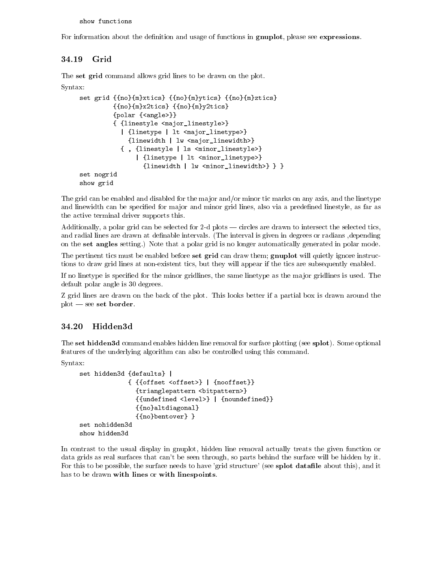For information about the definition and usage of functions in **gnuplot**, please see **expressions**.

#### Grid 34.19

The **set grid** command allows grid lines to be drawn on the plot.

### Syntax:

```
set grid {{no}{m}xtics} {{no}{m}ytics} {{no}{m}ztics}
        {m}x2tics {m}y2tics{polar {<angle>}}
        { {linestyle <major_linestyle>}
          | {linetype | lt <major_linetype>}
            {linewidth | lw <major_linewidth>}
          { , {linestyle | ls <minor_linestyle>}
              | {linetype | lt <minor_linetype>}
                {linewidth | lw <minor linewidth>} } }
set nogrid
show grid
```
The grid can be enabled and disabled for the major and/or minor tic marks on any axis, and the linetype and linewidth can be specified for major and minor grid lines, also via a predefined linestyle, as far as the active terminal driver supports this.

Additionally, a polar grid can be selected for 2-d plots — circles are drawn to intersect the selected tics, and radial lines are drawn at denable intervals. (The interval is given in degrees or radians ,depending on the set angles setting.) Note that a polar grid is no longer automatically generated in polar mode.

The pertinent tics must be enabled before set grid can draw them; gnuplot will quietly ignore instructions to draw grid lines at non-existent tics, but they will appear if the tics are subsequently enabled.

If no linetype is specied for the minor gridlines, the same linetype as the ma jor gridlines is used. The default polar angle is 30 degrees.

Z grid lines are drawn on the back of the plot. This looks better if a partial box is drawn around the  $plot$   $-$  see set border.

#### 34.20 Hidden3d

The set hidden3d command enables hidden line removal for surface plotting (see splot). Some optional features of the underlying algorithm can also be controlled using this command.

Syntax:

```
set hidden3d {defaults} |
set hidden and the set of \alpha{ {{offset <offset>} | {nooffset}}
               {trianglepattern <bitpattern>}
               {{undefined <level>} | {noundefined}}
               {{no}altdiagonal}
               {{no}bentover} }
set nohidden3d
show hidden3d
```
In contrast to the usual display in gnuplot, hidden line removal actually treats the given function or data grids as real surfaces that can't be seen through, so parts behind the surface will be hidden by it. For this to be possible, the surface needs to have 'grid structure' (see splot datafile about this), and it has to be drawn with lines or with linespoints.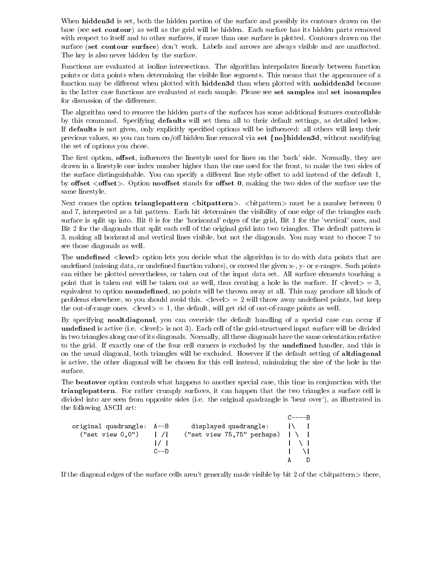When hidden3d is set, both the hidden portion of the surface and possibly its contours drawn on the base (see set contour) as well as the grid will be hidden. Each surface has its hidden parts removed with respect to itself and to other surfaces, if more than one surface is plotted. Contours drawn on the surface (set contour surface) don't work. Labels and arrows are always visible and are unaffected. The key is also never hidden by the surface.

Functions are evaluated atisoline intersections. The algorithm interpolates linearly between function points or data points when determining the visible line segments. This means that the appearance of a function may be different when plotted with **hidden3d** than when plotted with **nohidden3d** because in the latter case functions are evaluated at each sample. Please see set samples and set isosamples for discussion of the difference.

The algorithm used to remove the hidden parts of the surfaces has some additional features controllable by this command. Specifying defaults will set them all to their default settings, as detailed below. If defaults is not given, only explicitly specied options will be in
uenced: all others will keep their previous values, so you can turn on/off hidden line removal via set  $\{no\}$ hidden3d, without modifying the set of options you chose.

The first option, **offset**, influences the linestyle used for lines on the 'back' side. Normally, they are drawn in a linestyle one index number higher than the one used for the front, to make the two sides of the surface distinguishable. You can specify a different line style offset to add instead of the default  $1$ , by offset  $\leq$  offset >. Option nooffset stands for offset 0, making the two sides of the surface use the same linestyle.

Next comes the option trianglepattern <br/> <br/> <br/>directory and the a number between 0 and 7, interpreted as a bit pattern. Each bit determines the visibility of one edge of the triangles each surface is split up into. Bit 0 is for the 'horizontal' edges of the grid, Bit 1 for the 'vertical' ones, and Bit 2 for the diagonals that split each cell of the original grid into two triangles. The default pattern is 3, making all horizontal and vertical lines visible, but not the diagonals. You may want to choose 7 to see those diagonals as well.

The undefined <level> option lets you decide what the algorithm is to do with data points that are undefined (missing data, or undefined function values), or exceed the given x-, y- or z-ranges. Such points can either be plotted nevertheless, or taken out of the input data set. All surface elements touching a point that is taken out will be taken out as well, thus creating a hole in the surface. If  $\langle$  level $\rangle = 3$ , equivalent to option **noundefined**, no points will be thrown away at all. This may produce all kinds of problems elsewhere, so you should avoid this.  $\langle$  level  $\rangle = 2$  will throw away undefined points, but keep the out-of-range ones.  $\langle$ level $\rangle$  = 1, the default, will get rid of out-of-range points as well.

By specifying noaltdiagonal, you can override the default handling of a special case can occur if undefined is active (i.e.  $\langle$  level > is not 3). Each cell of the grid-structured input surface will be divided in two triangles along one of its diagonals. Normally, all these diagonals have the same orientation relative to the grid. If exactly one of the four cell corners is excluded by the **undefined** handler, and this is on the usual diagonal, both triangles will be excluded. However if the default setting of altdiagonal is active, the other diagonal will be chosen for this cell instead, minimizing the size of the hole in the surface.

The bentover option controls what happens to another special case, this time in conjunction with the trianglepattern. For rather crumply surfaces, it can happen that the two triangles a surface cell is divided into are seen from opposite sides (i.e. the original quadrangle is 'bent over'), as illustrated in the following ASCII art:

|                           |          |                            | ()----K |
|---------------------------|----------|----------------------------|---------|
| original quadrangle: A--B |          | displayed quadrangle:      |         |
| $("set view 0,0")$   /    |          | ("set view 75,75" perhaps) |         |
|                           |          |                            |         |
|                           | $C = -D$ |                            |         |
|                           |          |                            |         |

If the diagonal edges of the surface cells aren't generally made visible by bit 2 of the  $\lt$  bitpattern $\gt$  there,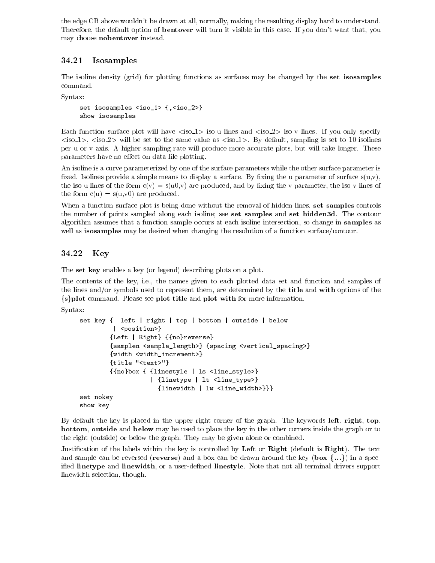the edge CB above wouldn't be drawn at all, normally, making the resulting display hard to understand. Therefore, the default option of bentover will turn it visible in this case. If you don't want that, you may choose nobentover instead.

# 34.21 Isosamples

The isoline density (grid) for plotting functions as surfaces may be changed by the set isosamples command.

Syntax:

```
set isosamples <iso_1> {,<iso_2>}
show isosamples
```
Each function surface plot will have  $\langle$ iso $\perp$  iso-u lines and  $\langle$ iso $\perp$  iso-v lines. If you only specify  $\langle$ iso\_1>,  $\langle$ iso\_2> will be set to the same value as  $\langle$ iso\_1>. By default, sampling is set to 10 isolines per u or v axis. A higher sampling rate will produce more accurate plots, but will take longer. These parameters have no effect on data file plotting.

An isoline is a curve parameterized by one of the surface parameters while the other surface parameter is fixed. Isolines provide a simple means to display a surface. By fixing the u parameter of surface  $s(u,v)$ , the iso-u lines of the form  $c(v) = s(u0,v)$  are produced, and by fixing the v parameter, the iso-v lines of the form  $c(u) = s(u,v0)$  are produced.

When a function surface plot is being done without the removal of hidden lines, set samples controls the number of points sampled along each isoline; see set samples and set hidden3d. The contour algorithm assumes that a function sample occurs at each isoline intersection, so change in samples as well as **isosamples** may be desired when changing the resolution of a function surface/contour.

# 34.22 Key

The set key enables a key (or legend) describing plots on a plot.

The contents of the key, i.e., the names given to each plotted data set and function and samples of the lines and/or symbols used to represent them, are determined by the title and with options of the  $\{s\}$  plot command. Please see plot title and plot with for more information.

Syntax:

```
set key { left | right | top | bottom | outside | below
         | <position>}
        {Left | Right} {{no}reverse}
        {samplen <sample_length>} {spacing <vertical_spacing>}
        {width <width_increment>}
        {title "<text>"}
        {{no}box { {linestyle | ls <line_style>}
                   | {linetype | lt <line_type>}
                     {linewidth | lw <line_width>}}}
set nokey
show key
```
By default the key is placed in the upper right corner of the graph. The keywords left, right, top, bottom, outside and below may be used to place the key in the other corners inside the graph or to the right (outside) or below the graph. They may be given alone or combined.

Justication of the labels within the key is controlled by Left or Right (default is Right). The text and sample can be reversed (reverse) and a box can be drawn around the key (box  $\{\ldots\}$ ) in a specified linetype and linewidth, or a user-defined linestyle. Note that not all terminal drivers support linewidth selection, though.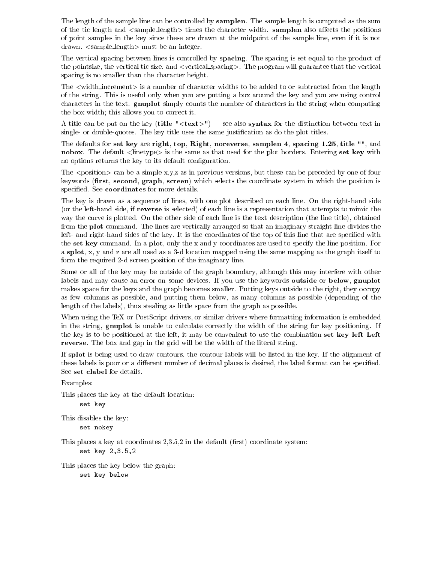The length of the sample line can be controlled by **samplen**. The sample length is computed as the sum of the tic length and  $\langle$ sample\_length $\rangle$  times the character width. **samplen** also affects the positions of point samples in the key since these are drawn at the midpoint of the sample line, even if it is not drawn. <sample length> must be an integer.

The vertical spacing between lines is controlled by spacing. The spacing is set equal to the product of the pointsize, the vertical tic size, and <vertical spacing>. The program will guarantee that the vertical spacing is no smaller than the character height.

The  $\langle$  width increment  $\rangle$  is a number of character widths to be added to or subtracted from the length of the string. This is useful only when you are putting a box around the key and you are using control characters in the text. gnuplot simply counts the number of characters in the string when computing the box width; this allows you to correct it.

A title can be put on the key (title " $\text{ }}$ "  $\text{ }$  = see also syntax for the distinction between text in single- or double-quotes. The key title uses the same justification as do the plot titles.

The defaults for set key are right, top, Right, noreverse, samplen 4, spacing 1.25, title "", and nobox. The default  $\langle$  linetype $\rangle$  is the same as that used for the plot borders. Entering set key with no options returns the key to its default conguration.

The  $\epsilon$  simple x,y,z as in previous versions, but these can be preceded by one of four keywords (first, second, graph, screen) which selects the coordinate system in which the position is specified. See **coordinates** for more details.

The key is drawn as a sequence of lines, with one plot described on each line. On the right-hand side (or the left-hand side, if reverse is selected) of each line is a representation that attempts to mimic the way the curve is plotted. On the other side of each line is the text description (the line title), obtained from the plot command. The lines are vertically arranged so that an imaginary straight line divides the left- and right-hand sides of the key. It is the coordinates of the top of this line that are specified with the set key command. In a plot, only the x and y coordinates are used to specify the line position. For a splot, x, y and z are all used as a 3-d location mapped using the same mapping as the graph itself to form the required 2-d screen position of the imaginary line.

Some or all of the key may be outside of the graph boundary, although this may interfere with other labels and may cause an error on some devices. If you use the keywords outside or below, gnuplot makes space for the keys and the graph becomes smaller. Putting keys outside to the right, they occupy as few columns as possible, and putting them below, as many columns as possible (depending of the length of the labels), thus stealing as little space from the graph as possible.

When using the TeX or PostScript drivers, or similar drivers where formatting information is embedded in the string, gnuplot is unable to calculate correctly the width of the string for key positioning. If the key is to be positioned at the left, it may be convenient to use the combination set key left Left reverse. The box and gap in the grid will be the width of the literal string.

If splot is being used to draw contours, the contour labels will be listed in the key. If the alignment of these labels is poor or a different number of decimal places is desired, the label format can be specified. See set clabel for details.

Examples:

This places the key at the default location:

set key

This disables the key:

set nokey

This places a key at coordinates  $2,3.5,2$  in the default (first) coordinate system: set key 2,3.5,2

This places the key below the graph:

set key below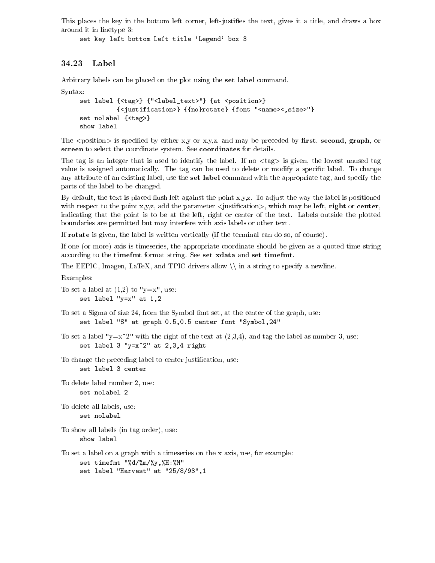This places the key in the bottom left corner, left-justies the text, gives it a title, and draws a box around it in linetype 3:

set key left bottom Left title 'Legend' box 3

#### 34.23 Label

Arbitrary labels can be placed on the plot using the set label command.

Syntax:

```
set label {<tag>} {"<label_text>"} {at <position>}
          {<justification>} {{no}rotate} {font "<name><,size>"}
set nolabel {<tag>}
show label
```
The  $\langle$  position $\rangle$  is specified by either x,y or x,y,z, and may be preceded by first, second, graph, or screen to select the coordinate system. See coordinates for details.

The tag is an integer that is used to identify the label. If no  $\langle \text{tag} \rangle$  is given, the lowest unused tag value is assigned automatically. The tag can be used to delete or modify a specic label. To change any attribute of an existing label, use the set label command with the appropriate tag, and specify the parts of the label to be changed.

By default, the text is placed flush left against the point  $x,y,z$ . To adjust the way the label is positioned with respect to the point x,y,z, add the parameter  $\langle$  justification $\rangle$ , which may be left, right or center, indicating that the point is to be at the left, right or center of the text. Labels outside the plotted boundaries are permitted but may interfere with axis labels or other text.

If rotate is given, the label is written vertically (if the terminal can do so, of course).

If one (or more) axis is timeseries, the appropriate coordinate should be given as a quoted time string according to the timefmt format string. See set xdata and set timefmt.

The EEPIC, Imagen, LaTeX, and TPIC drivers allow  $\langle \rangle$  in a string to specify a newline.

Examples:

```
To set a label at (1,2) to "y=x", use:
     set label "y=x" at 1,2
```
To set a Sigma of size 24, from the Symbol font set, at the center of the graph, use: set label "S" at graph 0.5,0.5 center font "Symbol,24"

To set a label "y=x^2" with the right of the text at  $(2,3,4)$ , and tag the label as number 3, use: set label 3 "y=x^2" at 2,3,4 right

To change the preceding label to center justification, use: set label 3 center

To delete label number 2, use:

To delete all labels, use: set nolabel

To show all labels (in tag order), use: show label

To set a label on a graph with a timeseries on the x axis, use, for example: set timefmt "%d/%m/%y,%H:%M" set label "Harvest" at "25/8/93",1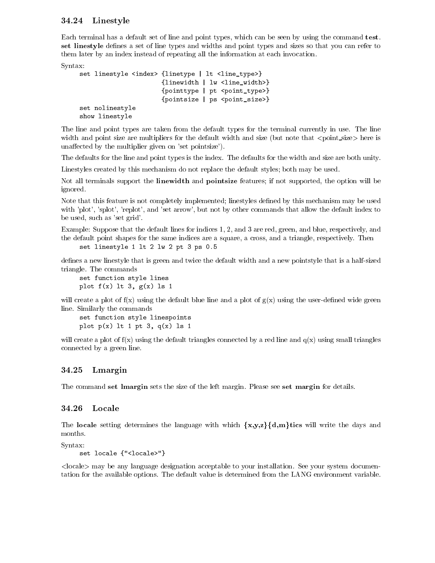### 34.24 Linestyle

Each terminal has a default set of line and point types, which can be seen by using the command test. set linestyle defines a set of line types and widths and point types and sizes so that you can refer to them later by an index instead of repeating all the information at each invocation.

Syntax:

```
set linestyle <index> {linetype | 1t <line_type>}
                      {linewidth | lw <line_width>}
                      {pointtype | pt <point_type>}
                      {pointsize | ps <point_size>}
set nolinestyle
show linestyle
```
The line and point types are taken from the default types for the terminal currently in use. The line width and point size are multipliers for the default width and size (but note that  $\langle$  point size  $\rangle$  here is unaffected by the multiplier given on 'set pointsize').

The defaults for the line and point types is the index. The defaults for the width and size are both unity.

Linestyles created by this mechanism do not replace the default styles; both may be used.

Not all terminals support the linewidth and pointsize features; if not supported, the option will be ignored.

Note that this feature is not completely implemented; linestyles defined by this mechanism may be used with 'plot', 'splot', 'replot', and 'set arrow', but not by other commands that allow the default index to be used, such as 'set grid'.

Example: Suppose that the default lines for indices 1, 2, and 3 are red, green, and blue, respectively, and the default point shapes for the same indices are a square, a cross, and a triangle, respectively. Then set linestyle 1 lt 2 lw 2 pt 3 ps 0.5

defines a new linestyle that is green and twice the default width and a new pointstyle that is a half-sized triangle. The commands

set function style lines plot  $f(x)$  lt 3,  $g(x)$  ls 1

will create a plot of  $f(x)$  using the default blue line and a plot of  $g(x)$  using the user-defined wide green line. Similarly the commands

set function style linespoints plot  $p(x)$  lt 1 pt 3,  $q(x)$  ls 1

will create a plot of  $f(x)$  using the default triangles connected by a red line and  $q(x)$  using small triangles connected by a green line.

#### Lmargin 34.25

The command set lmargin sets the size of the left margin. Please see set margin for details.

#### Locale 34.26

The locale setting determines the language with which  $\{x,y,z\}\{d,m\}$ tics will write the days and months.

Syntax:

```
set locale {"<locale>"}
```
<locale> may be any language designation acceptable to your installation. See your system documentation for the available options. The default value is determined from the LANG environment variable.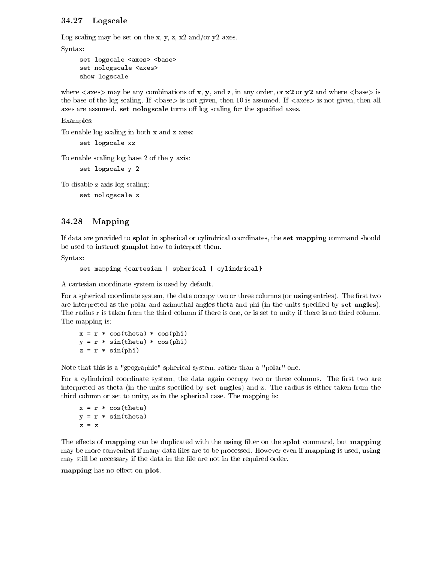# 34.27 Logscale

Log scaling may be set on the x, y, z,  $x^2$  and/or  $y^2$  axes.

Syntax:

```
set logscale <axes> <br/> <br/>base>
set nologscale <axes>
show logscale
```
where  $\langle x, y \rangle$  and  $\langle x, y \rangle$  and  $\langle x, y \rangle$  and  $\langle x, y \rangle$  and  $\langle x, y \rangle$  and  $\langle y, y \rangle$  and where  $\langle y, y \rangle$  is the base of the log scaling. If  $\langle$  base $\rangle$  is not given, then 10 is assumed. If  $\langle$  axes $\rangle$  is not given, then all axes are assumed. set nologscale turns off log scaling for the specified axes.

Examples:

To enable log scaling in both x and z axes:

```
set logscale xz
```
To enable scaling log base 2 of the y axis:

```
set logscale y 2
```
To disable z axis log scaling:

set nologscale z

## 34.28 Mapping

If data are provided to splot in spherical or cylindrical coordinates, the set mapping command should be used to instruct gnuplot how to interpret them.

Syntax:

```
set mapping {cartesian | spherical | cylindrical}
```
A cartesian coordinate system is used by default.

For a spherical coordinate system, the data occupy two or three columns (or using entries). The first two are interpreted as the polar and azimuthal angles theta and phi (in the units specied by set angles). The radius r is taken from the third column if there is one, or is set to unity if there is no third column. The mapping is:

```
x = r * cos(theta) * cos(phi)y = r * sin(theta) * cos(phi)z = r * sin(\phi)
```
Note that this is a "geographic" spherical system, rather than a "polar" one.

For a cylindrical coordinate system, the data again occupy two or three columns. The first two are interpreted as theta (in the units specified by set angles) and z. The radius is either taken from the third column or set to unity, as in the spherical case. The mapping is:

```
x = r * cos(theta)y = r * sin(theta)z = z
```
The effects of **mapping** can be duplicated with the using filter on the splot command, but **mapping** may be more convenient if many data files are to be processed. However even if **mapping** is used, **using** may still be necessary if the data in the file are not in the required order.

mapping has no effect on plot.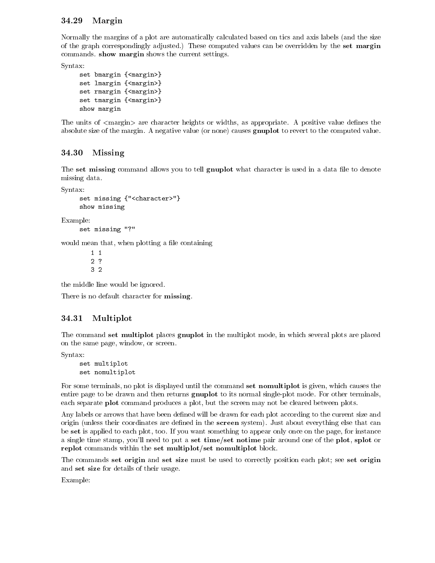# 34.29 Margin

Normally the margins of a plot are automatically calculated based on tics and axis labels (and the size of the graph correspondingly adjusted.) These computed values can be overridden by the set margin commands. show margin shows the current settings.

Syntax:

```
set bmargin {<margin>}
set lmargin {<margin>}
set rmargin {<margin>}
set tmargin {<margin>}
show margin
```
The units of  $\langle$  margin $\rangle$  are character heights or widths, as appropriate. A positive value defines the absolute size of the margin. A negative value (or none) causes gnuplot to revert to the computed value.

### 34.30 Missing

The set missing command allows you to tell gnuplot what character is used in a data file to denote missing data.

Syntax:

```
set missing {"<character>"}
show missing
```
Example:

```
set missing "?"
```
would mean that, when plotting a file containing

 $1\quad1$  $2<sub>2</sub>$ 3 2

the middle line would be ignored.

There is no default character for missing.

### 34.31 Multiplot

The command set multiplot places gnuplot in the multiplot mode, in which several plots are placed on the same page, window, or screen.

Syntax:

```
set multiplot
set nomultiplot
```
For some terminals, no plot is displayed until the command set nomultiplot is given, which causes the entire page to be drawn and then returns gnuplot to its normal single-plot mode. For other terminals, each separate plot command produces a plot, but the screen may not be cleared between plots.

Any labels or arrows that have been defined will be drawn for each plot according to the current size and origin (unless their coordinates are defined in the **screen** system). Just about everything else that can be set is applied to each plot, too. If you want something to appear only once on the page, for instance a single time stamp, you'll need to put a set time/set notime pair around one of the plot, splot or replot commands within the set multiplot/set nomultiplot block.

The commands set origin and set size must be used to correctly position each plot; see set origin and set size for details of their usage.

Example: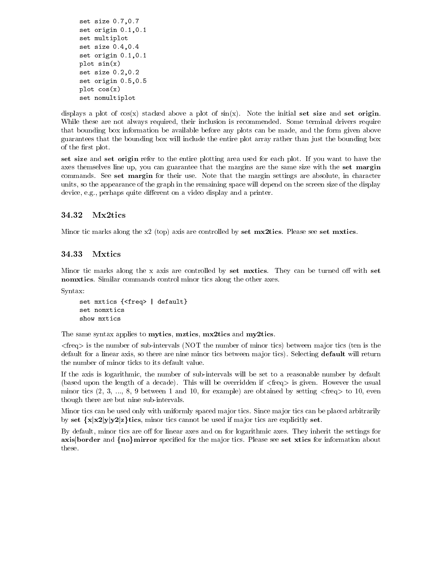```
set size 0.7,0.7
set origin 0.1,0.1
set multiplot
set size 0.4,0.4
set origin 0.1,0.1
plot sin(x)
set size 0.2,0.2
set origin 0.5,0.5
plot cos(x)
set nomultiplot
```
displays a plot of  $cos(x)$  stacked above a plot of  $sin(x)$ . Note the initial set size and set origin. While these are not always required, their inclusion is recommended. Some terminal drivers require that bounding box information be available before any plots can be made, and the form given above guarantees that the bounding box will include the entire plot array rather than just the bounding box of the first plot.

set size and set origin refer to the entire plotting area used for each plot. If you want to have the axes themselves line up, you can guarantee that the margins are the same size with the set margin commands. See set margin for their use. Note that the margin settings are absolute, in character units, so the appearance of the graph in the remaining space will depend on the screen size of the display device, e.g., perhaps quite different on a video display and a printer.

# 34.32 Mx2tics

Minor tic marks along the  $x2$  (top) axis are controlled by set  $mx2tics$ . Please see set mxtics.

# 34.33 Mxtics

Minor tic marks along the x axis are controlled by set mxtics. They can be turned off with set nomxtics. Similar commands control minor tics along the other axes.

Syntax:

```
set mxtics {<freq> | default}
set nomxtics
show mxtics
```
The same syntax applies to mytics, mztics, mx2tics and my2tics.

 $\langle$  freq $\rangle$  is the number of sub-intervals (NOT the number of minor tics) between major tics (ten is the default for a linear axis, so there are nine minor tics between major tics). Selecting **default** will return the number of minor ticks to its default value.

If the axis is logarithmic, the number of sub-intervals will be set to a reasonable number by default (based upon the length of a decade). This will be overridden if <freq> is given. However the usual minor tics  $(2, 3, ..., 8, 9)$  between 1 and 10, for example) are obtained by setting  $\langle$  freq  $>$  to 10, even though there are but nine sub-intervals.

Minor tics can be used only with uniformly spaced major tics. Since major tics can be placed arbitrarily by set  $\{x|x2|y|y2|z\}$  tics, minor tics cannot be used if major tics are explicitly set.

By default, minor tics are off for linear axes and on for logarithmic axes. They inherit the settings for axis border and {no}mirror specified for the major tics. Please see set xtics for information about these.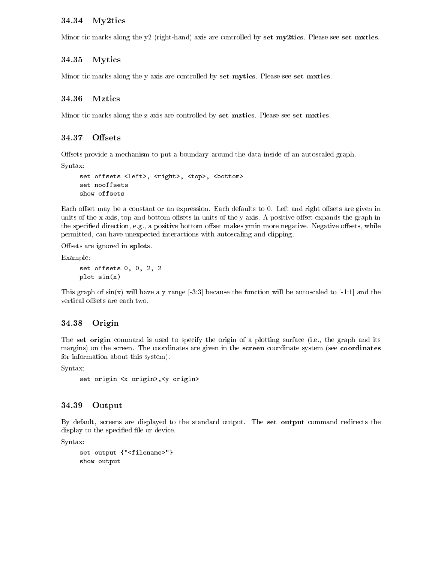## 34.34 My2tics

Minor tic marks along the y2 (right-hand) axis are controlled by set  $my2tics$ . Please see set mxtics.

#### 34.35 **Mytics**

Minor tic marks along the y axis are controlled by set mytics. Please see set mxtics.

#### 34.36 **Mztics**

Minor tic marks along the z axis are controlled by set mztics. Please see set mxtics.

#### 34.37 **Offsets**

Offsets provide a mechanism to put a boundary around the data inside of an autoscaled graph. Syntax:

```
set offsets <left>, <right>, <top>, <bottom>
set nooffsets
```
Each offset may be a constant or an expression. Each defaults to 0. Left and right offsets are given in units of the x axis, top and bottom offsets in units of the y axis. A positive offset expands the graph in the specified direction, e.g., a positive bottom offset makes ymin more negative. Negative offsets, while permitted, can have unexpected interactions with autoscaling and clipping.

Offsets are ignored in splots.

Example:

set offsets 0, 0, 2, 2 plot sin(x)

This graph of  $sin(x)$  will have a y range [-3:3] because the function will be autoscaled to [-1:1] and the vertical offsets are each two.

#### 34.38 **Origin**

The set origin command is used to specify the origin of a plotting surface (i.e., the graph and its margins) on the screen. The coordinates are given in the screen coordinate system (see coordinates for information about this system).

Syntax:

```
set origin <x-origin>,<y-origin>
```
### 34.39 Output

By default, screens are displayed to the standard output. The set output command redirects the display to the specified file or device.

Syntax:

```
set output {"<filename>"}
show output
```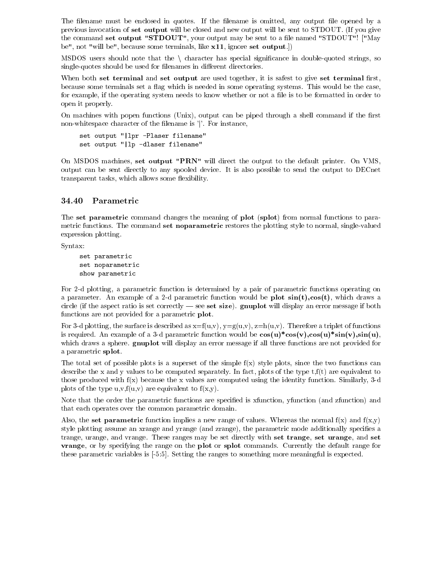The filename must be enclosed in quotes. If the filename is omitted, any output file opened by a previous invocation of set output will be closed and new output will be sent to STDOUT. (If you give the command set output "STDOUT", your output may be sent to a file named "STDOUT"! ["May be", not "will be", because some terminals, like  $x11$ , ignore set output.]

MSDOS users should note that the  $\langle$  character has special significance in double-quoted strings, so single-quotes should be used for filenames in different directories.

When both set terminal and set output are used together, it is safest to give set terminal first, because some terminals set a flag which is needed in some operating systems. This would be the case, for example, if the operating system needs to know whether or not a file is to be formatted in order to open it properly.

On machines with popen functions (Unix), output can be piped through a shell command if the first non-whitespace character of the filename is '|'. For instance,

```
set output "|lpr -Plaser filename"
set output "|lp -dlaser filename"
```
On MSDOS machines, set output "PRN" will direct the output to the default printer. On VMS, output can be sent directly to any spooled device. It is also possible to send the output to DECnet transparent tasks, which allows some flexibility.

## 34.40 Parametric

The set parametric command changes the meaning of plot (splot) from normal functions to parametric functions. The command set noparametric restores the plotting style to normal, single-valued expression plotting.

Syntax:

```
set parametric
set noparametric
show parametric
```
For 2-d plotting, a parametric function is determined by a pair of parametric functions operating on a parameter. An example of a 2-d parametric function would be **plot**  $sin(t)$ ,  $cos(t)$ , which draws a circle (if the aspect ratio is set correctly  $\sim$  see set size). gnuplot will display an error message if both functions are not provided for a parametric plot.

For 3-d plotting, the surface is described as  $x=f(u,v)$ ,  $y=g(u,v)$ ,  $z=h(u,v)$ . Therefore a triplet of functions is required. An example of a 3-d parametric function would be  $cos(u)*cos(v), cos(u)*sin(v), sin(u)$ , which draws a sphere. **gnuplot** will display an error message if all three functions are not provided for a parametric splot.

The total set of possible plots is a superset of the simple  $f(x)$  style plots, since the two functions can describe the x and y values to be computed separately. In fact, plots of the type  $t, f(t)$  are equivalent to those produced with  $f(x)$  because the x values are computed using the identity function. Similarly, 3-d plots of the type  $u, v, f(u, v)$  are equivalent to  $f(x, y)$ .

Note that the order the parametric functions are specied is xfunction, yfunction (and zfunction) and that each operates over the common parametric domain.

Also, the set parametric function implies a new range of values. Whereas the normal  $f(x)$  and  $f(x,y)$ style plotting assume an xrange and yrange (and zrange), the parametric mode additionally specifies a trange, urange, and vrange. These ranges may be set directly with set trange, set urange, and set vrange, or by specifying the range on the plot or splot commands. Currently the default range for these parametric variables is [-5:5]. Setting the ranges to something more meaningful is expected.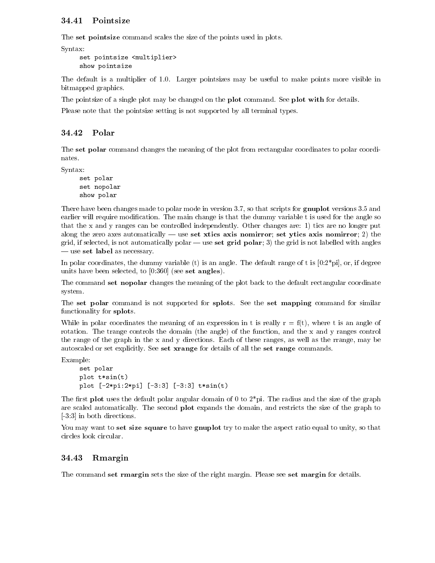## 34.41

The set pointsize command scales the size of the points used in plots.

Syntax:

set pointsize <multiplier> show pointsize

The default is a multiplier of 1.0. Larger pointsizes may be useful to make points more visible in bitmapped graphics.

The pointsize of a single plot may be changed on the **plot** command. See **plot with** for details.

Please note that the pointsize setting is not supported by all terminal types.

## 34.42 Polar

The set polar command changes the meaning of the plot from rectangular coordinates to polar coordinates.

Syntax:

```
set polar
set nopolar
show polar
```
There have been changes made to polar mode in version 3.7, so that scripts for **gnuplot** versions 3.5 and earlier will require modication. The main change is that the dummy variable t is used for the angle so that the x and y ranges can be controlled independently. Other changes are: 1) tics are no longer put along the zero axes automatically — use set xtics axis nomirror; set ytics axis nomirror; 2) the grid, if selected, is not automatically polar — use set grid polar; 3) the grid is not labelled with angles — use set label as necessary.

In polar coordinates, the dummy variable (t) is an angle. The default range of t is  $[0.2^*p_i]$ , or, if degree units have been selected, to [0:360] (see set angles).

The command set nopolar changes the meaning of the plot back to the default rectangular coordinate system.

The set polar command is not supported for splots. See the set mapping command for similar functionality for splots.

While in polar coordinates the meaning of an expression in t is really  $r = f(t)$ , where t is an angle of rotation. The trange controls the domain (the angle) of the function, and the x and y ranges control the range of the graph in the x and y directions. Each of these ranges, as well as the rrange, may be autoscaled or set explicitly. See set xrange for details of all the set range commands.

Example:

```
set polar
plot t*sin(t)
plot [-2*pi:2*pi] [-3:3] [-3:3] t*sin(t)
```
The first plot uses the default polar angular domain of 0 to  $2*pi$ . The radius and the size of the graph are scaled automatically. The second plot expands the domain, and restricts the size of the graph to [-3:3] in both directions.

You may want to set size square to have gnuplot try to make the aspect ratio equal to unity, so that circles look circular.

### 34.43 Rmargin

The command set rmargin sets the size of the right margin. Please see set margin for details.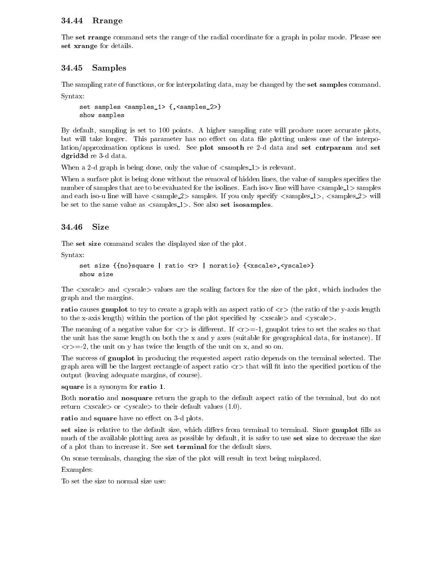# 34.44 Rrange

The set rrange command sets the range of the radial coordinate for a graph in polar mode. Please see set xrange for details.

# 34.45 Samples

The sampling rate of functions, or for interpolating data, may be changed by the set samples command. Syntax:

set samples <samples\_1> {,<samples\_2>} show samples

By default, sampling is set to 100 points. A higher sampling rate will produce more accurate plots, but will take longer. This parameter has no effect on data file plotting unless one of the interpolation/approximation options is used. See plot smooth re 2-d data and set cntrparam and set dgrid3d re 3-d data.

When a 2-d graph is being done, only the value of  $\langle$ samples $1$  $>$  is relevant.

When a surface plot is being done without the removal of hidden lines, the value of samples specifies the number of samples that are to be evaluated for the isolines. Each iso-v line will have  $\langle$ sample 1  $\rangle$  samples and each iso-u line will have  $\langle$  sample 2 $\rangle$  samples. If you only specify  $\langle$  samples 1 $\rangle$ ,  $\langle$  samples 2 $\rangle$  will be set to the same value as <samples 1>. See also set isosamples.

The set size command scales the displayed size of the plot.

Syntax:

```
set size {{no}square | ratio <r> | noratio} {<xscale>,<yscale>}
show size
```
The <xscale> and <yscale> values are the scaling factors for the size of the plot, which includes the graph and the margins.

ratio causes gnuplot to try to create a graph with an aspect ratio of  $\langle r \rangle$  (the ratio of the y-axis length to the x-axis length) within the portion of the plot specified by  $\langle x \rangle$  and  $\langle y \rangle$  scales.

The meaning of a negative value for  $\langle r \rangle$  is different. If  $\langle r \rangle = 1$ , gnuplot tries to set the scales so that the unit has the same length on both the x and y axes (suitable for geographical data, for instance). If  $\langle r \rangle = -2$ , the unit on y has twice the length of the unit on x, and so on.

The success of **gnuplot** in producing the requested aspect ratio depends on the terminal selected. The graph area will be the largest rectangle of aspect ratio  $\langle r \rangle$  that will fit into the specified portion of the output (leaving adequate margins, of course).

square is a synonym for ratio 1.

Both noratio and nosquare return the graph to the default aspect ratio of the terminal, but do not return  $\langle x,\text{scale}\rangle$  or  $\langle y,\text{scale}\rangle$  to their default values (1.0).

ratio and square have no effect on 3-d plots.

set size is relative to the default size, which differs from terminal to terminal. Since gnuplot fills as much of the available plotting area as possible by default, it is safer to use set size to decrease the size of a plot than to increase it. See set terminal for the default sizes.

On some terminals, changing the size of the plot will result in text being misplaced.

Examples:

To set the size to normal size use: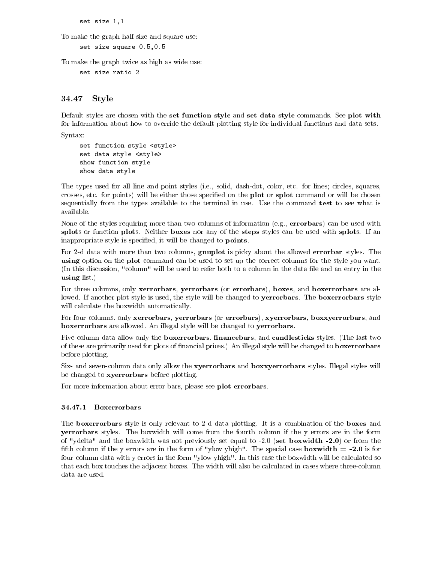set size 1,1

To make the graph half size and square use:

```
set size square 0.5,0.5
```
To make the graph twice as high as wide use:

```
set size ratio 2
```
### 34.47 **Style**

Default styles are chosen with the set function style and set data style commands. See plot with for information about how to override the default plotting style for individual functions and data sets.

Syntax:

```
set function style <style>
set data style <style>
show function style
show data style
```
The types used for all line and point styles (i.e., solid, dash-dot, color, etc. for lines; circles, squares, crosses, etc. for points) will be either those specified on the **plot** or **splot** command or will be chosen sequentially from the types available to the terminal in use. Use the command test to see what is available.

None of the styles requiring more than two columns of information (e.g., **errorbars**) can be used with splots or function plots. Neither boxes nor any of the steps styles can be used with splots. If an inappropriate style is specified, it will be changed to **points**.

For 2-d data with more than two columns, gnuplot is picky about the allowed errorbar styles. The using option on the plot command can be used to set up the correct columns for the style you want. (In this discussion, "column" will be used to refer both to a column in the data file and an entry in the using list.)

For three columns, only xerrorbars, yerrorbars (or errorbars), boxes, and boxerrorbars are allowed. If another plot style is used, the style will be changed to **yerrorbars**. The **boxerrorbars** style will calculate the boxwidth automatically.

For four columns, only xerrorbars, yerrorbars (or errorbars), xyerrorbars, boxxyerrorbars, and boxerrorbars are allowed. An illegal style will be changed to yerrorbars.

Five-column data allow only the **boxerrorbars, financebars,** and **candlesticks** styles. (The last two of these are primarily used for plots of nancial prices.) An illegal style will be changed to boxerrorbars before plotting.

Six- and seven-column data only allow the xyerrorbars and boxxyerrorbars styles. Illegal styles will be changed to xyerrorbars before plotting.

For more information about error bars, please see plot errorbars.

### 34.47.1 Boxerrorbars

The boxerrorbars style is only relevant to 2-d data plotting. It is a combination of the boxes and yerrorbars styles. The boxwidth will come from the fourth column if the y errors are in the form of "ydelta" and the boxwidth was not previously set equal to -2.0 (set boxwidth -2.0) or from the fifth column if the y errors are in the form of "ylow yhigh". The special case **boxwidth = -2.0** is for four-column data with y errors in the form "ylow yhigh". In this case the boxwidth will be calculated so that each box touches the adjacent boxes. The width will also be calculated in cases where three-column data are used.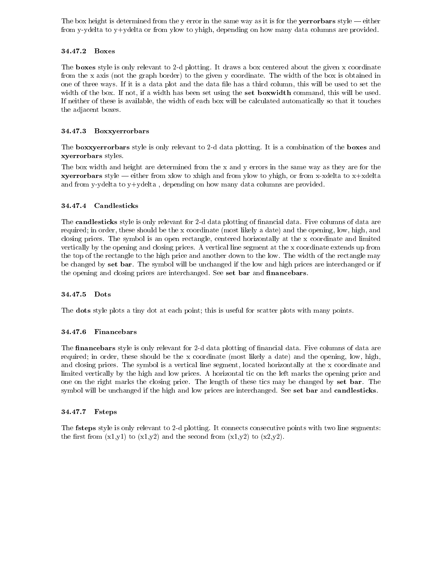The box height is determined from the y error in the same way as it is for the **yerrorbars** style  $-$  either from y-ydelta to y+ydelta or from ylow to yhigh, depending on how many data columns are provided.

# 34.47.2 Boxes

The boxes style is only relevant to 2-d plotting. It draws a box centered about the given x coordinate from the x axis (not the graph border) to the given y coordinate. The width of the box is obtained in one of three ways. If it is a data plot and the data le has a third column, this will be used to set the width of the box. If not, if a width has been set using the set boxwidth command, this will be used. If neither of these is available, the width of each box will be calculated automatically so that it touches the adjacent boxes.

# 34.47.3 Boxxyerrorbars

The boxxyerrorbars style is only relevant to 2-d data plotting. It is a combination of the boxes and xyerrorbars styles.

The box width and height are determined from the x and y errors in the same way as they are for the **xyerrorbars** style  $-$  either from xlow to xhigh and from ylow to yhigh, or from x-xdelta to x+xdelta and from y-ydelta to y+ydelta , depending on how many data columns are provided.

# 34.47.4 Candlesticks

The candlesticks style is only relevant for 2-d data plotting of nancial data. Five columns of data are required; in order, these should be the x coordinate (most likely a date) and the opening, low, high, and closing prices. The symbol is an open rectangle, centered horizontally at the x coordinate and limited vertically by the opening and closing prices. A vertical line segment at the x coordinate extends up from the top of the rectangle to the high price and another down to the low. The width of the rectangle may be changed by set bar. The symbol will be unchanged if the low and high prices are interchanged or if the opening and closing prices are interchanged. See set bar and financebars.

# 34.47.5 Dots

The dots style plots a tiny dot at each point; this is useful for scatter plots with many points.

# 34.47.6 Financebars

The **financebars** style is only relevant for 2-d data plotting of financial data. Five columns of data are required; in order, these should be the x coordinate (most likely a date) and the opening, low, high, and closing prices. The symbol is a vertical line segment, located horizontally at the x coordinate and limited vertically by the high and low prices. A horizontal tic on the left marks the opening price and one on the right marks the closing price. The length of these tics may be changed by set bar. The symbol will be unchanged if the high and low prices are interchanged. See set bar and candlesticks.

# 34.47.7 Fsteps

The fsteps style is only relevant to 2-d plotting. It connects consecutive points with two line segments: the first from  $(x1,y1)$  to  $(x1,y2)$  and the second from  $(x1,y2)$  to  $(x2,y2)$ .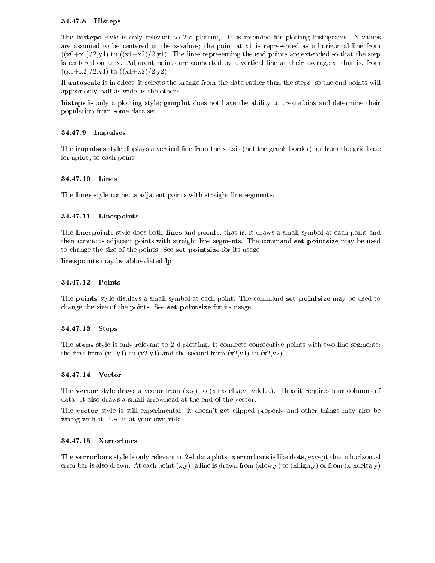# 34.47.8 Histeps

The histeps style is only relevant to 2-d plotting. It is intended for plotting histograms. Y-values are assumed to be centered at the x-values; the point at x1 is represented as a horizontal line from  $((x0+x1)/2,y1)$  to  $((x1+x2)/2,y1)$ . The lines representing the end points are extended so that the step is centered on at x. Adjacent points are connected byavertical line at their average x, that is, from  $((x1+x2)/2,y1)$  to  $((x1+x2)/2,y2)$ .

If autoscale is in effect, it selects the xrange from the data rather than the steps, so the end points will appear only half as wide as the others.

histeps is only a plotting style; **gnuplot** does not have the ability to create bins and determine their population from some data set.

# 34.47.9 Impulses

The impulses style displays a vertical line from the x axis (not the graph border), or from the grid base for splot, to each point.

# 34.47.10 Lines

The lines style connects adjacent points with straight line segments.

# 34.47.11 Linespoints

The linespoints style does both lines and points, that is, it draws a small symbol at each point and then connects adjacent points with straight line segments. The command set pointsize may be used to change the size of the points. See set pointsize for its usage.

linespoints may be abbreviated lp.

# 34.47.12 Points

The points style displays a small symbol at each point. The command set pointsize may be used to change the size of the points. See set pointsize for its usage.

# 34.47.13 Steps

The steps style is only relevant to 2-d plotting. It connects consecutive points with two line segments: the first from  $(x1,y1)$  to  $(x2,y1)$  and the second from  $(x2,y1)$  to  $(x2,y2)$ .

# 34.47.14 Vector

The vector style draws a vector from  $(x,y)$  to  $(x+xdelta, y+ydelta)$ . Thus it requires four columns of data. It also draws a small arrowhead at the end of the vector.

The vector style is still experimental: it doesn't get clipped properly and other things may also be wrong with it. Use it at your own risk.

## 34.47.15 Xerrorbars

The xerrorbars style is only relevant to 2-d data plots. xerrorbars is like dots, except that a horizontal error bar is also drawn. At each point  $(x,y)$ , a line is drawn from  $(xlow,y)$  to  $(xhigh,y)$  or from  $(x-xdelta, y)$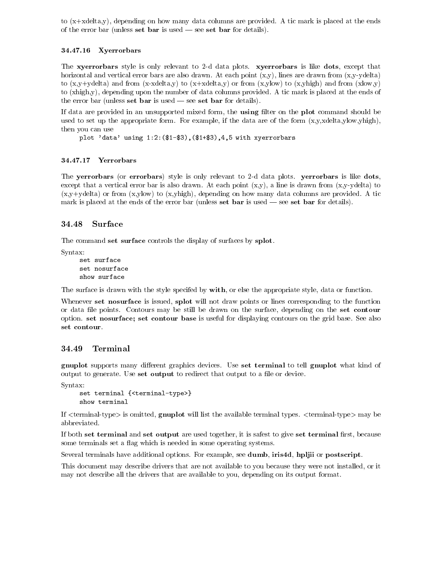to (x+xdelta,y), depending on how many data columns are provided. A tic mark is placed at the ends of the error bar (unless set bar is used  $-$  see set bar for details).

# 34.47.16 Xyerrorbars

The xyerrorbars style is only relevant to 2-d data plots. xyerrorbars is like dots, except that horizontal and vertical error bars are also drawn. At each point  $(x,y)$ , lines are drawn from  $(x,y-y$ delta) to  $(x,y+ydelta)$  and from  $(x-xdelta)$  to  $(x+xdelta)$  or from  $(x,y)$  to  $(x,yhigh)$  and from  $(xlow,y)$ to (xhigh,y), depending upon the number of data columns provided. A tic mark is placed at the ends of the error bar (unless set bar is used  $-$  see set bar for details).

If data are provided in an unsupported mixed form, the using filter on the plot command should be used to set up the appropriate form. For example, if the data are of the form (x,y,xdelta,ylow,yhigh), then you can use

plot 'data' using 1:2:(\$1-\$3),(\$1+\$3),4,5 with xyerrorbars

## 34.47.17 Yerrorbars

The yerrorbars (or errorbars) style is only relevant to 2-d data plots. yerrorbars is like dots, except that a vertical error bar is also drawn. At each point  $(x,y)$ , a line is drawn from  $(x,y-y$ delta) to  $(x,y+ydelta)$  or from  $(x,ylow)$  to  $(x,yhigh)$ , depending on how many data columns are provided. A tic mark is placed at the ends of the error bar (unless set bar is used  $-$  see set bar for details).

#### 34.48 **Surface**

The command set surface controls the display of surfaces by splot.

Syntax:

```
set surface
set nosurface
show surface
```
The surface is drawn with the style specifed by with, or else the appropriate style, data or function.

Whenever set nosurface is issued, splot will not draw points or lines corresponding to the function or data file points. Contours may be still be drawn on the surface, depending on the set contour option. set nosurface; set contour base is useful for displaying contours on the grid base. See also set contour.

#### 34.49 Terminal

gnuplot supports many different graphics devices. Use set terminal to tell gnuplot what kind of output to generate. Use set output to redirect that output to a file or device.

Syntax:

```
set terminal {<terminal-type>}
show terminal
```
If  $\leq$  terminal-type $>$  is omitted, gnuplot will list the available terminal types.  $\leq$  terminal-type $>$  may be abbreviated.

If both set terminal and set output are used together, it is safest to give set terminal first, because some terminals set a flag which is needed in some operating systems.

Several terminals have additional options. For example, see dumb, iris4d, hpljii or postscript.

This document may describe drivers that are not available to you because they were not installed, or it may not describe all the drivers that are available to you, depending on its output format.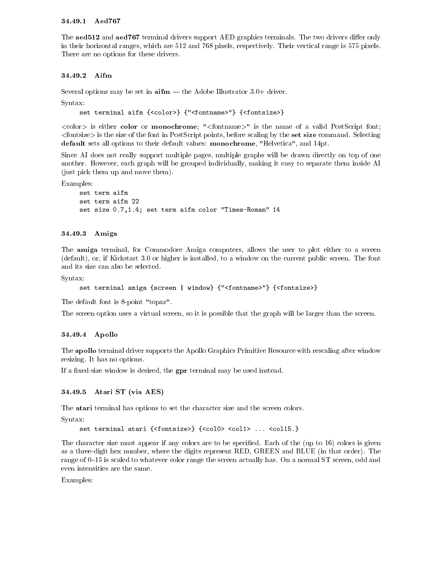The **aed512** and **aed767** terminal drivers support AED graphics terminals. The two drivers differ only in their horizontal ranges, which are 512 and 768 pixels, respectively. Their vertical range is 575 pixels. There are no options for these drivers.

Several options may be set in  $\text{aifm}$  — the Adobe Illustrator 3.0+ driver.

Syntax:

set terminal aifm {<color>} {"<fontname>"} {<fontsize>}

<color> is either color or monochrome; "<fontname>" is the name of a valid PostScript font; <fontsize> is the size of the font in PostScript points, before scaling by the set size command. Selecting default sets all options to their default values: monochrome, "Helvetica", and 14pt.

Since AI does not really support multiple pages, multiple graphs will be drawn directly on top of one another. However, each graph will be grouped individually, making it easy to separate them inside AI (just pick them up and move them).

Examples:

```
set term aifm
set term aifm 22
set size 0.7,1.4; set term aifm color "Times-Roman" 14
```
## 34.49.3 Amiga

The amiga terminal, for Commodore Amiga computers, allows the user to plot either to a screen (default), or, if Kickstart 3.0 or higher is installed, to a window on the current public screen. The font and its size can also be selected.

Syntax:

```
set terminal amiga {screen | window} {"<fontname>"} {<fontsize>}
```
The default font is 8-point "topaz".

The screen option uses a virtual screen, so it is possible that the graph will be larger than the screen.

## 34.49.4 Apollo

The apollo terminal driver supports the Apollo Graphics Primitive Resource with rescaling after window resizing. It has no options.

If a fixed-size window is desired, the gpr terminal may be used instead.

## 34.49.5 Atari ST (via AES)

The atari terminal has options to set the character size and the screen colors.

Syntax:

set terminal atari {<fontsize>} {<col0> <col1> ... <col15.}

The character size must appear if any colors are to be specified. Each of the (up to 16) colors is given as a three-digit hex number, where the digits represent RED, GREEN and BLUE (in that order). The range of 0-15 is scaled to whatever color range the screen actually has. On a normal ST screen, odd and even intensities are the same.

Examples: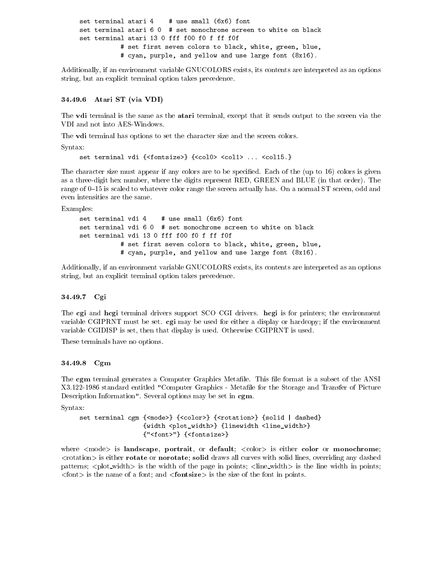```
set terminal atari 4 # use small (6x6) font
set terminal atari 6 0 # set monochrome screen to white on black
set terminal atari 13 0 fff f00 f0 f ff f0f
          # set first seven colors to black, white, green, blue,
          # cyan, purple, and yellow and use large font (8x16).
```
Additionally, if an environment variable GNUCOLORS exists, its contents are interpreted as an options string, but an explicit terminal option takes precedence.

### 34.49.6 Atari ST (via VDI)

The vdi terminal is the same as the atari terminal, except that it sends output to the screen via the VDI and not into AES-Windows.

The vdi terminal has options to set the character size and the screen colors.

Syntax:

set terminal vdi {<fontsize>} {<col0> <col1> ... <col15.}

The character size must appear if any colors are to be specified. Each of the (up to 16) colors is given as a three-digit hex number, where the digits represent RED, GREEN and BLUE (in that order). The range of 0-15 is scaled to whatever color range the screen actually has. On a normal ST screen, odd and even intensities are the same.

Examples:

set terminal vdi 4 # use small (6x6) font set terminal vdi 6 0 # set monochrome screen to white on black set terminal vdi 13 0 fff f00 f0 f ff f0f # set first seven colors to black, white, green, blue, # cyan, purple, and yellow and use large font (8x16).

Additionally, if an environment variable GNUCOLORS exists, its contents are interpreted as an options string, but an explicit terminal option takes precedence.

# 34.49.7 Cgi

The cgi and hcgi terminal drivers support SCO CGI drivers. hcgi is for printers; the environment variable CGIPRNT must be set. cgi may be used for either a display or hardcopy; if the environment variable CGIDISP is set, then that display is used. Otherwise CGIPRNT is used.

These terminals have no options.

## 34.49.8 Cgm

The cgm terminal generates a Computer Graphics Metafile. This file format is a subset of the ANSI X3.122-1986 standard entitled "Computer Graphics - Metale for the Storage and Transfer of Picture Description Information". Several options may be set in cgm.

Syntax:

set terminal cgm {<mode>} {<color>} {<rotation>} {solid | dashed} {width <plot\_width>} {linewidth <line\_width>} {"<font>"} {<fontsize>}

where  $\langle$  mode> is landscape, portrait, or default;  $\langle$  color> is either color or monochrome; <rotation> is either rotate or norotate; solid draws all curves with solid lines, overriding any dashed patterns;  $\langle$  plot\_width $\rangle$  is the width of the page in points;  $\langle$  line\_width $\rangle$  is the line width in points;  $\langle$  font  $\rangle$  is the name of a font; and  $\langle$  fontsize  $\rangle$  is the size of the font in points.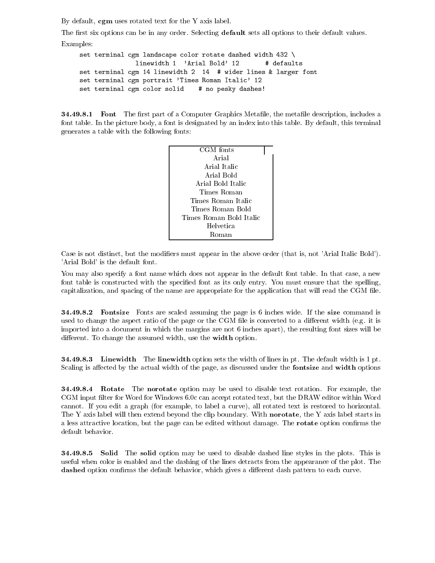By default, cgm uses rotated text for the Y axis label.

The first six options can be in any order. Selecting **default** sets all options to their default values. Examples:

set terminal cgm landscape color rotate dashed width 432 \ linewidth 1 'Arial Bold' 12 # defaults set terminal cgm 14 linewidth 2 14 # wider lines & larger font set terminal cgm portrait 'Times Roman Italic' 12 set terminal cgm color solid # no pesky dashes!

**34.49.8.1** Font The first part of a Computer Graphics Metafile, the metafile description, includes a font table. In the picture body, a font is designated by an index into this table. By default, this terminal generates a table with the following fonts:

| CGM fonts               |  |
|-------------------------|--|
| Arial                   |  |
| Arial Italic            |  |
| Arial Bold              |  |
| Arial Bold Italic       |  |
| Times Roman             |  |
| Times Roman Italic      |  |
| Times Roman Bold        |  |
| Times Roman Bold Italic |  |
| Helvetica               |  |
| man                     |  |

Case is not distinct, but the modifiers must appear in the above order (that is, not 'Arial Italic Bold'). 'Arial Bold' is the default font.

You may also specify a font name which does not appear in the default font table. In that case, a new font table is constructed with the specified font as its only entry. You must ensure that the spelling, capitalization, and spacing of the name are appropriate for the application that will read the CGM le.

34.49.8.2 Fontsize Fonts are scaled assuming the page is 6 inches wide. If the size command is used to change the aspect ratio of the page or the CGM file is converted to a different width (e.g. it is imported into a document in which the margins are not 6 inches apart), the resulting font sizes will be different. To change the assumed width, use the **width** option.

34.49.8.3 Linewidth The linewidth option sets the width of lines in pt. The default width is 1 pt. Scaling is affected by the actual width of the page, as discussed under the **fontsize** and width options

34.49.8.4 Rotate The norotate option may be used to disable text rotation. For example, the CGM input filter for Word for Windows 6.0c can accept rotated text, but the DRAW editor within Word cannot. If you edit a graph (for example, to label a curve), all rotated text is restored to horizontal. The Y axis label will then extend beyond the clip boundary. With **norotate**, the Y axis label starts in a less attractive location, but the page can be edited without damage. The **rotate** option confirms the default behavior.

34.49.8.5 Solid The solid option may be used to disable dashed line styles in the plots. This is useful when color is enabled and the dashing of the lines detracts from the appearance of the plot. The dashed option confirms the default behavior, which gives a different dash pattern to each curve.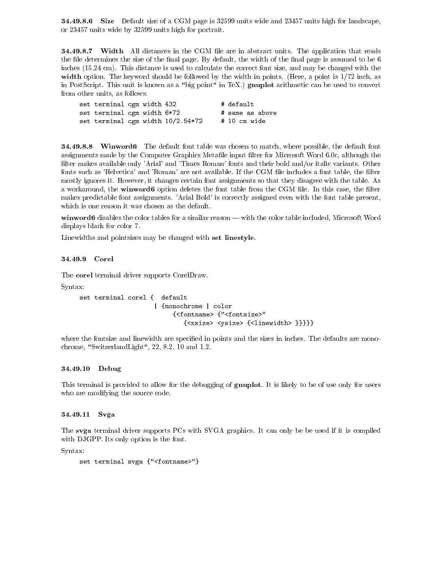34.49.8.6 Size Default size of a CGM page is 32599 units wide and 23457 units high for landscape, or 23457 units wide by 32599 units high for portrait.

**34.49.8.7** Width All distances in the CGM file are in abstract units. The application that reads the file determines the size of the final page. By default, the width of the final page is assumed to be  $6$ inches (15.24 cm). This distance is used to calculate the correct font size, and may be changed with the width option. The keyword should be followed by the width in points. (Here, a point is  $1/72$  inch, as in PostScript. This unit is known as a "big point" in TeX.) gnuplot arithmetic can be used to convert from other units, as follows:

set terminal cgm width 432 # default set terminal cgm width  $6*72$   $\qquad$  # same as above set terminal cgm width  $10/2.54*72$  # 10 cm wide

34.49.8.8 Winword6 The default font table was chosen to match, where possible, the default font assignments made by the Computer Graphics Metafile input filter for Microsoft Word 6.0c, although the filter makes available only 'Arial' and 'Times Roman' fonts and their bold and/or italic variants. Other fonts such as 'Helvetica' and 'Roman' are not available. If the CGM file includes a font table, the filter mostly ignores it. However, it changes certain font assignments so that they disagree with the table. As a workaround, the winword6 option deletes the font table from the CGM file. In this case, the filter makes predictable font assignments. 'Arial Bold' is correctly assigned even with the font table present, which is one reason it was chosen as the default.

winword6 disables the color tables for a similar reason — with the color table included, Microsoft Word displays black for color 7.

Linewidths and pointsizes may be changed with set linestyle.

34.49.9 Corel

The corel terminal driver supports CorelDraw.

Syntax:

```
set terminal corel { default
                    | {monochrome | color
                         {<fontname> {"<fontsize>"
                            {<xsize> <ysize> {<linewidth> }}}}}
```
where the fontsize and linewidth are specified in points and the sizes in inches. The defaults are monochrome, "SwitzerlandLight", 22, 8.2, 10 and 1.2.

#### 34.49.10 Debug

This terminal is provided to allow for the debugging of gnuplot. It is likely to be of use only for users who are modifying the source code.

#### 34.49.11 Svga

The svga terminal driver supports PCs with SVGA graphics. It can only be be used if it is compiled with DJGPP. Its only option is the font.

Syntax:

```
set terminal svga {"<fontname>"}
```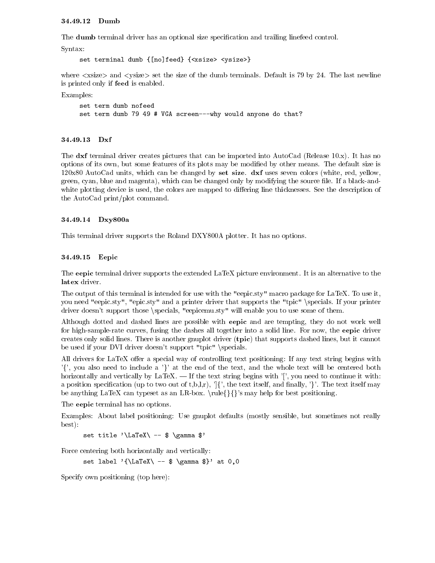The **dumb** terminal driver has an optional size specification and trailing linefeed control.

Syntax:

set terminal dumb {[no]feed} {<xsize> <ysize>}

where  $\langle x \rangle$  and  $\langle y \rangle$  set the size of the dumb terminals. Default is 79 by 24. The last newline is printed only if feed is enabled.

Examples:

set term dumb nofeed set term dumb 79 49 # VGA screen---why would anyone do that?

# 34.49.13 Dxf

The  $dx$ f terminal driver creates pictures that can be imported into AutoCad (Release 10.x). It has no options of its own, but some features of its plots may be modied by other means. The default size is  $120x80$  AutoCad units, which can be changed by set size. dxf uses seven colors (white, red, yellow, green, cyan, blue and magenta), which can be changed only by modifying the source file. If a black-andwhite plotting device is used, the colors are mapped to differing line thicknesses. See the description of the AutoCad print/plot command.

# 34.49.14 Dxy800a

This terminal driver supports the Roland DXY800A plotter. It has no options.

# 34.49.15 Eepic

The eepic terminal driver supports the extended LaTeX picture environment. It is an alternative to the latex driver.

The output of this terminal is intended for use with the "eepic.sty" macro package for LaTeX. To use it, you need "eepic.sty", "epic.sty" and a printer driver that supports the "tpic" \specials. If your printer driver doesn't support those \specials, "eepicemu.sty" will enable you to use some of them.

Although dotted and dashed lines are possible with eepic and are tempting, they do not work well for high-sample-rate curves, fusing the dashes all together into a solid line. For now, the eepic driver creates only solid lines. There is another gnuplot driver (tpic) that supports dashed lines, but it cannot be used if your DVI driver doesn't support "tpic" \specials.

All drivers for LaTeX offer a special way of controlling text positioning: If any text string begins with 'f', you also need to include a '}' at the end of the text, and the whole text will be centered both horizontally and vertically by  $LaTeX.$  If the text string begins with '[', you need to continue it with: a position specification (up to two out of t,b,l,r), '|{', the text itself, and finally, '}'. The text itself may be anything LaTeX can typeset as an LR-box.  $\rule{1}{1}$ 's may help for best positioning.

The **eepic** terminal has no options.

Examples: About label positioning: Use gnuplot defaults (mostly sensible, but sometimes not really best):

```
set title '\LaTeX\ -- \ \gamma \'
```
Force centering both horizontally and vertically:

```
set label '\{\text{LaTeX\ --\ $ \gamma \ \gamma $}' at 0,0
```
Specify own positioning (top here):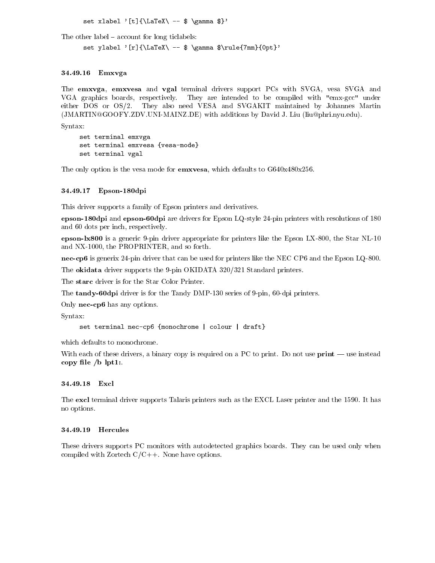set xlabel '[t]{\LaTeX\ --  $\$  \gamma  $\}$ '

The other label  $=$  account for long ticlabels:

set ylabel '[r]{\LaTeX\ -- \$ \gamma \$\rule{7mm}{0pt}'

### 34.49.16 Emxvga

The emxvga, emxvesa and vgal terminal drivers support PCs with SVGA, vesa SVGA and VGA graphics boards, respectively. They are intended to be compiled with "emx-gcc" under either DOS or OS/2. They also need VESA and SVGAKIT maintained by Johannes Martin (JMARTIN@GOOFY.ZDV.UNI-MAINZ.DE) with additions by David J. Liu (liu@phri.nyu.edu).

Syntax:

set terminal emxvga set terminal emxvesa {vesa-mode} set terminal vgal

The only option is the vesa mode for **emxvesa**, which defaults to G640x480x256.

#### 34.49.17 Epson-180dpi

This driver supports a family of Epson printers and derivatives.

epson-180dpi and epson-60dpi are drivers for Epson LQ-style 24-pin printers with resolutions of 180 and 60 dots per inch, respectively.

epson-lx800 is a generic 9-pin driver appropriate for printers like the Epson LX-800, the Star NL-10 and NX-1000, the PROPRINTER, and so forth.

nec-cp6 is generix 24-pin driver that can be used for printers like the NEC CP6 and the Epson LQ-800.

The okidata driver supports the 9-pin OKIDATA 320/321 Standard printers.

The starc driver is for the Star Color Printer.

The tandy-60dpi driver is for the Tandy DMP-130 series of 9-pin, 60-dpi printers.

Only nec-cp6 has any options.

Syntax:

set terminal nec-cp6 {monochrome | colour | draft}

which defaults to monochrome.

With each of these drivers, a binary copy is required on a PC to print. Do not use  $\text{print}$  — use instead copy file  $/b$  lpt1:

# 34.49.18 Excl

The excl terminal driver supports Talaris printers such as the EXCL Laser printer and the 1590. It has no options.

# 34.49.19 Hercules

These drivers supports PC monitors with autodetected graphics boards. They can be used only when compiled with Zortech C/C++. None have options.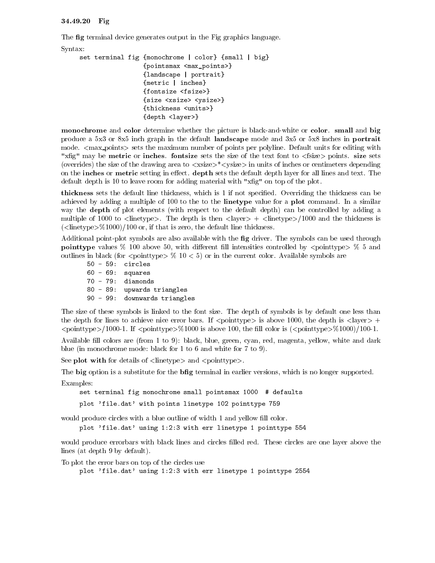## 34.49.20 Fig

The **fig** terminal device generates output in the Fig graphics language.

Syntax:

```
set terminal fig {monochrome | color} {small | big}
                 {pointsmax <max_points>}
                 {landscape | portrait}
                 {metric | inches}
                 {fontsize <fsize>}
                 {size <xsize> <ysize>}
                 {thickness <units>}
                 {depth <layer>}
```
monochrome and color determine whether the picture is black-and-white or color. small and big produce a 5x3 or 8x5 inch graph in the default landscape mode and 3x5 or 5x8 inches in portrait mode.  $\langle \text{max\_points} \rangle$  sets the maximum number of points per polyline. Default units for editing with "xfig" may be **metric** or **inches.** fontsize sets the size of the text font to  $\langle$ fsize $\rangle$  points. size sets (overrides) the size of the drawing area to  $\langle x \angle s \rangle \langle y \rangle$  is units of inches or centimeters depending on the **inches** or **metric** setting in effect. **depth** sets the default depth layer for all lines and text. The default depth is 10 to leave room for adding material with "xfig" on top of the plot.

thickness sets the default line thickness, which is 1 if not specified. Overriding the thickness can be achieved by adding a multiple of 100 to the to the linetype value for a plot command. In a similar way the **depth** of plot elements (with respect to the default depth) can be controlled by adding a multiple of 1000 to  $\langle$ linetype $\rangle$ . The depth is then  $\langle$ layer $\rangle$  +  $\langle$ linetype $\rangle$ /1000 and the thickness is  $\text{(-linetype)}\$ 000)/100 or, if that is zero, the default line thickness.

Additional point-plot symbols are also available with the fig driver. The symbols can be used through point type values  $\%$  100 above 50, with different fill intensities controlled by  $\langle$  point type $\rangle$   $\%$  5 and outlines in black (for  $\text{qpointtype} \geq \frac{m}{2}$  10  $\lt$  5) or in the current color. Available symbols are

 - 59: circles - 69: squares - 79: diamonds - 89: upwards triangles - 99: downwards triangles

The size of these symbols is linked to the font size. The depth of symbols is by default one less than the depth for lines to achieve nice error bars. If  $\langle$  pointtype $\rangle$  is above 1000, the depth is  $\langle$  layer $\rangle$  +  $\langle \text{pointtype}\rangle/1000-1$ . If  $\langle \text{pointtype}\rangle\%1000$  is above 100, the fill color is  $(\langle \text{pointtype}\rangle\%1000)/100-1$ .

Available fill colors are (from 1 to 9): black, blue, green, cyan, red, magenta, yellow, white and dark blue (in monochrome mode: black for 1 to 6 and white for 7 to 9).

See plot with for details of  $\langle$  linetype $\rangle$  and  $\langle$  pointtype $\rangle$ .

The big option is a substitute for the big terminal in earlier versions, which is no longer supported.

Examples:

set terminal fig monochrome small pointsmax 1000 # defaults

plot 'file.dat' with points linetype 102 pointtype 759

would produce circles with a blue outline of width 1 and yellow fill color.

plot 'file.dat' using 1:2:3 with err linetype 1 pointtype 554

would produce errorbars with black lines and circles filled red. These circles are one layer above the lines (at depth 9 by default).

To plot the error bars on top of the circles use

plot 'file.dat' using 1:2:3 with err linetype 1 pointtype 2554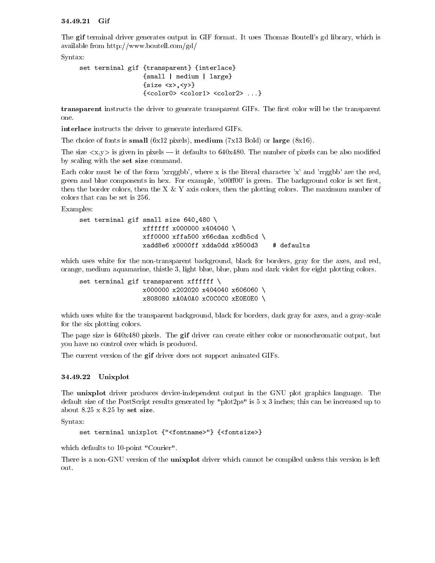The gif terminal driver generates output in GIF format. It uses Thomas Boutell's gd library, which is available from http://www.boutell.com/gd/

Syntax:

```
set terminal gif {transparent} {interlace}
                 {small | medium | large}
                 {size <x>, <y>}{<color0> <color1> <color2> ...}
```
transparent instructs the driver to generate transparent GIFs. The first color will be the transparent

interlace instructs the driver to generate interlaced GIFs.

The choice of fonts is small  $(6x12$  pixels), medium  $(7x13$  Bold) or large  $(8x16)$ .

The size  $\langle x,y \rangle$  is given in pixels — it defaults to 640x480. The number of pixels can be also modified by scaling with the set size command.

Each color must be of the form 'xrrggbb', where x is the literal character 'x' and 'rrggbb' are the red, green and blue components in hex. For example,  $x00f00'$  is green. The background color is set first, then the border colors, then the X  $&$  Y axis colors, then the plotting colors. The maximum number of colors that can be set is 256.

Examples:

```
set terminal gif small size 640,480 \
                xffffff x000000 x404040 \
                xf10000 xffa500 x66cdaa xcdb5cd \
                xff0000 xffa500 x66cdaa xcdb5cd \
                xadd8e6 x0000ff xdda0dd x9500d3 # defaults
```
which uses white for the non-transparent background, black for borders, gray for the axes, and red, orange, medium aquamarine, thistle 3, light blue, blue, plum and dark violet for eight plotting colors.

```
set terminal gif transparent xffffff \setminusx000000 x202020 x404040 x606060 \
                 x808080 xA0A0A0 xC0C0C0 xE0E0E0 \
```
which uses white for the transparent background, black for borders, dark gray for axes, and a gray-scale for the six plotting colors.

The page size is 640x480 pixels. The gif driver can create either color or monochromatic output, but you have no control over which is produced.

The current version of the gif driver does not support animated GIFs.

# 34.49.22 Unixplot

The unixplot driver produces device-independent output in the GNU plot graphics language. The default size of the PostScript results generated by "plot2ps" is 5 x 3 inches; this can be increased up to about  $8.25 \times 8.25$  by set size.

Syntax:

set terminal unixplot {"<fontname>"} {<fontsize>}

which defaults to 10-point "Courier".

There is a non-GNU version of the **unixplot** driver which cannot be compiled unless this version is left out.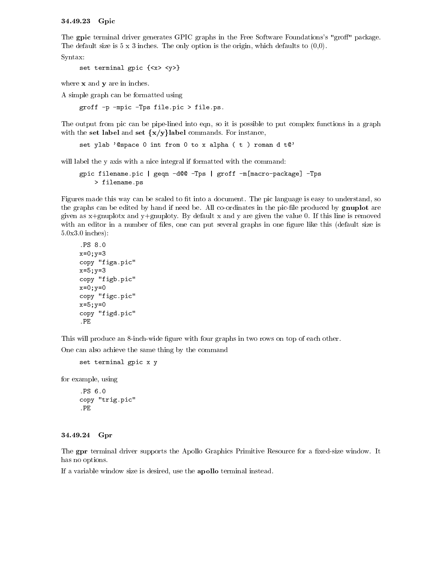#### 34.49.23 Gpic

The gpic terminal driver generates GPIC graphs in the Free Software Foundations's "groff" package. The default size is  $5 \times 3$  inches. The only option is the origin, which defaults to  $(0,0)$ .

Syntax:

```
set terminal gpic {<x> <y>}
```
where **x** and **y** are in inches.

A simple graph can be formatted using

groff -p -mpic -Tps file.pic > file.ps.

The output from pic can be pipe-lined into eqn, so it is possible to put complex functions in a graph with the set label and set  $\{x/y\}$  label commands. For instance,

```
set ylab '@space 0 int from 0 to x alpha ( t ) roman d t@'
```
will label the y axis with a nice integral if formatted with the command:

```
gpic filename.pic | geqn -d@@ -Tps | groff -m[macro-package] -Tps
    > filename.ps
```
Figures made this way can be scaled to fit into a document. The pic language is easy to understand, so the graphs can be edited by hand if need be. All co-ordinates in the pic-file produced by gnuplot are given as  $x+g$ nuplotx and  $y+g$ nuploty. By default x and y are given the value 0. If this line is removed with an editor in a number of files, one can put several graphs in one figure like this (default size is 5.0x3.0 inches):

```
.PS 8.0
x=0; y=3copy "figa.pic"
x=5; y=3copy "figb.pic"
x=0; y=0copy "figc.pic"
x=5; y=0copy "figd.pic"
.PE
```
This will produce an 8-inch-wide figure with four graphs in two rows on top of each other.

One can also achieve the same thing by the command

```
set terminal gpic x y
```
for example, using

```
.PS 6.0
copy "trig.pic"
.PE
```
#### 34.49.24 Gpr

The gpr terminal driver supports the Apollo Graphics Primitive Resource for a fixed-size window. It has no options.

If a variable window size is desired, use the apollo terminal instead.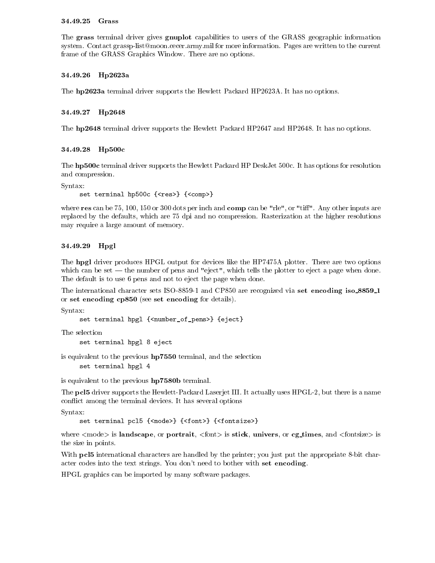The grass terminal driver gives gnuplot capabilities to users of the GRASS geographic information system. Contact grassp-list@moon.cecer.army.mil for more information. Pages are written to the current frame of the GRASS Graphics Window. There are no options.

## 34.49.26 Hp2623a

The hp2623a terminal driver supports the Hewlett Packard HP2623A. It has no options.

### 34.49.27 Hp2648

The hp2648 terminal driver supports the Hewlett Packard HP2647 and HP2648. It has no options.

#### 34.49.28 Hp500c

The hp500c terminal driver supports the Hewlett Packard HP DeskJet 500c. It has options for resolution and compression.

Syntax:

set terminal hp500c {<res>} {<comp>}

where res can be  $75, 100, 150$  or  $300$  dots per inch and comp can be "rle", or "tiff". Any other inputs are replaced by the defaults, which are 75 dpi and no compression. Rasterization at the higher resolutions may require a large amount of memory.

### 34.49.29 Hpgl

The hpgl driver produces HPGL output for devices like the HP7475A plotter. There are two options which can be set — the number of pens and "eject", which tells the plotter to eject a page when done. The default is to use 6 pens and not to eject the page when done.

The international character sets ISO-8859-1 and CP850 are recognized via set encoding iso 8859-1 or set encoding cp850 (see set encoding for details).

Syntax:

```
set terminal hpgl {<number_of_pens>} {eject}
```
The selection

set terminal hpgl 8 eject

is equivalent to the previous hp7550 terminal, and the selection

set terminal hpgl 4

is equivalent to the previous hp7580b terminal.

The pcl5 driver supports the Hewlett-Packard Laserjet III. It actually uses HPGL-2, but there is a name con
ict among the terminal devices. It has several options

Syntax:

set terminal pcl5 {<mode>} {<font>} {<fontsize>}

where  $\langle$  mode> is landscape, or portrait,  $\langle$  font> is stick, univers, or cg\_times, and  $\langle$  fontsize> is the size in points.

With pcl5 international characters are handled by the printer; you just put the appropriate 8-bit character codes into the text strings. You don't need to bother with set encoding.

HPGL graphics can be imported by many software packages.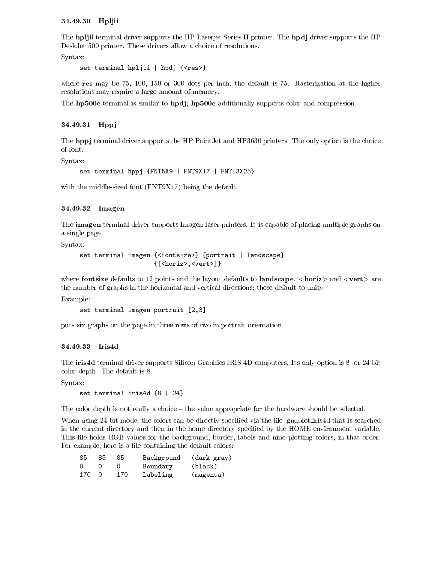## 34.49.30 Hpljii

The hpljii terminal driver supports the HP Laserjet Series II printer. The hpdj driver supports the HP DeskJet 500 printer. These drivers allow a choice of resolutions.

Syntax:

set terminal hpljii | hpdj  $\{<$ res> $\}$ 

where res may be 75, 100, 150 or 300 dots per inch; the default is 75. Rasterization at the higher resolutions may require a large amount of memory.

The hp500c terminal is similar to hpdj; hp500c additionally supports color and compression.

## 34.49.31 Hppj

The hppj terminal driver supports the HP Paint Jet and HP3630 printers. The only option is the choice of font.

Syntax:

```
set terminal hppj {FNT5X9 | FNT9X17 | FNT13X25}
```
with the middle-sized font (FNT9X17) being the default.

### 34.49.32 Imagen

The imagen terminal driver supports Imagen laser printers. It is capable of placing multiple graphs on a single page.

Syntax:

```
set terminal imagen {<fontsize>} {portrait | landscape}
                    {[<horiz>,<vert>]}
```
where **fontsize** defaults to 12 points and the layout defaults to **landscape**.  $\langle$ **horiz** $>$  and  $\langle$ **vert** $>$  are the number of graphs in the horizontal and vertical directions; these default to unity.

Example:

set terminal imagen portrait [2,3]

puts six graphs on the page in three rows of two in portrait orientation.

#### 34.49.33 Iris4d

The iris4d terminal driver supports Silicon Graphics IRIS 4D computers. Its only option is 8- or 24-bit color depth. The default is 8.

Syntax:

set terminal iris4d {8 | 24}

The color depth is not really a choice  $-$  the value appropriate for the hardware should be selected.

When using 24-bit mode, the colors can be directly specified via the file .gnuplot\_iris4d that is searched in the current directory and then in the home directory specied by the HOME environment variable. This file holds RGB values for the background, border, labels and nine plotting colors, in that order. For example, here is a file containing the default colors:

| 85       | - 85 | 85  | Background | (dark gray) |  |
|----------|------|-----|------------|-------------|--|
| $\Omega$ |      |     | Boundary   | (black)     |  |
| 170      | - 0  | 170 | Labeling   | (magenta)   |  |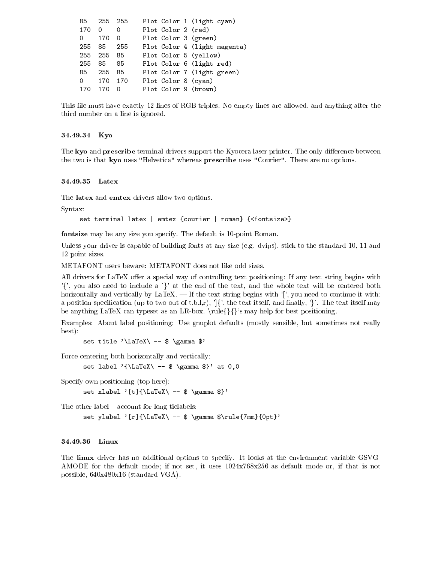| 85 —         | 255 255                                              |                | Plot Color 1 (light cyan)    |
|--------------|------------------------------------------------------|----------------|------------------------------|
| 170          | $\overline{\phantom{0}}$<br>$\overline{\phantom{0}}$ |                | Plot Color 2 (red)           |
| $\mathbf{0}$ | 170                                                  | $\overline{0}$ | Plot Color 3 (green)         |
| 255 85       |                                                      | 255            | Plot Color 4 (light magenta) |
| 255          | 255 85                                               |                | Plot Color 5 (yellow)        |
| 255          | 85                                                   | 85.            | Plot Color 6 (light red)     |
| 85 255       |                                                      | 85             | Plot Color 7 (light green)   |
| 0 170        |                                                      | - 170          | Plot Color 8 (cyan)          |
| 170          | 170                                                  | $\Omega$       | Plot Color 9 (brown)         |
|              |                                                      |                |                              |

This file must have exactly 12 lines of RGB triples. No empty lines are allowed, and anything after the third number on a line is ignored.

#### 34.49.34 Kyo

The kyo and prescribe terminal drivers support the Kyocera laser printer. The only difference between the two is that kyo uses "Helvetica" whereas prescribe uses "Courier". There are no options.

#### 34.49.35 Latex

The latex and emtex drivers allow two options.

Syntax:

set terminal latex | emtex {courier | roman} {<fontsize>}

fontsize may be any size you specify. The default is 10-point Roman.

Unless your driver is capable of building fonts at any size (e.g. dvips), stick to the standard 10, 11 and 12 point sizes.

METAFONT users beware: METAFONT does not like odd sizes.

All drivers for LaTeX offer a special way of controlling text positioning: If any text string begins with 'f', you also need to include a '}' at the end of the text, and the whole text will be centered both horizontally and vertically by  $LaTeX.$  If the text string begins with  $'$ , you need to continue it with: a position specification (up to two out of t,b,l,r), '|{', the text itself, and finally, '}'. The text itself may be anything LaTeX can typeset as an LR-box.  $\rule{8.5cm}{0.1cm}\n|^{3}$  may help for best positioning.

Examples: About label positioning: Use gnuplot defaults (mostly sensible, but sometimes not really best):

set title '\LaTeX\ --  $\frac{1}{2}$  \gamma \$'

Force centering both horizontally and vertically:

set label '{\LaTeX\ --  $\gamma \$  \gamma  $\gamma$ ' at 0,0

Specify own positioning (top here):

set xlabel '[t]{\LaTeX\ -- \$ \gamma \$}'

The other label  $-$  account for long ticlabels:

set ylabel '[r]{\LaTeX\ -- \$ \gamma \$\rule{7mm}{0pt}'

# 34.49.36 Linux

The linux driver has no additional options to specify. It looks at the environment variable GSVG-AMODE for the default mode; if not set, it uses 1024x768x256 as default mode or, if that is not possible, 640x480x16 (standard VGA).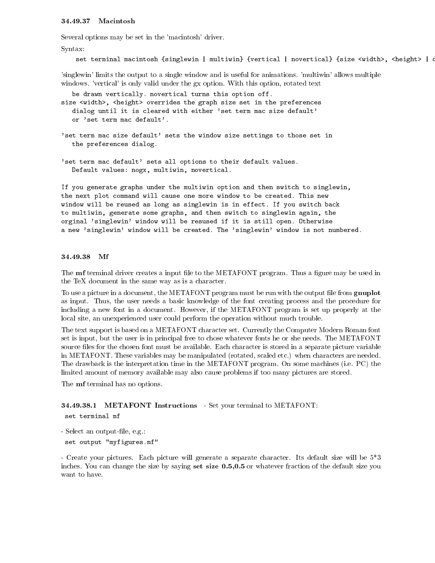Several options may be set in the 'macintosh' driver.

Syntax:

set terminal macintosh {singlewin | multiwin} {vertical | novertical} {size <width>, <height> | d

'singlewin' limits the output to a single window and is useful for animations. 'multiwin' allows multiple windows. 'vertical' is only valid under the gx option. With this option, rotated text

be drawn vertically. novertical turns this option off. size <width>, <height> overrides the graph size set in the preferences dialog until it is cleared with either 'set term mac size default'

or 'set term mac default'.

'set term mac size default' sets the window size settings to those set in the preferences dialog.

'set term mac default' sets all options to their default values. Default values: nogx, multiwin, novertical.

If you generate graphs under the multiwin option and then switch to singlewin, the next plot command will cause one more window to be created. This new window will be reused as long as singlewin is in effect. If you switch back to multiwin, generate some graphs, and then switch to singlewin again, the orginal 'singlewin' window will be resused if it is still open. Otherwise a new 'singlewin' window will be created. The 'singlewin' window is not numbered.

### 34.49.38 Mf

The **mf** terminal driver creates a input file to the METAFONT program. Thus a figure may be used in the TeX document in the same way as is a character.

To use a picture in a document, the METAFONT program must be run with the output file from gnuplot as input. Thus, the user needs a basic knowledge of the font creating process and the procedure for including a new font in a document. However, if the METAFONT program is set up properly at the local site, an unexperienced user could perform the operation without much trouble.

The text support is based on a METAFONT character set. Currently the Computer Modern Roman font set is input, but the user is in principal free to chose whatever fonts he or she needs. The METAFONT source files for the chosen font must be available. Each character is stored in a separate picture variable in METAFONT. These variables may be manipulated (rotated, scaled etc.) when characters are needed. The drawback is the interpretation time in the METAFONT program. On some machines (i.e. PC) the limited amount of memory available may also cause problems if too many pictures are stored.

The mf terminal has no options.

#### 34.49.38.1 METAFONT Instructions - Set your terminal to METAFONT:

set terminal mf

- Select an output-file, e.g.: set output "myfigures.mf"

- Create your pictures. Each picture will generate a separate character. Its default size will be 5\*3 inches. You can change the size by saying set size 0.5,0.5 or whatever fraction of the default size you want to have.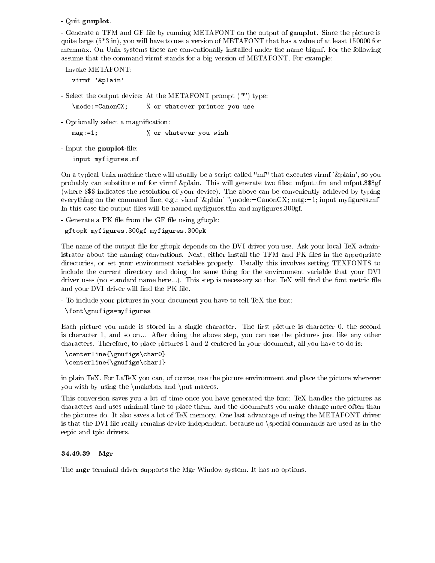- Quit gnuplot.

- Generate a TFM and GF file by running METAFONT on the output of **gnuplot**. Since the picture is quite large (5\*3 in), you will have to use a version of METAFONT that has a value of at least 150000 for memmax. On Unix systems these are conventionally installed under the name bigmf. For the following assume that the command virmf stands for a big version of METAFONT. For example:

- Invoke METAFONT:

virmf '&plain'

- Select the output device: At the METAFONT prompt ('\*') type:

\mode:=CanonCX; % or whatever printer you use

- Optionally select a magnication:

mag:=1; % or whatever you wish

- Input the gnuplot-file:

input myfigures.mf

On a typical Unix machine there will usually be a script called "mf" that executes virmf '&plain', so you probably can substitute mf for virmf &plain. This will generate two files: mfput.tfm and mfput.\$\$\$gf (where \$\$\$ indicates the resolution of your device). The above can be conveniently achieved by typing everything on the command line, e.g.: virmf '&plain' '\mode:=CanonCX; mag:=1; input myfigures.mf' In this case the output files will be named myfigures.tfm and myfigures.300gf.

- Generate a PK file from the GF file using gftopk:

gftopk myfigures.300gf myfigures.300pk

The name of the output file for gftopk depends on the DVI driver you use. Ask your local TeX administrator about the naming conventions. Next, either install the TFM and PK files in the appropriate directories, or set your environment variables properly. Usually this involves setting TEXFONTS to include the current directory and doing the same thing for the environment variable that your DVI driver uses (no standard name here...). This step is necessary so that TeX will find the font metric file and your DVI driver will find the PK file.

- To include your pictures in your document you have to tell TeX the font:

```
\font\gnufigs=myfigures
```
Each picture you made is stored in a single character. The first picture is character 0, the second is character 1, and so on... After doing the above step, you can use the pictures just like any other characters. Therefore, to place pictures 1 and 2 centered in your document, all you have to do is:

```
\centerline{\gnufigs\char0}
\centerline{\gnufigs\char1}
```
in plain TeX. For LaTeX you can, of course, use the picture environment and place the picture wherever you wish by using the  $\mathbf{b}$  and  $\put$  macros.

This conversion saves you a lot of time once you have generated the font; TeX handles the pictures as characters and uses minimal time to place them, and the documents you make change more often than the pictures do. It also saves a lot of TeX memory. One last advantage of using the METAFONT driver is that the DVI file really remains device independent, because no special commands are used as in the eepic and tpic drivers.

# 34.49.39 Mgr

The mgr terminal driver supports the Mgr Window system. It has no options.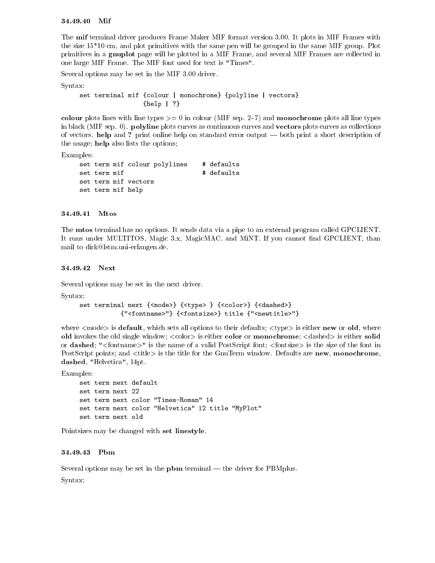The mif terminal driver produces Frame Maker MIF format version 3.00. It plots in MIF Frames with the size 15\*10 cm, and plot primitives with the same pen will be grouped in the same MIF group. Plot primitives in a gnuplot page will be plotted in a MIF Frame, and several MIF Frames are collected in one large MIF Frame. The MIF font used for text is "Times".

Several options may be set in the MIF 3.00 driver.

Syntax:

set terminal mif {colour | monochrome} {polyline | vectors} {help | ?}

colour plots lines with line types  $\geq 0$  in colour (MIF sep. 2-7) and **monochrome** plots all line types in black (MIF sep. 0). polyline plots curves as continuous curves and vectors plots curves as collections of vectors. help and ? print online help on standard error output — both print a short description of the usage; help also lists the options;

Examples:

set term mif colour polylines # defaults set term mif  $#$  defaults set term mif vectors set term mif help

# 34.49.41 Mtos

The mtos terminal has no options. It sends data via a pipe to an external program called GPCLIENT. It runs under MULTITOS, Magic 3.x, MagicMAC. and MiNT. If you cannot find GPCLIENT, than mail to dirk@lstm.uni-erlangen.de.

# 34.49.42 Next

Several options may be set in the next driver.

Syntax:

set terminal next {<mode>} {<type> } {<color>} {<dashed>} {"<fontname>"} {<fontsize>} title {"<newtitle>"}

where  $\langle$  mode $\rangle$  is default, which sets all options to their defaults;  $\langle$ type $\rangle$  is either new or old, where old invokes the old single window; <color> is either color or monochrome; <dashed> is either solid or dashed; "<fontname>" is the name of a valid PostScript font; <fontsize> is the size of the font in PostScript points; and  $ltit{title}$  is the title for the GnuTerm window. Defaults are **new**, **monochrome**, dashed, "Helvetica", 14pt.

Examples:

```
set term next default
set term next 22
set term next color "Times-Roman" 14
set term next color "Helvetica" 12 title "MyPlot"
set term next old
```
Pointsizes may be changed with set linestyle.

## 34.49.43 Pbm

Several options may be set in the  $\bf{pbm}$  terminal — the driver for PBMplus. Syntax: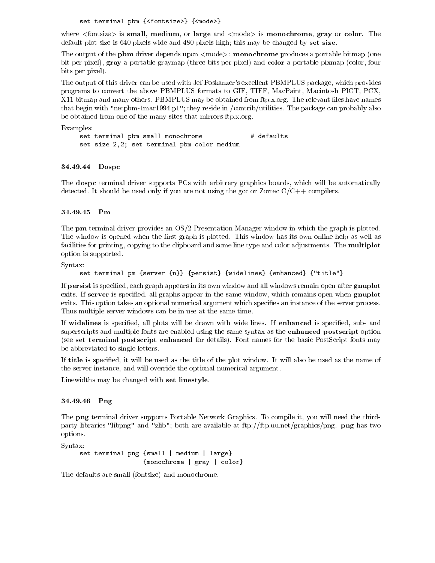set terminal pbm {<fontsize>} {<mode>}

where  $\langle$  fontsize $\rangle$  is small, medium, or large and  $\langle$  mode $\rangle$  is monochrome, gray or color. The default plot size is 640 pixels wide and 480 pixels high; this may be changed by set size.

The output of the **pbm** driver depends upon  $\langle$  mode $\rangle$ : **monochrome** produces a portable bitmap (one bit per pixel), gray a portable graymap (three bits per pixel) and color a portable pixmap (color, four bits per pixel).

The output of this driver can be used with Jef Poskanzer's excellent PBMPLUS package, which provides programs to convert the above PBMPLUS formats to GIF, TIFF, MacPaint, Macintosh PICT, PCX, X11 bitmap and many others. PBMPLUS may be obtained from ftp.x.org. The relevant les have names that begin with "netpbm-1mar1994.p1"; they reside in /contrib/utilities. The package can probably also be obtained from one of the many sites that mirrors ftp.x.org.

Examples:

set terminal pbm small monochrome # defaults set size 2,2; set terminal pbm color medium

# 34.49.44 Dospc

The dospc terminal driver supports PCs with arbitrary graphics boards, which will be automatically detected. It should be used only if you are not using the gcc or Zortec  $C/C++$  compilers.

## 34.49.45 Pm

The pm terminal driver provides an OS/2 Presentation Manager window in which the graph is plotted. The window is opened when the first graph is plotted. This window has its own online help as well as facilities for printing, copying to the clipboard and some line type and color adjustments. The **multiplot** option is supported.

Syntax:

```
set terminal pm {server {n}} {persist} {widelines} {enhanced} {"title"}
```
If persist is specied, each graph appears in its own window and all windows remain open after gnuplot exits. If server is specified, all graphs appear in the same window, which remains open when gnuplot exits. This option takes an optional numerical argument which specifies an instance of the server process. Thus multiple server windows can be in use at the same time.

If widelines is specified, all plots will be drawn with wide lines. If enhanced is specified, sub- and superscripts and multiple fonts are enabled using the same syntax as the **enhanced postscript** option (see set terminal postscript enhanced for details). Font names for the basic PostScript fonts may be abbreviated to single letters.

If title is specied, it will be used as the title of the plot window. It will also be used as the name of the server instance, and will override the optional numerical argument.

Linewidths may be changed with set linestyle.

## 34.49.46 Png

The png terminal driver supports Portable Network Graphics. To compile it, you will need the thirdparty libraries "libpng" and "zlib"; both are available at ftp://ftp.uu.net/graphics/png. png has two options.

Syntax:

```
set terminal png {small | medium | large}
                 {monochrome | gray | color}
```
The defaults are small (fontsize) and monochrome.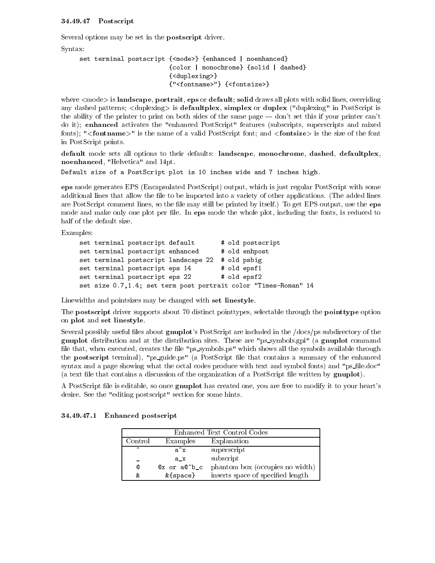## 34.49.47 Postscript

Several options may be set in the postscript driver.

Syntax:

```
set terminal postscript {<mode>} {enhanced | noenhanced}
                        {color | monochrome} {solid | dashed}
                        {<duplexing>}
                        {"<fontname>"} {<fontsize>}
```
where  $\langle$  mode> is landscape, portrait, eps or default; solid draws all plots with solid lines, overriding any dashed patterns; <duplexing> is defaultplex, simplex or duplex ("duplexing" in PostScript is the ability of the printer to print on both sides of the same page  $-$  don't set this if your printer can't do it); enhanced activates the "enhanced PostScript" features (subscripts, superscripts and mixed fonts); "<fontname>" is the name of a valid PostScript font; and  $\langle$  fontsize> is the size of the font in PostScript points.

default mode sets all options to their defaults: landscape, monochrome, dashed, defaultplex, noenhanced, "Helvetica" and 14pt.

Default size of a PostScript plot is 10 inches wide and 7 inches high.

eps mode generates EPS (Encapsulated PostScript) output, which is just regular PostScript with some additional lines that allow the file to be imported into a variety of other applications. (The added lines are PostScript comment lines, so the file may still be printed by itself.) To get EPS output, use the eps mode and make only one plot per file. In eps mode the whole plot, including the fonts, is reduced to half of the default size.

Examples:

```
set terminal postscript default # old postscript
set terminal postscript enhanced # old enhpost
set terminal postscript landscape 22 # old psbig
set terminal postscript eps 14 # old epsf1
set terminal postscript eps 22 # old epsf2
set size 0.7,1.4; set term post portrait color "Times-Roman" 14
```
Linewidths and pointsizes may be changed with set linestyle.

The **postscript** driver supports about 70 distinct pointtypes, selectable through the **pointtype** option on plot and set linestyle.

Several possibly useful files about gnuplot's PostScript are included in the /docs/ps subdirectory of the gnuplot distribution and at the distribution sites. These are "ps symbols.gpi" (a gnuplot command file that, when executed, creates the file "ps\_symbols.ps" which shows all the symbols available through the **postscript** terminal), "ps\_guide.ps" (a PostScript file that contains a summary of the enhanced syntax and a page showing what the octal codes produce with text and symbol fonts) and "ps\_file.doc" (a text le that contains a discussion of the organization of a PostScript le written by gnuplot).

A PostScript le is editable, so once gnuplot has created one, you are free to modify it to your heart's desire. See the "editing postscript" section for some hints.

|                     |                   | Enhanced Text Control Codes       |
|---------------------|-------------------|-----------------------------------|
| $\rm {Control}$     | Examples          | Explanation                       |
| $\hat{\phantom{a}}$ | $a^x$             | superscript                       |
|                     | a x               | subscript                         |
| Q                   | $Qx$ or a $Q^b$ c | phantom box (occupies no width)   |
| &                   | $\&$ {space}      | inserts space of specified length |

## 34.49.47.1 Enhanced postscript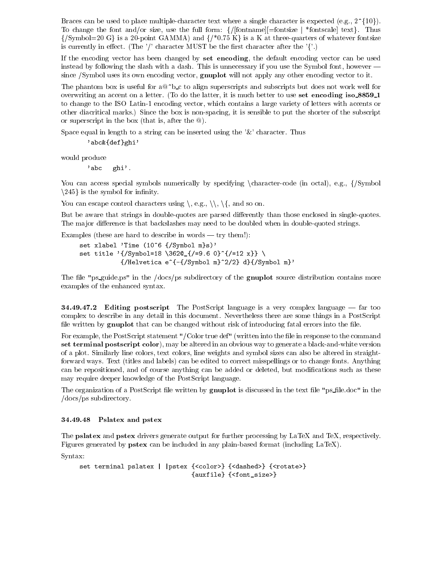Braces can be used to place multiple-character text where a single character is expected (e.g.,  $2^{2}\{10\}$ ). To change the font and/or size, use the full form:  $\frac{1}{\text{fontname}}$ [=fontsize  $\frac{1}{\text{fontscale}}$ ] text}. Thus  $\{Symbol=20 \text{ G}\}\$ is a 20-point GAMMA) and  $\{A*0.75 \text{ K}\}\$ is a K at three-quarters of whatever fontsize is currently in effect. (The '/' character MUST be the first character after the  $'\$ '.)

If the encoding vector has been changed by set encoding, the default encoding vector can be used instead by following the slash with a dash. This is unnecessary if you use the Symbol font, however since /Symbol uses its own encoding vector, **gnuplot** will not apply any other encoding vector to it.

The phantom box is useful for  $a@^b c$  to align superscripts and subscripts but does not work well for overwriting an accent on a letter. (To do the latter, it is much better to use set encoding iso 8859 1 to change to the ISO Latin-1 encoding vector, which contains a large variety of letters with accents or other diacritical marks.) Since the box is non-spacing, it is sensible to put the shorter of the subscript or superscript in the box (that is, after the @).

Space equal in length to a string can be inserted using the ' $&$ ' character. Thus

'abc&{def}ghi'

would produce

'abc ghi'.

You can access special symbols numerically by specifying  $character-code$  (in octal), e.g.,  $\{Symbol$  $\{245\}$  is the symbol for infinity.

You can escape control characters using  $\mathcal{S}$ , e.g.,  $\mathcal{S}$ ,  $\mathcal{S}$ , and so on.

But be aware that strings in double-quotes are parsed differently than those enclosed in single-quotes. The major difference is that backslashes may need to be doubled when in double-quoted strings.

Examples (these are hard to describe in words  $-$  try them!):

set xlabel 'Time (10^6 {/Symbol m}s)' set title '{/Symbol=18 \362@\_{/=9.6 0}^{/=12 x}} \  ${$ /Helvetica e^{-{/Symbol m}^2/2} d}{/Symbol m}'

The file "ps\_guide.ps" in the /docs/ps subdirectory of the gnuplot source distribution contains more examples of the enhanced syntax.

**34.49.47.2** Editing postscript The PostScript language is a very complex language  $\equiv$  far too complex to describe in any detail in this document. Nevertheless there are some things in a PostScript file written by gnuplot that can be changed without risk of introducing fatal errors into the file.

For example, the PostScript statement "/Color true def" (written into the file in response to the command set terminal postscript color), may be altered in an obvious way to generate a black-and-white version of a plot. Similarly line colors, text colors, line weights and symbol sizes can also be altered in straightforward ways. Text (titles and labels) can be edited to correct misspellings or to change fonts. Anything can be repositioned, and of course anything can be added or deleted, but modications such as these may require deeper knowledge of the PostScript language.

The organization of a PostScript file written by gnuplot is discussed in the text file "ps\_file.doc" in the /docs/ps subdirectory.

## 34.49.48 Pslatex and pstex

The pslatex and pstex drivers generate output for further processing by LaTeX and TeX, respectively. Figures generated by pstex can be included in any plain-based format (including LaTeX).

Syntax:

```
set terminal pslatex | |pstex {<color>} {<dashed>} {<rotate>}
                              {auxfile} {<font_size>}
```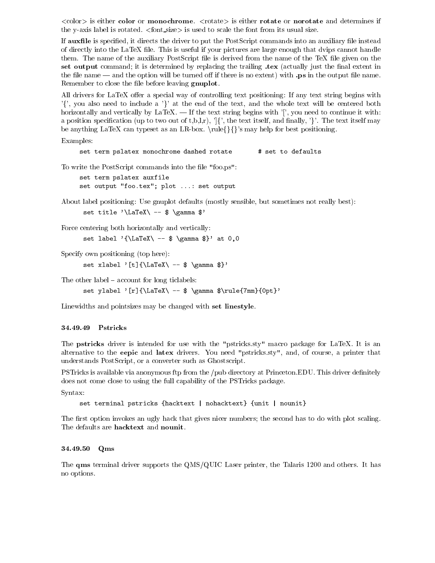<color> is either color or monochrome. <rotate> is either rotate or norotate and determines if the y-axis label is rotated. <font size> is used to scale the font from its usual size.

If **auxfile** is specified, it directs the driver to put the PostScript commands into an auxiliary file instead of directly into the LaTeX file. This is useful if your pictures are large enough that dvips cannot handle them. The name of the auxiliary PostScript file is derived from the name of the TeX file given on the set output command; it is determined by replacing the trailing .tex (actually just the final extent in the file name  $-$  and the option will be turned off if there is no extent) with  $\cdot$  ps in the output file name. Remember to close the file before leaving gnuplot.

All drivers for LaTeX offer a special way of controlling text positioning: If any text string begins with  $'\{$ , you also need to include a  $'\{$  at the end of the text, and the whole text will be centered both horizontally and vertically by  $LaTeX.$  — If the text string begins with '[', you need to continue it with: a position specification (up to two out of t,b,l,r), '] $\{\cdot\}$ , the text itself, and finally, '}'. The text itself may be anything LaTeX can typeset as an LR-box.  $\rule{0.3cm}{0.1cm}$  \rule{}{}'s may help for best positioning.

Examples:

set term pslatex monochrome dashed rotate # set to defaults

To write the PostScript commands into the file "foo.ps":

set term pslatex auxfile set output "foo.tex"; plot ...: set output

About label positioning: Use gnuplot defaults (mostly sensible, but sometimes not really best):

set title '\LaTeX\ --  $\frac{1}{2}$  \gamma  $\frac{1}{2}$ '

Force centering both horizontally and vertically:

set label  $'\{\text{LaTeX} \ --\$  \$ \gamma \$}' at 0,0

Specify own positioning (top here):

```
set xlabel '[t]{\LaTeX\ -- \ \gamma \'
```
The other label  $-$  account for long ticlabels:

set ylabel '[r]{\LaTeX\ -- \$ \gamma \$\rule{7mm}{0pt}'

Linewidths and pointsizes may be changed with set linestyle.

# 34.49.49 Pstricks

The pstricks driver is intended for use with the "pstricks.sty" macro package for LaTeX. It is an alternative to the eepic and latex drivers. You need "pstricks.sty", and, of course, a printer that understands PostScript, or a converter such as Ghostscript.

PSTricks is available via anonymous ftp from the /pub directory at Princeton.EDU. This driver definitely does not come close to using the full capability of the PSTricks package.

Syntax:

set terminal pstricks {hacktext | nohacktext} {unit | nounit}

The first option invokes an ugly hack that gives nicer numbers; the second has to do with plot scaling. The defaults are hacktext and nounit.

# 34.49.50 Qms

The qms terminal driver supports the QMS/QUIC Laser printer, the Talaris 1200 and others. It has no options.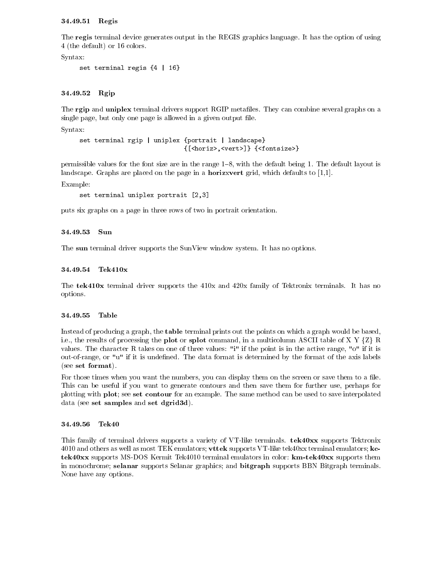# 34.49.51 Regis

The regis terminal device generates output in the REGIS graphics language. It has the option of using 4 (the default) or 16 colors.

Syntax:

```
set terminal regis \{4 | 16\}
```
# 34.49.52 Rgip

The rgip and uniplex terminal drivers support RGIP metafiles. They can combine several graphs on a single page, but only one page is allowed in a given output file.

Syntax:

```
set terminal rgip | uniplex {portrait | landscape}
                            {[<horiz>,<vert>]} {<fontsize>}
```
permissible values for the font size are in the range 1–8, with the default being 1. The default layout is landscape. Graphs are placed on the page in a **horization** grid, which defaults to [1,1].

Example:

set terminal uniplex portrait [2,3]

puts six graphs on a page in three rows of two in portrait orientation.

## 34.49.53 Sun

The sun terminal driver supports the SunView window system. It has no options.

# 34.49.54 Tek410x

The  $tek410x$  terminal driver supports the  $410x$  and  $420x$  family of Tektronix terminals. It has no options.

#### 34.49.55 Table

Instead of producing a graph, the table terminal prints out the points on which a graph would be based, i.e., the results of processing the plot or splot command, in a multicolumn ASCII table of X Y  $\{Z\}$  R values. The character R takes on one of three values: "i" if the point is in the active range, "o" if it is out-of-range, or "u" if it is undefined. The data format is determined by the format of the axis labels (see set format).

For those times when you want the numbers, you can display them on the screen or save them to a file. This can be useful if you want to generate contours and then save them for further use, perhaps for plotting with plot; see set contour for an example. The same method can be used to save interpolated data (see set samples and set dgrid3d).

## 34.49.56 Tek40

This family of terminal drivers supports a variety of VT-like terminals. tek40xx supports Tektronix 4010 and others as well as most TEK emulators; vttek supports VT-like tek40xx terminal emulators; kc tek40xx supports MS-DOS Kermit Tek4010 terminal emulators in color: km-tek40xx supports them in monochrome; selanar supports Selanar graphics; and bitgraph supports BBN Bitgraph terminals. None have any options.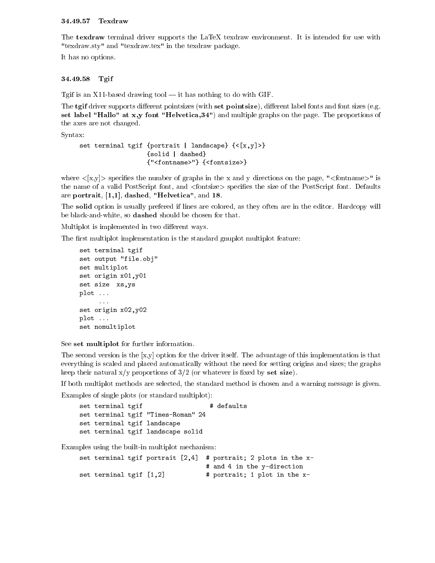The texdraw terminal driver supports the LaTeX texdraw environment. It is intended for use with "texdraw.sty" and "texdraw.tex" in the texdraw package.

It has no options.

## 34.49.58 Tgif

Tgif is an X11-based drawing tool  $-$  it has nothing to do with GIF.

The **tgif** driver supports different pointsizes (with set pointsize), different label fonts and font sizes (e.g. set label "Hallo" at x,y font "Helvetica,34") and multiple graphs on the page. The proportions of the axes are not changed.

Syntax:

```
set terminal tgif {portrait | landscape} \{\langle [x,y]\rangle\}{solid | dashed}
                     {"<fontname>"} {<fontsize>}
```
where  $\langle x, y \rangle$  specifies the number of graphs in the x and y directions on the page, " $\langle$ fontname $\rangle$ " is the name of a valid PostScript font, and <fontsize> species the size of the PostScript font. Defaults are portrait, [1,1], dashed, "Helvetica", and 18.

The solid option is usually prefered if lines are colored, as they often are in the editor. Hardcopy will be black-and-white, so dashed should be chosen for that.

Multiplot is implemented in two different ways.

The first multiplot implementation is the standard gnuplot multiplot feature:

```
set terminal tgif
set output "file.obj"
set multiplot
set origin x01,y01
set size xs,ys
plot ...
     ...
set origin x02,y02
plot ...
set nomultiplot
```
See set multiplot for further information.

The second version is the [x,y] option for the driver itself. The advantage of this implementation is that everything is scaled and placed automatically without the need for setting origins and sizes; the graphs keep their natural  $x/y$  proportions of  $3/2$  (or whatever is fixed by set size).

If both multiplot methods are selected, the standard method is chosen and a warning message is given.

Examples of single plots (or standard multiplot):

```
set terminal tgif # defaults
set terminal tgif "Times-Roman" 24
set terminal tgif landscape
set terminal tgif landscape solid
```
Examples using the built-in multiplot mechanism:

```
set terminal tgif portrait [2,4] # portrait; 2 plots in the x-
                                # and 4 in the y-direction
set terminal tgif [1,2] # portrait; 1 plot in the x-
```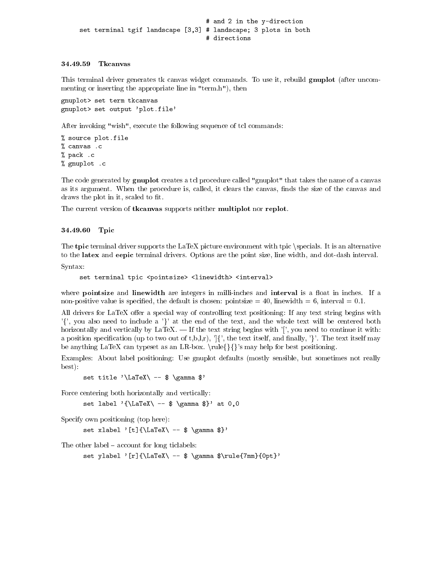```
# and 2 in the y-direction
set terminal tgif landscape [3,3] # landscape; 3 plots in both
                                  # directions
```
This terminal driver generates tk canvas widget commands. To use it, rebuild **gnuplot** (after uncommenting or inserting the appropriate line in "term.h"), then

gnuplot> set term tkcanvas gnuplot> set output 'plot.file'

After invoking "wish", execute the following sequence of tcl commands:

```
% source plot.file
% canvas .c
% pack .c
% gnuplot .c
```
The code generated by gnuplot creates a tcl procedure called "gnuplot" that takes the name of a canvas as its argument. When the procedure is, called, it clears the canvas, finds the size of the canvas and draws the plot in it, scaled to fit.

The current version of tkcanvas supports neither multiplot nor replot.

#### 34.49.60 Tpic

The tpic terminal driver supports the LaTeX picture environment with tpic \specials. It is an alternative to the latex and eepic terminal drivers. Options are the point size, line width, and dot-dash interval.

Syntax:

```
set terminal tpic <pointsize> <linewidth> <interval>
```
where pointsize and linewidth are integers in milli-inches and interval is a float in inches. If a non-positive value is specified, the default is chosen: pointsize  $= 40$ , linewidth  $= 6$ , interval  $= 0.1$ .

All drivers for LaTeX offer a special way of controlling text positioning: If any text string begins with 'f', you also need to include a '}' at the end of the text, and the whole text will be centered both horizontally and vertically by  $LaTeX.$  — If the text string begins with '[', you need to continue it with: a position specification (up to two out of t,b,l,r), '|{', the text itself, and finally, '}'. The text itself may be anything LaTeX can typeset as an LR-box.  $\rule{8.5cm}{0.1cm}\n|^{3}$  may help for best positioning.

Examples: About label positioning: Use gnuplot defaults (mostly sensible, but sometimes not really best):

set title '\LaTeX\ --  $\$  \gamma  $\$ '

Force centering both horizontally and vertically:

set label '{\LaTeX\ --  $\gamma \$  \gamma  $\}$ ' at 0,0

Specify own positioning (top here):

set xlabel '[t]{\LaTeX\ -- \$ \gamma \$}'

The other label  $-$  account for long ticlabels:

set ylabel '[r]{\LaTeX\ -- \$ \gamma \$\rule{7mm}{0pt}'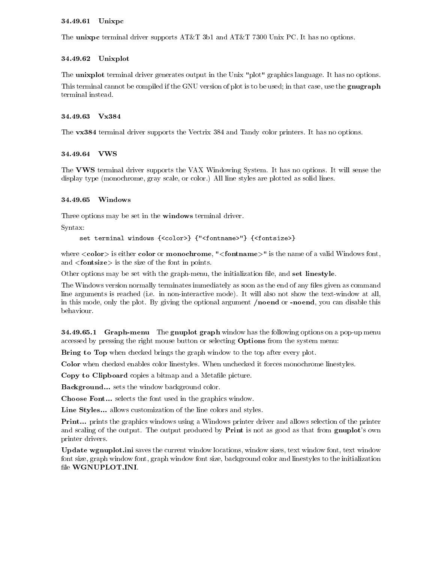# 34.49.61 Unixpc

The unixpc terminal driver supports AT&T 3b1 and AT&T 7300 Unix PC. It has no options.

# 34.49.62 Unixplot

The **unixplot** terminal driver generates output in the Unix "plot" graphics language. It has no options. This terminal cannot be compiled if the GNU version of plot is to be used; in that case, use the gnugraph terminal instead.

# 34.49.63 Vx384

The vx384 terminal driver supports the Vectrix 384 and Tandy color printers. It has no options.

# 34.49.64 VWS

The VWS terminal driver supports the VAX Windowing System. It has no options. It will sense the display type (monochrome, gray scale, or color.) All line styles are plotted as solid lines.

# 34.49.65 Windows

Three options may be set in the **windows** terminal driver.

Syntax:

set terminal windows {<color>} {"<fontname>"} {<fontsize>}

where  $\langle color \rangle$  is either color or monochrome, " $\langle fontname \rangle$ " is the name of a valid Windows font, and  $\langle$ **fontsize** $>$  is the size of the font in points.

Other options may be set with the graph-menu, the initialization file, and set linestyle.

The Windows version normally terminates immediately as soon as the end of any files given as command line arguments is reached (i.e. in non-interactive mode). It will also not show the text-window at all, in this mode, only the plot. By giving the optional argument **/noend** or **-noend**, you can disable this behaviour.

34.49.65.1 Graph-menu The gnuplot graph window has the following options on a pop-up menu accessed by pressing the right mouse button or selecting Options from the system menu:

Bring to Top when checked brings the graph window to the top after every plot.

Color when checked enables color linestyles. When unchecked it forces monochrome linestyles.

Copy to Clipboard copies a bitmap and a Metafile picture.

Background... sets the window background color.

Choose Font... selects the font used in the graphics window.

Line Styles... allows customization of the line colors and styles.

Print... prints the graphics windows using a Windows printer driver and allows selection of the printer and scaling of the output. The output produced by **Print** is not as good as that from gnuplot's own printer drivers.

Update wgnuplot.ini saves the current window locations, window sizes, text window font, text window font size, graph window font, graph window font size, background color and linestyles to the initialization file WGNUPLOT.INI.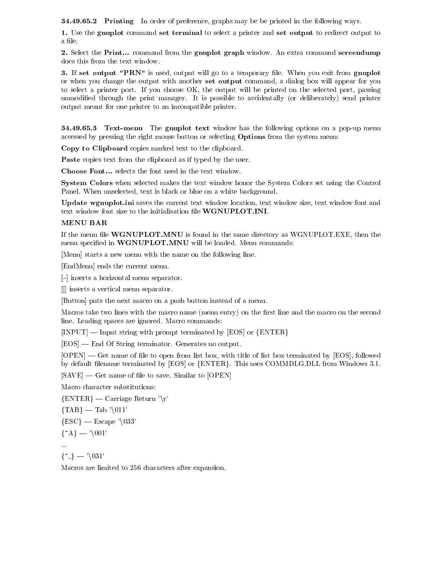34.49.65.2 Printing In order of preference, graphs may be be printed in the following ways.

1. Use the gnuplot command set terminal to select a printer and set output to redirect output to a file.

2. Select the Print... command from the gnuplot graph window. An extra command screendump does this from the text window.

**3.** If set output "PRN" is used, output will go to a temporary file. When you exit from gnuplot or when you change the output with another set output command, a dialog box will appear for you to select a printer port. If you choose OK, the output will be printed on the selected port, passing unmodied through the print manager. It is possible to accidentally (or deliberately) send printer output meant for one printer to an incompatible printer.

34.49.65.3 Text-menu The gnuplot text window has the following options on a pop-up menu accessed by pressing the right mouse button or selecting Options from the system menu:

Copy to Clipboard copies marked text to the clipboard.

Paste copies text from the clipboard as if typed by the user.

Choose Font... selects the font used in the text window.

System Colors when selected makes the text window honor the System Colors set using the Control Panel. When unselected, text is black or blue on a white background.

Update wgnuplot.ini saves the current text window location, text window size, text window font and text window font size to the initialisation file WGNUPLOT.INI.

#### MENU BAR

If the menu file WGNUPLOT.MNU is found in the same directory as WGNUPLOT.EXE, then the menu specied in WGNUPLOT.MNU will be loaded. Menu commands:

[Menu] starts a new menu with the name on the following line.

[EndMenu] ends the current menu.

[{] inserts a horizontal menu separator.

[ $\parallel$ ] inserts a vertical menu separator.

[Button] puts the next macro on a push button instead of a menu.

Macros take two lines with the macro name (menu entry) on the first line and the macro on the second line. Leading spaces are ignored. Macro commands:

 $[IPUT]$  - Input string with prompt terminated by  $[EOS]$  or  ${ENTER}$ 

[EOS] — End Of String terminator. Generates no output.

[OPEN] — Get name of file to open from list box, with title of list box terminated by [EOS], followed by default filename terminated by [EOS] or {ENTER}. This uses COMMDLG.DLL from Windows 3.1.

 $[SAVE]$  — Get name of file to save. Similar to  $[OPER]$ 

Macro character substitutions:

 ${ENTER}$  – Carriage Return '\r'

 $\{TAB\}$  - Tab '\011'

 ${ESC}$  = Escape '\033'

 $\{^{\text{-A}}\}$   $-$  '\001'

...

 $\{ \hat{\ }$  = '\031'

Macros are limited to 256 characters after expansion.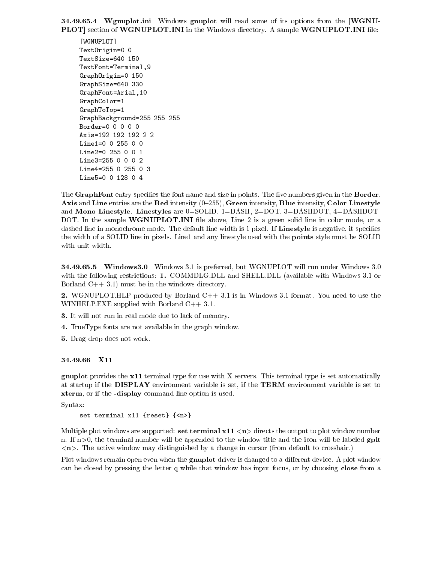34.49.65.4 Wgnuplot.ini Windows gnuplot will read some of its options from the [WGNU-PLOT] section of WGNUPLOT.INI in the Windows directory. A sample WGNUPLOT.INI le:

The GraphFont entry specifies the font name and size in points. The five numbers given in the Border, Axis and Line entries are the Red intensity  $(0-255)$ , Green intensity, Blue intensity, Color Linestyle and Mono Linestyle. Linestyles are 0=SOLID, 1=DASH, 2=DOT, 3=DASHDOT, 4=DASHDOT-DOT. In the sample WGNUPLOT.INI file above, Line 2 is a green solid line in color mode, or a dashed line in monochrome mode. The default line width is 1 pixel. If **Linestyle** is negative, it specifies the width of a SOLID line in pixels. Line1 and any linestyle used with the points style must be SOLID with unit width.

34.49.65.5 Windows3.0 Windows 3.1 is preferred, but WGNUPLOT will run under Windows 3.0 with the following restrictions: **1.** COMMDLG.DLL and SHELL.DLL (available with Windows 3.1 or Borland  $C++3.1$ ) must be in the windows directory.

2. WGNUPLOT.HLP produced by Borland  $C++3.1$  is in Windows 3.1 format. You need to use the WINHELP.EXE supplied with Borland C++ 3.1.

3. It will not run in real mode due to lack of memory.

4. TrueType fonts are not available in the graph window.

5. Drag-drop does not work.

#### 34.49.66 X11

gnuplot provides the x11 terminal type for use with X servers. This terminal type is set automatically at startup if the DISPLAY environment variable is set, if the TERM environment variable is set to xterm, or if the -display command line option is used.

Syntax:

set terminal x11 {reset} {<n>}

Multiple plot windows are supported: set terminal  $x11 \le n$  directs the output to plot window number n. If  $n>0$ , the terminal number will be appended to the window title and the icon will be labeled gplt  $\langle n \rangle$ . The active window may distinguished by a change in cursor (from default to crosshair.)

Plot windows remain open even when the **gnuplot** driver is changed to a different device. A plot window can be closed by pressing the letter q while that window has input focus, or by choosing close from a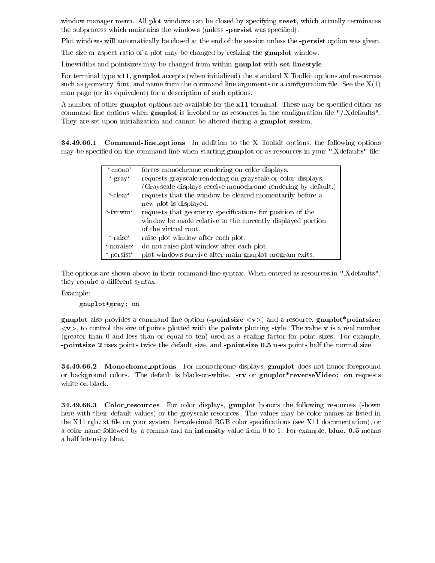window manager menu. All plot windows can be closed by specifying reset, which actually terminates the subprocess which maintains the windows (unless -persist was specied).

Plot windows will automatically be closed at the end of the session unless the -persist option was given.

The size or aspect ratio of a plot may be changed by resizing the **gnuplot** window.

Linewidths and pointsizes may be changed from within gnuplot with set linestyle.

For terminal type  $x11$ , gnuplot accepts (when initialized) the standard X Toolkit options and resources such as geometry, font, and name from the command line arguments or a configuration file. See the  $X(1)$ man page (or its equivalent) for a description of such options.

A number of other gnuplot options are available for the x11 terminal. These may be specied either as command-line options when gnuplot is invoked or as resources in the configuration file "/.Xdefaults". They are set upon initialization and cannot be altered during a gnuplot session.

34.49.66.1 Command-line options In addition to the X Toolkit options, the following options may be specified on the command line when starting gnuplot or as resources in your ".Xdefaults" file:

| '-mono'          | forces monochrome rendering on color displays.                |
|------------------|---------------------------------------------------------------|
| $'$ -gray'       | requests grayscale rendering on grayscale or color displays.  |
|                  | (Grayscale displays receive monochrome rendering by default.) |
| '-clear'         | requests that the window be cleared momentarily before a      |
|                  | new plot is displayed.                                        |
| $'$ -tvtwm $'$   | requests that geometry specifications for position of the     |
|                  | window be made relative to the currently displayed portion    |
|                  | of the virtual root.                                          |
| $'$ -raise $'$   | raise plot window after each plot.                            |
| '-noraise'       | do not raise plot window after each plot.                     |
| $'$ -persist $'$ | plot windows survive after main gnuplot program exits.        |

The options are shown above in their command-line syntax. When entered as resources in ".Xdefaults", they require a different syntax.

Example:

gnuplot\*gray: on

gnuplot also provides a command line option (-pointsize  $\langle v \rangle$ ) and a resource, gnuplot\*pointsize:  $\langle v \rangle$ , to control the size of points plotted with the **points** plotting style. The value v is a real number (greater than 0 and less than or equal to ten) used as a scaling factor for point sizes. For example, -pointsize 2 uses points twice the default size, and -pointsize 0.5 uses points half the normal size.

**34.49.66.2** Monochome options For monochrome displays, gnuplot does not honor foreground or background colors. The default is black-on-white. -rv or gnuplot\*reverseVideo: on requests white-on-black.

34.49.66.3 Color resources For color displays, gnuplot honors the following resources (shown here with their default values) or the greyscale resources. The values may be color names as listed in the X11 rgb.txt file on your system, hexadecimal RGB color specifications (see X11 documentation), or a color name followed by a comma and an intensity value from 0 to 1. For example, blue, 0.5 means a half intensity blue.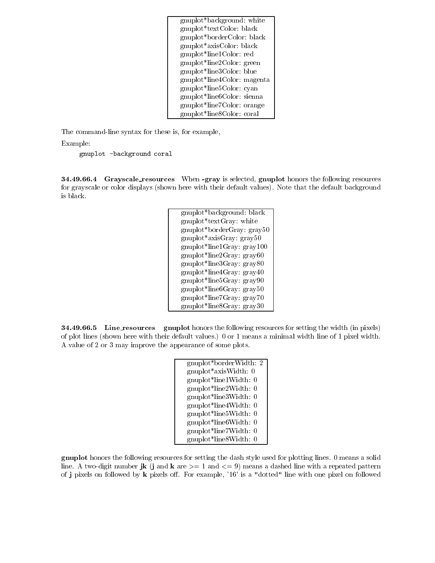| gnuplot*background: white   |
|-----------------------------|
| gnuplot*textColor: black    |
| gnuplot*borderColor: black  |
| gnuplot*axisColor: black    |
| gnuplot*line1Color: red     |
| gnuplot*line2Color: green   |
| gnuplot*line3Color: blue    |
| gnuplot*line4Color: magenta |
| gnuplot*line5Color: cyan    |
| gnuplot*line6Color: sienna  |
| gnuplot*line7Color: orange  |
| gnuplot*line8Color: coral   |

The command-line syntax for these is, for example,

Example:

```
gnuplot -background coral
```
34.49.66.4 Grayscale\_resources When -gray is selected, gnuplot honors the following resources for grayscale or color displays (shown here with their default values). Note that the default background is black.

> gnuplot\*background: black gnuplot\*textGray: white gnuplot\*borderGray: gray50 gnuplot\*axisGray: gray50 gnuplot\*line1Gray: gray100 gnuplot\*line2Gray: gray60 gnuplot\*line3Gray: gray80 gnuplot\*line4Gray: gray40 gnuplot\*line5Gray: gray90 gnuplot\*line6Gray: gray50 gnuplot\*line7Gray: gray70 gnuplot\*line8Gray: gray30

34.49.66.5 Line resources gnuplot honors the following resources for setting the width (in pixels) of plot lines (shown here with their default values.) 0 or 1 means a minimal width line of 1 pixel width. A value of 2 or 3 may improve the appearance of some plots.

| $gnuplot*borderWidth: 2$ |  |
|--------------------------|--|
| gnuplot*axisWidth: 0     |  |
| gnuplot*line1Width: 0    |  |
| gnuplot*line2Width: 0    |  |
| gnuplot*line3Width: 0    |  |
| gnuplot*line4Width: 0    |  |
| gnuplot*line5Width: 0    |  |
| $gnuplot*line6Width: 0$  |  |
| gnuplot*line7Width: 0    |  |
| gnuplot*line8Width: 0    |  |

gnuplot honors the following resources for setting the dash style used for plotting lines. 0 means a solid line. A two-digit number jk (j and k are  $>= 1$  and  $<= 9$ ) means a dashed line with a repeated pattern of j pixels on followed by  $k$  pixels off. For example, '16' is a "dotted" line with one pixel on followed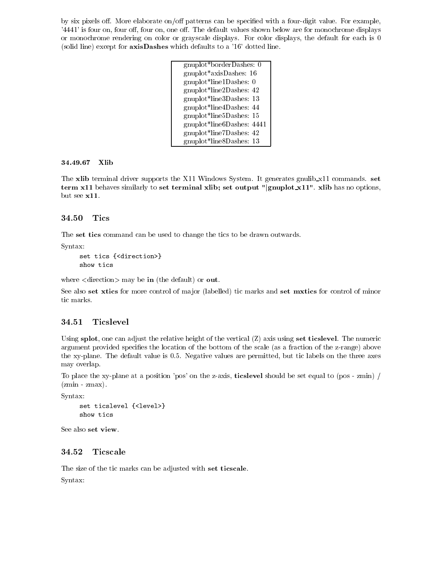by six pixels off. More elaborate on/off patterns can be specified with a four-digit value. For example, '4441' is four on, four off, four on, one off. The default values shown below are for monochrome displays or monochrome rendering on color or grayscale displays. For color displays, the default for each is 0 (solid line) except for axisDashes which defaults to a '16' dotted line.

> gnuplot\*borderDashes: 0 gnuplot\*axisDashes: 16 gnuplot\*line1Dashes: 0 gnuplot\*line2Dashes: 42 gnuplot\*line3Dashes: 13 gnuplot\*line4Dashes: 44 gnuplot\*line5Dashes: 15 gnuplot\*line6Dashes: 4441 gnuplot\*line7Dashes: 42 gnuplot\*line8Dashes: 13

# 34.49.67 Xlib

The xlib terminal driver supports the X11 Windows System. It generates gnulib x11 commands. set term x11 behaves similarly to set terminal xlib; set output "gnuplot\_x11". xlib has no options, but see x11.

#### 34.50  $\mathrm{Tics}$

The set tics command can be used to change the tics to be drawn outwards.

Syntax:

```
set tics {<direction>}
show tics
```
where  $\langle$  direction $\rangle$  may be in (the default) or out.

See also set xtics for more control of major (labelled) tic marks and set mxtics for control of minor tic marks.

# 34.51 Ticslevel

Using splot, one can adjust the relative height of the vertical (Z) axis using set ticslevel. The numeric argument provided species the location of the bottom of the scale (as a fraction of the z-range) above the xy-plane. The default value is 0.5. Negative values are permitted, but tic labels on the three axes may overlap.

To place the xy-plane at a position 'pos' on the z-axis, ticslevel should be set equal to (pos - zmin) / (zmin - zmax).

Syntax:

```
set ticslevel {<level>}
show tics
```
See also set view.

The size of the tic marks can be adjusted with set ticscale. Syntax: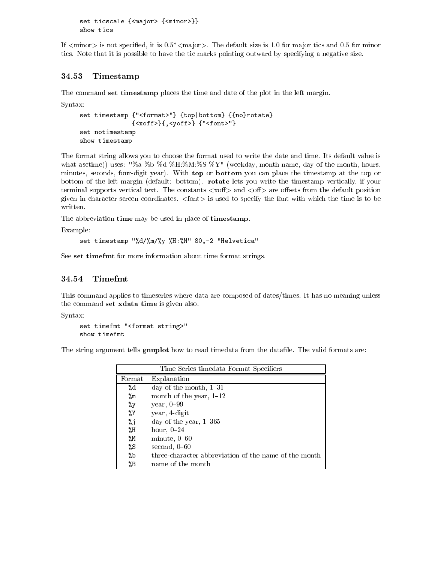set ticscale {<major> {<minor>}} show tics

If  $\leq$  minor  $\geq$  is not specified, it is 0.5<sup>\*</sup> $\leq$  major  $\geq$ . The default size is 1.0 for major tics and 0.5 for minor tics. Note that it is possible to have the tic marks pointing outward by specifying a negative size.

#### 34.53  ${\rm Times} \$

The command set timestamp places the time and date of the plot in the left margin.

Syntax:

```
set timestamp {"<format>"} {top|bottom} {{no}rotate}
              {<xoff>}{,<yoff>} {"<font>"}
set notimestamp
show timestamp
```
The format string allows you to choose the format used to write the date and time. Its default value is what asctime() uses: "%a %b %d %H:%M:%S %Y" (weekday, month name, day of the month, hours, minutes, seconds, four-digit year). With top or bottom you can place the timestamp at the top or bottom of the left margin (default: bottom). rotate lets you write the timestamp vertically, if your terminal supports vertical text. The constants  $\langle x \circ f \rangle$  and  $\langle \circ f \rangle$  are offsets from the default position given in character screen coordinates. <font> is used to specify the font with which the time is to be written.

The abbreviation time may be used in place of timestamp.

Example:

set timestamp "%d/%m/%y %H:%M" 80,-2 "Helvetica"

See set time fint for more information about time format strings.

#### 34.54 Timefmt

This command applies to timeseries where data are composed of dates/times. It has no meaning unless the command set xdata time is given also.

Syntax:

```
set timefmt "<format string>"
show timefmt
```
The string argument tells **gnuplot** how to read timedata from the datafile. The valid formats are:

|        | Time Series timedata Format Specifiers                |
|--------|-------------------------------------------------------|
| Format | Explanation                                           |
| %d     | day of the month, $1-31$                              |
| %m     | month of the year, $1-12$                             |
| %y     | year, $0-99$                                          |
| %Y     | year, 4-digit                                         |
| %j     | day of the year, $1-365$                              |
| %H     | hour, $0-24$                                          |
| %Μ     | minute, $0-60$                                        |
| %S     | second, $0-60$                                        |
| %b     | three-character abbreviation of the name of the month |
| %В     | name of the month                                     |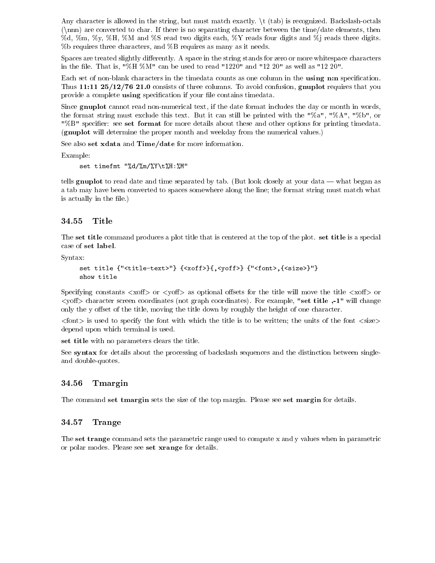Any character is allowed in the string, but must match exactly.  $\{t \cdot (tab) \text{ is recognized. Backslash-octals} \}$  $(\n\tanh)$  are converted to char. If there is no separating character between the time/date elements, then %d, %m, %y, %H, %M and %S read two digits each, %Y reads four digits and %j reads three digits. %b requires three characters, and %B requires as many as it needs.

Spaces are treated slightly differently. A space in the string stands for zero or more whitespace characters in the file. That is, "%H %M" can be used to read "1220" and "12 20" as well as "12 20".

Each set of non-blank characters in the timedata counts as one column in the using n:n specification. Thus 11:11 25/12/76 21.0 consists of three columns. To avoid confusion, gnuplot requires that you provide a complete **using** specification if your file contains timedata.

Since gnuplot cannot read non-numerical text, if the date format includes the day or month in words, the format string must exclude this text. But it can still be printed with the "%a", "%A", "%b", or "%B" specier: see set format for more details about these and other options for printing timedata. (gnuplot will determine the proper month and weekday from the numerical values.)

See also set xdata and Time/date for more information.

Example:

set timefmt "%d/%m/%Y\t%H:%M"

tells gnuplot to read date and time separated by tab. (But look closely at your data — what began as a tab may have been converted to spaces somewhere along the line; the format string must match what is actually in the file.)

The set title command produces a plot title that is centered at the top of the plot. set title is a special case of set label.

Syntax:

```
set title {"<title-text>"} {<xoff>}{,<yoff>} {"<font>,{<size>}"}
show title
```
Specifying constants  $\langle x \circ f \rangle$  or  $\langle y \circ f \rangle$  as optional offsets for the title will move the title  $\langle x \circ f \rangle$  or  $\langle \text{yoff}\rangle$  character screen coordinates (not graph coordinates). For example, "set title  $, -1$ " will change only the y offset of the title, moving the title down by roughly the height of one character.

 $\lt$  font  $>$  is used to specify the font with which the title is to be written; the units of the font  $\lt$  size  $>$ depend upon which terminal is used.

set title with no parameters clears the title.

See syntax for details about the processing of backslash sequences and the distinction between singleand double-quotes.

# 34.56 Tmargin

The command set tmargin sets the size of the top margin. Please see set margin for details.

# 34.57 Trange

The set trange command sets the parametric range used to compute x and y values when in parametric or polar modes. Please see set xrange for details.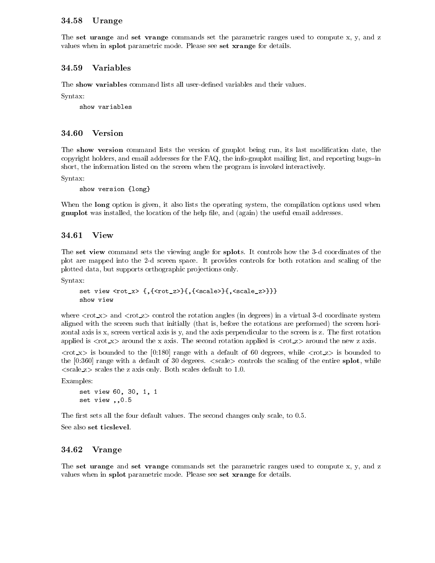# 34.58 Urange

The set urange and set vrange commands set the parametric ranges used to compute x,  $y$ , and z values when in splot parametric mode. Please see set xrange for details.

#### **Variables** 34.59

The show variables command lists all user-defined variables and their values.

Syntax:

show variables

#### 34.60 **Version**

The show version command lists the version of gnuplot being run, its last modification date, the copyright holders, and email addresses for the  $FAQ$ , the info-gnuplot mailing list, and reporting bugs-in short, the information listed on the screen when the program is invoked interactively.

Syntax:

show version {long}

When the **long** option is given, it also lists the operating system, the compilation options used when **gnuplot** was installed, the location of the help file, and (again) the useful email addresses.

The set view command sets the viewing angle for splots. It controls how the 3-d coordinates of the plot are mapped into the 2-d screen space. It provides controls for both rotation and scaling of the plotted data, but supports orthographic projections only.

Syntax:

```
set view <rot x> {,{<rot z>}{,{<scale>}{,<scale z>}}}
show view
```
where  $\langle \text{rot}\, x \rangle$  and  $\langle \text{rot}\, z \rangle$  control the rotation angles (in degrees) in a virtual 3-d coordinate system aligned with the screen such that initially (that is, before the rotations are performed) the screen horizontal axis is x, screen vertical axis is y, and the axis perpendicular to the screen is z. The first rotation applied is  $\langle \text{rot}_x \rangle$  around the x axis. The second rotation applied is  $\langle \text{rot}_x \rangle$  around the new z axis.

 $\langle \text{rot} \times \rangle$  is bounded to the [0:180] range with a default of 60 degrees, while  $\langle \text{rot} \times \rangle$  is bounded to the  $[0:360]$  range with a default of 30 degrees.  $\langle$ scale $\rangle$  controls the scaling of the entire splot, while  $\langle \text{scale}_z \rangle$  scales the z axis only. Both scales default to 1.0.

Examples:

set view 60, 30, 1, 1 set view ,,0.5

The first sets all the four default values. The second changes only scale, to 0.5.

See also set ticslevel.

## 34.62 Vrange

The set urange and set vrange commands set the parametric ranges used to compute x, y, and z values when in splot parametric mode. Please see set xrange for details.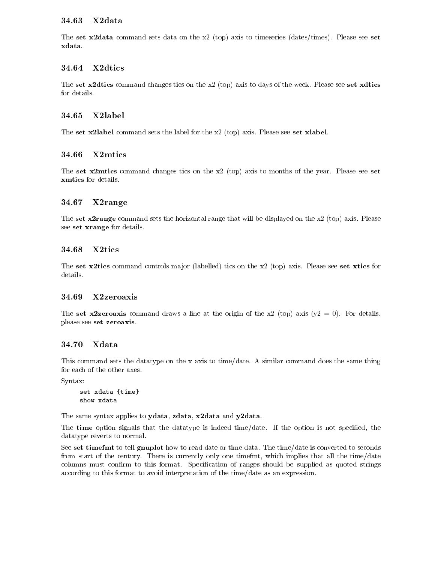The set x2data command sets data on the  $x2$  (top) axis to timeseries (dates/times). Please see set xdata.

#### X2dtics 34.64

The set  $x2d$ tics command changes tics on the  $x2$  (top) axis to days of the week. Please see set  $xdt$ ics for details.

#### 34.65 X2label 34.65

The set  $x2$  label command sets the label for the  $x2$  (top) axis. Please see set xlabel.

#### X2mtics 34.66

The set x2mtics command changes tics on the  $x2$  (top) axis to months of the year. Please see set xmtics for details.

# 34.67 X2range

The set x2range command sets the horizontal range that will be displayed on the x2 (top) axis. Please see set xrange for details.

#### 34.68 X<sub>2</sub>tics

The set x2tics command controls major (labelled) tics on the  $x2$  (top) axis. Please see set xtics for details.

#### 34.69 34.69 X2zeroaxis

The set x2zeroaxis command draws a line at the origin of the x2 (top) axis ( $y^2 = 0$ ). For details, please see set zeroaxis.

This command sets the datatype on the x axis to time/date. A similar command does the same thing for each of the other axes.

Syntax:

```
set xdata {time}
show xdata
```
The same syntax applies to ydata, zdata, x2data and y2data.

The time option signals that the datatype is indeed time/date. If the option is not specified, the datatype reverts to normal.

See set timefmt to tell gnuplot how to read date or time data. The time/date is converted to seconds from start of the century. There is currently only one timefmt, which implies that all the time/date columns must confirm to this format. Specification of ranges should be supplied as quoted strings according to this format to avoid interpretation of the time/date as an expression.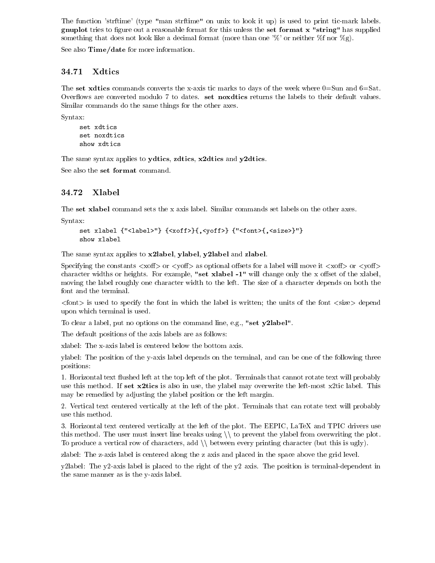The function 'strftime' (type "man strftime" on unix to look itup) is used to print tic-mark labels. **gnuplot** tries to figure out a reasonable format for this unless the set format x "string" has supplied something that does not look like a decimal format (more than one  $\%$ ) or neither  $\%$  nor  $\%$ g).

See also Time/date for more information.

#### 34.71 Xdtics

The set xdtics commands converts the x-axis tic marks to days of the week where  $0=Sum$  and  $6=Sat$ . Overflows are converted modulo 7 to dates. set noxities returns the labels to their default values. Similar commands do the same things for the other axes.

Syntax:

```
set xdtics
set noxdtics
show xdtics
```
The same syntax applies to ydtics, zdtics, x2dtics and y2dtics.

See also the set format command.

# 34.72 Xlabel

The set xlabel command sets the x axis label. Similar commands set labels on the other axes.

Syntax:

```
set xlabel {"<label>"} {<xoff>}{,<yoff>} {"<font>{,<size>}"}
show xlabel
```
The same syntax applies to x2label, ylabel, y2label and zlabel.

Specifying the constants  $\langle \times \text{soft}\rangle$  or  $\langle \text{yoff}\rangle$  as optional offsets for a label will move it  $\langle \times \text{soft}\rangle$  or  $\langle \text{yoff}\rangle$ character widths or heights. For example, "set xlabel -1" will change only the x offset of the xlabel, moving the label roughly one character width to the left. The size of a character depends on both the font and the terminal.

 $\leq$  font  $>$  is used to specify the font in which the label is written; the units of the font  $\leq$  size  $\geq$  depend upon which terminal is used.

To clear a label, put no options on the command line, e.g., "set y2label".

The default positions of the axis labels are as follows:

xlabel: The x-axis label is centered below the bottom axis.

ylabel: The position of the y-axis label depends on the terminal, and can be one of the following three positions:

1. Horizontal text flushed left at the top left of the plot. Terminals that cannot rotate text will probably use this method. If set  $x2tics$  is also in use, the ylabel may overwrite the left-most  $x2t$  ic label. This may be remedied by adjusting the ylabel position or the left margin.

2. Vertical text centered vertically at the left of the plot. Terminals that can rotate text will probably use this method.

3. Horizontal text centered vertically at the left of the plot. The EEPIC, LaTeX and TPIC drivers use this method. The user must insert line breaks using  $\setminus$  to prevent the ylabel from overwriting the plot. To produce a vertical row of characters, add  $\setminus$  between every printing character (but this is ugly).

zlabel: The z-axis label is centered along the z axis and placed in the space above the grid level.

y2label: The y2-axis label is placed to the right of the y2 axis. The position is terminal-dependent in the same manner as is the y-axis label.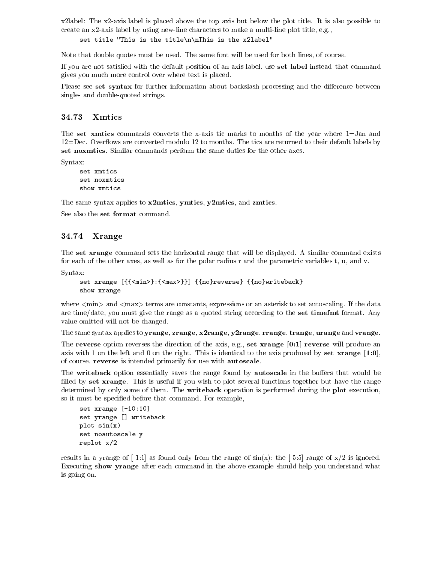x2label: The x2-axis label is placed above the top axis but below the plot title. It is also possible to create an  $x^2$ -axis label by using new-line characters to make a multi-line plot title, e.g.,

set title "This is the title\n\nThis is the x2label"

Note that double quotes must be used. The same font will be used for both lines, of course.

If you are not satisfied with the default position of an axis label, use set label instead-that command gives you much more control over where text is placed.

Please see set syntax for further information about backslash processing and the difference between single- and double-quoted strings.

# 34.73 Xmtics

The set xmtics commands converts the x-axis tic marks to months of the year where 1=Jan and 12=Dec. Overflows are converted modulo 12 to months. The tics are returned to their default labels by set noxmtics. Similar commands perform the same duties for the other axes.

Syntax:

```
set xmtics
set noxmtics
show xmtics
```
The same syntax applies to x2mtics, ymtics, y2mtics, and zmtics.

See also the set format command.

## 34.74 Xrange

The set xrange command sets the horizontal range that will be displayed. A similar command exists for each of the other axes, as well as for the polar radius r and the parametric variables t, u, and v.

Syntax:

```
set xrange [\{\{\text{min}\}\:\:\:\{\text{max}\}\}\] \{\{\text{no}\}\:\text{reverse}\}\ \{\{\text{no}\}\:\text{writeback}\}show xrange
```
where  $\langle \text{min} \rangle$  and  $\langle \text{max} \rangle$  terms are constants, expressions or an asterisk to set autoscaling. If the data are time/date, you must give the range as a quoted string according to the set timefmt format. Any value omitted will not be changed.

The same syntax applies to yrange, zrange, x2range, y2range, rrange, trange, urange and vrange.

The reverse option reverses the direction of the axis, e.g., set xrange [0:1] reverse will produce an axis with 1 on the left and 0 on the right. This is identical to the axis produced by set xrange  $[1:0]$ , of course. reverse is intended primarily for use with autoscale.

The writeback option essentially saves the range found by autoscale in the buffers that would be filled by set xrange. This is useful if you wish to plot several functions together but have the range determined by only some of them. The writeback operation is performed during the plot execution, so it must be specied before that command. For example,

```
set xrange [-10:10]
set yrange [] writeback
plot sin(x)
set noautoscale y
replot x/2
```
results in a yrange of  $[-1:1]$  as found only from the range of  $\sin(x)$ ; the  $[-5:5]$  range of  $x/2$  is ignored. Executing show yrange after each command in the above example should help you understand what is going on.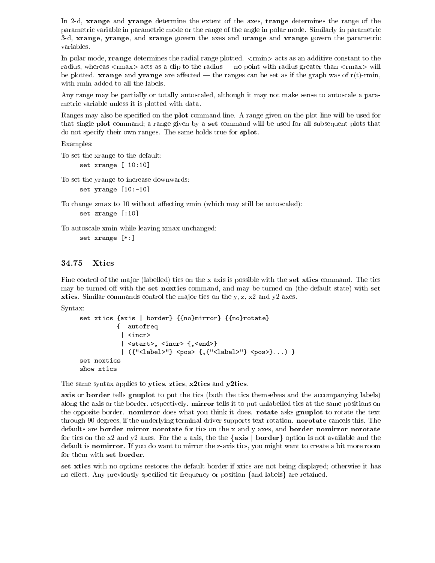In 2-d, xrange and yrange determine the extent of the axes, trange determines the range of the parametric variable in parametric mode or the range of the angle in polar mode. Similarly in parametric 3-d, xrange, yrange, and zrange govern the axes and urange and vrange govern the parametric variables.

In polar mode, **rrange** determines the radial range plotted.  $\langle \text{rmin} \rangle$  acts as an additive constant to the radius, whereas  $\langle$ rmax $\rangle$  acts as a clip to the radius — no point with radius greater than  $\langle$ rmax $\rangle$  will be plotted. **xrange** and **yrange** are affected — the ranges can be set as if the graph was of  $r(t)$ -rmin, with rmin added to all the labels.

Any range may be partially or totally autoscaled, although it may not make sense to autoscale a parametric variable unless it is plotted with data.

Ranges may also be specified on the **plot** command line. A range given on the plot line will be used for that single plot command; a range given by a set command will be used for all subsequent plots that do not specify their own ranges. The same holds true for splot.

Examples:

To set the xrange to the default:

set xrange [-10:10]

To set the yrange to increase downwards:

set yrange [10:-10]

To change zmax to 10 without affecting zmin (which may still be autoscaled):

```
set zrange [:10]
```
To autoscale xmin while leaving xmax unchanged:

```
set xrange [*:]
```
## 34.75

Fine control of the major (labelled) tics on the x axis is possible with the set xtics command. The tics may be turned off with the set noxtics command, and may be turned on (the default state) with set xtics. Similar commands control the major tics on the y, z, x2 and y2 axes.

Syntax:

```
set xtics {axis | border} {{no}mirror} {{no}rotate}
          { autofreq
           | <incr>
           | <start>, <incr> {,<end>}
           | ({"<label>"} <pos> {,{"<label>"} <pos>}...) }
set noxtics
show xtics
```
The same syntax applies to ytics, ztics, x2tics and y2tics.

axis or border tells gnuplot to put the tics (both the tics themselves and the accompanying labels) along the axis or the border, respectively. mirror tells it to put unlabelled tics at the same positions on the opposite border. nomirror does what you think it does. rotate asks gnuplot to rotate the text through 90 degrees, if the underlying terminal driver supports text rotation. norotate cancels this. The defaults are border mirror norotate for tics on the x and y axes, and border nomirror norotate for tics on the x2 and y2 axes. For the z axis, the the  $\{axis \mid border\}$  option is not available and the default is nomirror. If you do want to mirror the z-axis tics, you might want to create a bit more room for them with set border.

set xtics with no options restores the default border if xtics are not being displayed; otherwise it has no effect. Any previously specified tic frequency or position  $\{$ and labels $\}$  are retained.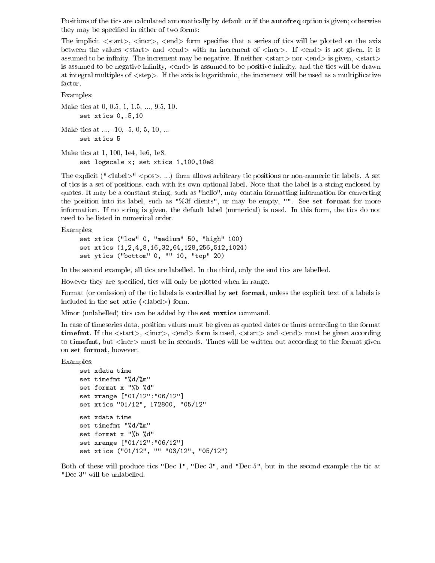Positions of the tics are calculated automatically by default or if the autofreq option is given; otherwise they may be specied in either of two forms:

The implicit  $\langle \text{start}\rangle$ ,  $\langle \text{incr}\rangle$ ,  $\langle \text{end}\rangle$  form specifies that a series of tics will be plotted on the axis between the values  $\langle$ start $\rangle$  and  $\langle$ end $\rangle$  with an increment of  $\langle$ incr $\rangle$ . If  $\langle$ end $\rangle$  is not given, it is assumed to be infinity. The increment may be negative. If neither  $\lt$ start $>$  nor  $\lt$ end $>$  is given,  $\lt$ start $>$ is assumed to be negative infinity,  $\langle end \rangle$  is assumed to be positive infinity, and the tics will be drawn at integral multiples of  $\langle \text{step}\rangle$ . If the axis is logarithmic, the increment will be used as a multiplicative factor.

Examples:

Make tics at 0, 0.5, 1, 1.5, ..., 9.5, 10. set xtics 0,.5,10 Make tics at ..., -10, -5, 0, 5, 10, ... set xtics 5 Make tics at 1, 100, 1e4, 1e6, 1e8. set logscale x; set xtics 1,100,10e8

The explicit  $("~~l~~ole)<sup>"</sup> <sup>1</sup> <sup>1</sup> <sup>2</sup> <sup>1</sup> <sup>2</sup> <sup>3</sup> <sup>1</sup> <sup>3</sup> <sup>3</sup> <sup>1</sup> <sup>3</sup> <sup>4</sup> <sup>3</sup> <sup>3</sup> <sup>4</sup> <sup>3</sup> <sup>4</sup> <sup>3</sup> <sup>4</sup> <sup>3</sup> <sup>4</sup> <sup>4</sup> <sup>4</sup> <sup>5</sup> <sup>4</sup> <sup>7</sup> <sup>4</sup>$ of tics is a set of positions, each with its own optional label. Note that the label is a string enclosed by quotes. It may be a constant string, such as "hello", may contain formatting information for converting the position into its label, such as "%3f clients", or may be empty, "". See set format for more information. If no string is given, the default label (numerical) is used. In this form, the tics do not need to be listed in numerical order.

Examples:

set xtics ("low" 0, "medium" 50, "high" 100) set xtics (1,2,4,8,16,32,64,128,256,512,1024) set ytics ("bottom" 0, "" 10, "top" 20)

In the second example, all tics are labelled. In the third, only the end tics are labelled.

However they are specied, tics will only be plotted when in range.

Format (or omission) of the tic labels is controlled by set format, unless the explicit text of a labels is included in the set xtic  $(\langle \text{label}\rangle)$  form.

Minor (unlabelled) tics can be added by the set mxtics command.

In case of timeseries data, position values must be given as quoted dates or times according to the format timefmt. If the  $\langle$ start $\rangle$ ,  $\langle$ incr $\rangle$ ,  $\langle$ end $\rangle$  form is used,  $\langle$ start $\rangle$  and  $\langle$ end $\rangle$  must be given according to time finity, but  $\langle$ incr $\rangle$  must be in seconds. Times will be written out according to the format given on set format, however.

Examples:

```
set xdata time
set timefmt "%d/%m"
set format x "%b %d"
set xrange ["01/12":"06/12"]
set xtics "01/12", 172800, "05/12"
set xdata time
set timefmt "%d/%m"
set format x "%b %d"
set xrange ["01/12":"06/12"]
set xtics ("01/12", "" "03/12", "05/12")
```
Both of these will produce tics "Dec 1", "Dec 3", and "Dec 5", but in the second example the tic at "Dec 3" will be unlabelled.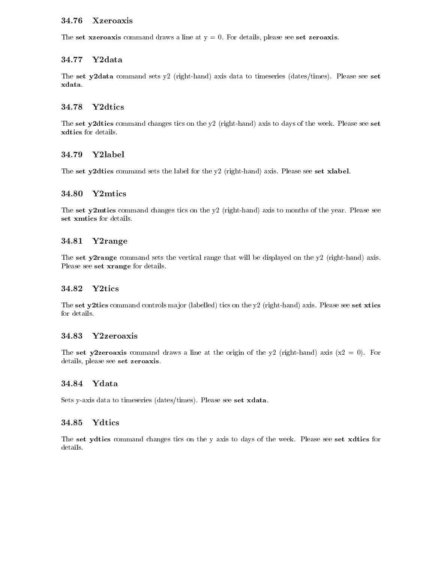## 34.76

The set xzeroaxis command draws a line at  $y = 0$ . For details, please see set zeroaxis.

#### Y2data 34.77

The set y2data command sets y2 (right-hand) axis data to timeseries (dates/times). Please see set xdata.

#### Y2dtics 34.78

The set y2dtics command changes tics on the y2 (right-hand) axis to days of the week. Please see set xdtics for details.

#### Y2label 34.79

The set y2dtics command sets the label for the y2 (right-hand) axis. Please see set xlabel.

#### 34.80 Y2mtics

The set y2mtics command changes tics on the y2 (right-hand) axis to months of the year. Please see set xmtics for details.

## 34.81 Y2range

The set y2range command sets the vertical range that will be displayed on the y2 (right-hand) axis. Please see set xrange for details.

## 34.82 Y2tics

The set y2tics command controls major (labelled) tics on the y2 (right-hand) axis. Please see set xtics for details.

# 34.83 Y2zeroaxis

The set y2zeroaxis command draws a line at the origin of the y2 (right-hand) axis  $(x2 = 0)$ . For details, please see set zeroaxis.

## 34.84 Ydata

Sets y-axis data to timeseries (dates/times). Please see set xdata.

## 34.85 Ydtics

The set ydtics command changes tics on the y axis to days of the week. Please see set xdtics for details.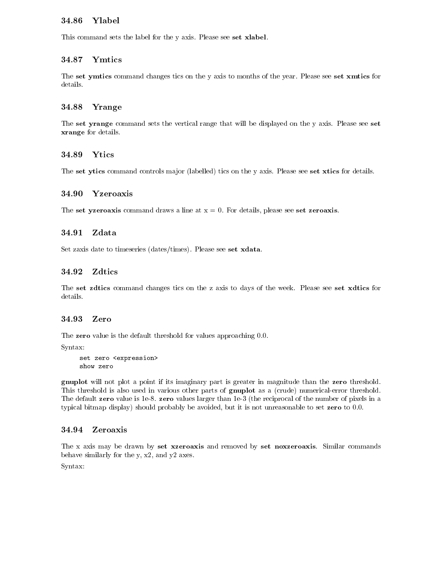This command sets the label for the y axis. Please see set xlabel.

#### Ymtics 34.87

The set ymtics command changes tics on the y axis to months of the year. Please see set xmtics for details.

#### 34.88 Yrange

The set yrange command sets the vertical range that will be displayed on the y axis. Please see set xrange for details.

#### 34.89 Ytics

The set ytics command controls major (labelled) tics on the y axis. Please see set xtics for details.

#### 34.90 Yzeroaxis

The set yzeroaxis command draws a line at  $x = 0$ . For details, please see set zeroaxis.

## 34.91 Zdata

Set zaxis date to timeseries (dates/times). Please see set xdata.

## 34.92 Zdtics

The set zdtics command changes tics on the z axis to days of the week. Please see set xdtics for

The zero value is the default threshold for values approaching 0.0.

Syntax:

```
set zero <expression>
show zero
```
gnuplot will not plot a point if its imaginary part is greater in magnitude than the zero threshold. This threshold is also used in various other parts of gnuplot as a (crude) numerical-error threshold. The default zero value is 1e-8. zero values larger than 1e-3 (the reciprocal of the number of pixels in a typical bitmap display) should probably be avoided, but it is not unreasonable to set zero to 0.0.

#### Zeroaxis 34.94

The x axis may be drawn by set xzeroaxis and removed by set noxzeroaxis. Similar commands behave similarly for the y, x2, and y2 axes.

Syntax: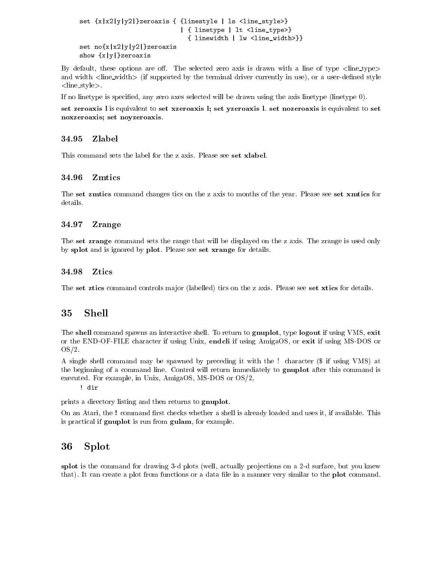```
set \{x|x2|y|y2|\}zeroaxis \{ {linestyle | ls <line_style>}
                            | { linetype | lt <line_type>}
                              { linewidth | lw <line_width>}}
set no{x|x2|y|y2|}zeroaxis
show {x|y|}zeroaxis
```
By default, these options are off. The selected zero axis is drawn with a line of type  $\langle$  line type $\rangle$ and width  $\langle$ line\_width $\rangle$  (if supported by the terminal driver currently in use), or a user-defined style  $\langle$ line\_style $\rangle$ .

If no linetype is specied, any zero axes selected will be drawn using the axis linetype (linetype 0).

set zeroaxis l is equivalent to set xzeroaxis l; set yzeroaxis l. set nozeroaxis is equivalent to set noxzeroaxis; set noyzeroaxis.

## 34.95

This command sets the label for the z axis. Please see set xlabel.

#### 34.96 **Zmtics**

The set zmtics command changes tics on the z axis to months of the year. Please see set xmtics for details.

#### 34.97  $\rm Zrange$

The set zrange command sets the range that will be displayed on the z axis. The zrange is used only by splot and is ignored by plot. Please see set xrange for details.

The set ztics command controls major (labelled) tics on the z axis. Please see set xtics for details.

#### 35Shell

The shell command spawns an interactive shell. To return to gnuplot, type logout if using VMS, exit or the END-OF-FILE character if using Unix, endcli if using AmigaOS, or exit if using MS-DOS or OS/2.

A single shell command may be spawned by preceding it with the ! character (\$ if using VMS) at the beginning of a command line. Control will return immediately to gnuplot after this command is executed. For example, in Unix, AmigaOS, MS-DOS or OS/2,

! dir

prints a directory listing and then returns to gnuplot.

On an Atari, the! command first checks whether a shell is already loaded and uses it, if available. This is practical if gnuplot is run from gulam, for example.

## 36Splot

splot is the command for drawing 3-d plots (well, actually projections on a 2-d surface, but you knew that). It can create a plot from functions or a data file in a manner very similar to the **plot** command.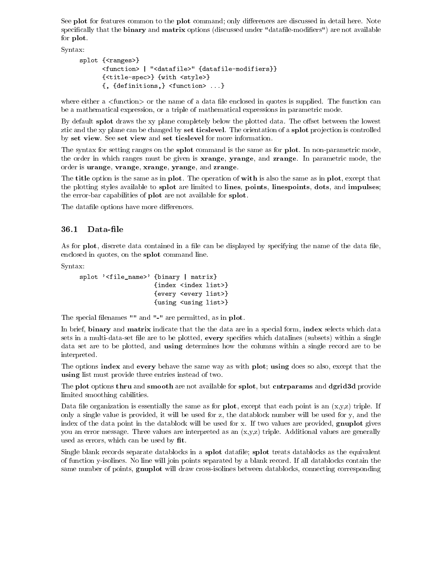See plot for features common to the plot command; only differences are discussed in detail here. Note specifically that the **binary** and **matrix** options (discussed under "datafile-modifiers") are not available for plot.

Syntax:

```
splot {<ranges>}
      <function> | "<datafile>" {datafile-modifiers}}
      {<title-spec>} {with <style>}
      {, {definitions,} <function> ...}
```
where either a  $\leq$  function $\geq$  or the name of a data file enclosed in quotes is supplied. The function can be a mathematical expression, or a triple of mathematical expressions in parametric mode.

By default splot draws the xy plane completely below the plotted data. The offset between the lowest ztic and the xy plane can be changed by set ticslevel. The orientation of a splot projection is controlled by set view. See set view and set ticslevel for more information.

The syntax for setting ranges on the **splot** command is the same as for **plot**. In non-parametric mode, the order in which ranges must be given is **xrange**, **yrange**, and **zrange**. In parametric mode, the order is urange, vrange, xrange, yrange, and zrange.

The title option is the same as in **plot**. The operation of with is also the same as in **plot**, except that the plotting styles available to splot are limited to lines, points, linespoints, dots, and impulses; the error-bar capabilities of plot are not available for splot.

The datafile options have more differences.

# 36.1 Data-file

As for plot, discrete data contained in a file can be displayed by specifying the name of the data file, enclosed in quotes, on the splot command line.

Syntax:

```
splot '<file_name>' {binary | matrix}
                    {index <index list>}
                    {every <every list>}
                    {using <using list>}
```
The special filenames "" and "-" are permitted, as in plot.

In brief, binary and matrix indicate that the the data are in a special form, index selects which data sets in a multi-data-set file are to be plotted, every specifies which datalines (subsets) within a single data set are to be plotted, and using determines how the columns within a single record are to be interpreted.

The options index and every behave the same way as with plot; using does so also, except that the using list must provide three entries instead of two.

The plot options thru and smooth are not available for splot, but cntrparams and dgrid3d provide limited smoothing cabilities.

Data file organization is essentially the same as for **plot**, except that each point is an  $(x,y,z)$  triple. If only a single value is provided, it will be used for z, the datablock number will be used for y, and the index of the data point in the datablock will be used for x. If two values are provided, gnuplot gives you an error message. Three values are interpreted as an  $(x,y,z)$  triple. Additional values are generally used as errors, which can be used by  $\text{fit}$ .

Single blank records separate datablocks in a **splot** datafile; **splot** treats datablocks as the equivalent of function y-isolines. No line will join points separated by a blank record. If all datablocks contain the same number of points, gnuplot will draw cross-isolines between datablocks, connecting corresponding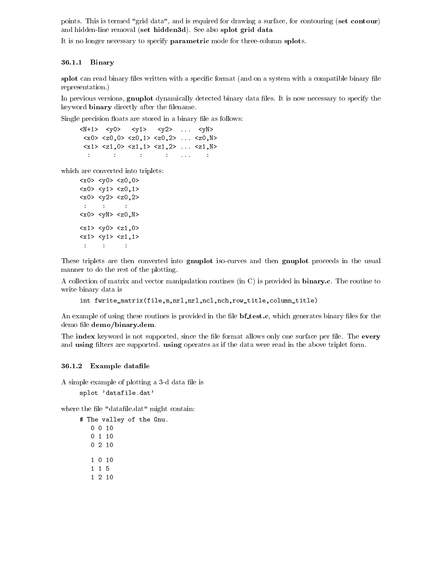points. This is termed "grid data", and is required for drawing a surface, for contouring (set contour) and hidden-line removal (set hidden3d). See also splot grid data

It is no longer necessary to specify parametric mode for three-column splots.

## 36.1.1 Binary

splot can read binary files written with a specific format (and on a system with a compatible binary file representation.)

In previous versions, gnuplot dynamically detected binary data files. It is now necessary to specify the keyword **binary** directly after the filename.

Single precision floats are stored in a binary file as follows:

 $\langle N+1 \rangle$   $\langle y0 \rangle$   $\langle y1 \rangle$   $\langle y2 \rangle$  ...  $\langle yN \rangle$  $\langle x0 \rangle \langle z0, 0 \rangle \langle z0, 1 \rangle \langle z0, 2 \rangle \dots \langle z0, N \rangle$  $\langle x1 \rangle \langle z1, 0 \rangle \langle z1, 1 \rangle \langle z1, 2 \rangle \ldots \langle z1, N \rangle$  $\label{eq:3.1} \begin{array}{ll} \mathbf{1} & \mathbf{1} & \mathbf{1} & \mathbf{1} & \mathbf{1} & \mathbf{1} & \mathbf{1} & \mathbf{1} & \mathbf{1} & \mathbf{1} & \mathbf{1} \\ \mathbf{1} & \mathbf{1} & \mathbf{1} & \mathbf{1} & \mathbf{1} & \mathbf{1} & \mathbf{1} & \mathbf{1} & \mathbf{1} & \mathbf{1} \\ \mathbf{1} & \mathbf{1} & \mathbf{1} & \mathbf{1} & \mathbf{1} & \mathbf{1} & \mathbf{1} & \mathbf{1} & \$ 

which are converted into triplets:

```
\langle x0 \rangle \langle y0 \rangle \langle z0,0 \rangle<x0> <y1> <x0,1>
\langle x0 \rangle \langle y2 \rangle \langle z0, 2 \rangle\mathbf{r} : \mathbf{r} : \mathbf{r} : \mathbf{r} :
<x0> <yN> <x0, N\langle x1 \rangle \langle \sqrt{0} \rangle \langle z1, 0 \rangle\langle x1 \rangle \langle y1 \rangle \langle z1, 1 \rangle: : :
```
These triplets are then converted into gnuplot iso-curves and then gnuplot proceeds in the usual manner to do the rest of the plotting.

A collection of matrix and vector manipulation routines (in C) is provided in binary.c. The routine to write binary data is

```
int fwrite_matrix(file,m,nrl,nrl,ncl,nch,row_title,column_title)
```
An example of using these routines is provided in the file **bf**\_test.c, which generates binary files for the demo file demo/binary.dem.

The index keyword is not supported, since the file format allows only one surface per file. The every and using filters are supported. using operates as if the data were read in the above triplet form.

## 36.1.2 Example datafile

A simple example of plotting a 3-d data file is

```
splot 'datafile.dat'
```
where the file "datafile.dat" might contain:

# The valley of the Gnu.  $0010$ 0 1 10 0 2 10  $1010$ 1 1 5 1 2 10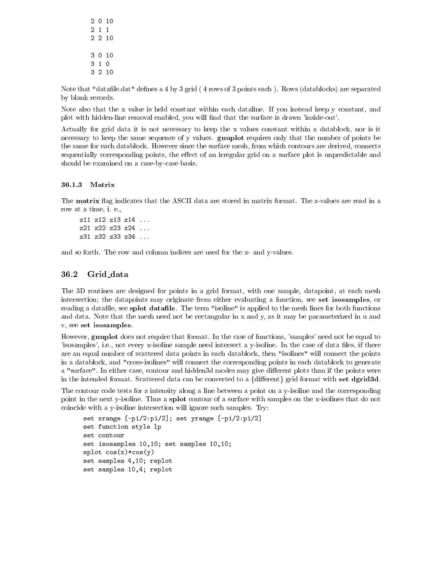3 0 10

Note that "datafile dat" defines a 4 by 3 grid (4 rows of 3 points each). Rows (datablocks) are separated by blank records.

Note also that the x value is held constant within each dataline. If you instead keep y constant, and plot with hidden-line removal enabled, you will find that the surface is drawn 'inside-out'.

Actually for grid data it is not necessary to keep the x values constant within a datablock, nor is it necessary to keep the same sequence of y values. gnuplot requires only that the number of points be the same for each datablock. However since the surface mesh, from which contours are derived, connects sequentially corresponding points, the effect of an irregular grid on a surface plot is unpredictable and should be examined on a case-by-case basis.

## 36.1.3 Matrix

The **matrix** flag indicates that the ASCII data are stored in matrix format. The z-values are read in a row at a time, i. e.,

z11 z12 z13 z14 ...  $z21$   $z22$   $z23$   $z24$  ... z31 z32 z33 z34 ...

and so forth. The row and column indices are used for the x- and y-values.

### 36.2 Grid\_data

The 3D routines are designed for points in a grid format, with one sample, datapoint, at each mesh intersection; the datapoints may originate from either evaluating a function, see set isosamples, or reading a datafile, see splot datafile. The term "isoline" is applied to the mesh lines for both functions and data. Note that the mesh need not be rectangular in x and y, as it may be parameterized in u and v, see set isosamples.

However, gnuplot does not require that format. In the case of functions, 'samples' need not be equal to 'isosamples', i.e., not every x-isoline sample need intersect a y-isoline. In the case of data files, if there are an equal number of scattered data points in each datablock, then "isolines" will connect the points in a datablock, and "cross-isolines" will connect the corresponding points in each datablock to generate a "surface". In either case, contour and hidden3d modes may give different plots than if the points were in the intended format. Scattered data can be converted to a {different} grid format with set dgrid3d.

The contour code tests for z intensity along a line between a point on a y-isoline and the corresponding point in the next y-isoline. Thus a splot contour of a surface with samples on the x-isolines that do not coincide with a y-isoline intersection will ignore such samples. Try:

```
set xrange [-pi/2:pi/2]; set yrange [-pi/2:pi/2]
set function style lp
set contour
set isosamples 10,10; set samples 10,10;
splot \cos(x)*cos(y)set samples 4,10; replot
set samples 10,4; replot
```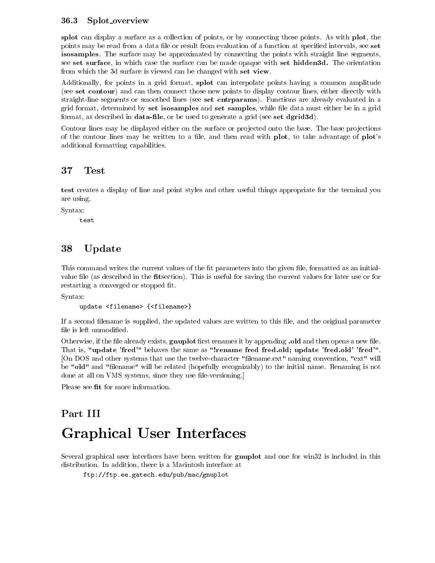## 36.3 Splot overview

splot can display a surface as a collection of points, or by connecting those points. As with plot, the points may be read from a data file or result from evaluation of a function at specified intervals, see set isosamples. The surface may be approximated by connecting the points with straight line segments, see set surface, in which case the surface can be made opaque with set hidden3d. The orientation from which the 3d surface is viewed can be changed with set view.

Additionally, for points in a grid format, splot can interpolate points having a common amplitude (see set contour) and can then connect those new points to display contour lines, either directly with straight-line segments or smoothed lines (see set cntrparams). Functions are already evaluated in a grid format, determined by set isosamples and set samples, while file data must either be in a grid format, as described in  $data-file$ , or be used to generate a grid (see set dgrid3d).

Contour lines may be displayed either on the surface or projected onto the base. The base projections of the contour lines may be written to a file, and then read with **plot**, to take advantage of **plot**'s additional formatting capabilities.

test creates a display of line and point styles and other useful things appropriate for the terminal you are using.

Syntax:

## 38Update

This command writes the current values of the fit parameters into the given file, formatted as an initialvalue file (as described in the fitsection). This is useful for saving the current values for later use or for restarting a converged or stopped fit.

Syntax:

update <filename> {<filename>}

If a second filename is supplied, the updated values are written to this file, and the original parameter file is left unmodified.

Otherwise, if the file already exists, gnuplot first renames it by appending old and then opens a new file. That is, "update 'fred'" behaves the same as "!rename fred fred.old; update 'fred.old' 'fred'". [On DOS and other systems that use the twelve-character "lename.ext" naming convention, "ext" will be "old" and "filename" will be related (hopefully recognizably) to the initial name. Renaming is not done at all on VMS systems, since they use file-versioning.]

Please see fit for more information.

# <u>Part III in the set of the set of the set of the set of the set of the set of the set of the set of the set of the set of the set of the set of the set of the set of the set of the set of the set of the set of the set of </u> Graphical User Interfaces in the User Interface Interfaces in the User Interface Interfaces in the USE Interface

Several graphical user interfaces have been written for gnuplot and one for win32 is included in this distribution. In addition, there is a Macintosh interface at

ftp://ftp.ee.gatech.edu/pub/mac/gnuplot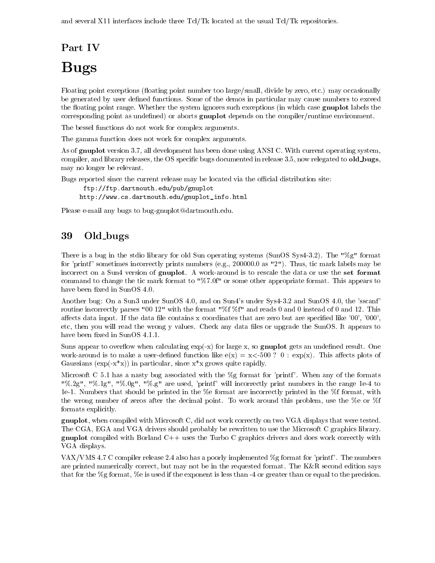# Bugs

Floating point exceptions (floating point number too large/small, divide by zero, etc.) may occasionally be generated by user defined functions. Some of the demos in particular may cause numbers to exceed the floating point range. Whether the system ignores such exceptions (in which case gnuplot labels the corresponding point as undefined) or aborts gnuplot depends on the compiler/runtime environment.

The bessel functions do not work for complex arguments.

The gamma function does not work for complex arguments.

As of gnuplot version 3.7, all development has been done using ANSI C. With current operating system, compiler, and library releases, the OS specific bugs documented in release 3.5, now relegated to old\_bugs, may no longer be relevant.

Bugs reported since the current release may be located via the official distribution site:

```
ftp://ftp.dartmouth.edu/pub/gnuplot
```
http://www.cs.dartmouth.edu/gnuplot\_info.html

Please e-mail any bugs to bug-gnuplot@dartmouth.edu.

## 39Old bugs

There is a bug in the stdio library for old Sun operating systems (SunOS Sys4-3.2). The "%g" format for 'printf' sometimes incorrectly prints numbers (e.g.,  $200000.0$  as "2"). Thus, tic mark labels may be incorrect on a Sun4 version of gnuplot. A work-around is to rescale the data or use the set format command to change the tic mark format to "%7.0f" or some other appropriate format. This appears to have been fixed in SunOS 4.0.

Another bug: On a Sun3 under SunOS 4.0, and on Sun4's under Sys4-3.2 and SunOS 4.0, the 'sscanf' routine incorrectly parses "00 12" with the format "%f %f" and reads 0 and 0 instead of 0 and 12. This affects data input. If the data file contains x coordinates that are zero but are specified like  $00', 000',$ etc, then you will read the wrong y values. Check any data files or upgrade the SunOS. It appears to have been fixed in SunOS 4.1.1.

Suns appear to overflow when calculating  $exp(-x)$  for large x, so gnuplot gets an undefined result. One work-around is to make a user-defined function like  $e(x) = x < -500$ ? 0:  $exp(x)$ . This affects plots of Gaussians  $(exp(-x^*x))$  in particular, since  $x^*x$  grows quite rapidly.

Microsoft C 5.1 has a nasty bug associated with the %g format for 'printf '. When any of the formats " $\%$ .2g", " $\%$ .1g", " $\%$ .0g", " $\%$ .g" are used, 'printf' will incorrectly print numbers in the range 1e-4 to 1e-1. Numbers that should be printed in the %e format are incorrectly printed in the %f format, with the wrong number of zeros after the decimal point. To work around this problem, use the %e or %f formats explicitly.

gnuplot, when compiled with Microsoft C, did not work correctly on two VGA displays that were tested. The CGA, EGA and VGA drivers should probably be rewritten to use the Microsoft C graphics library. gnuplot compiled with Borland C++ uses the Turbo C graphics drivers and does work correctly with VGA displays.

VAX/VMS 4.7 C compiler release 2.4 also has a poorly implemented %g format for 'printf '. The numbers are printed numerically correct, but may not be in the requested format. The K&R second edition says that for the %g format, %e is used if the exponent is less than -4 or greater than or equal to the precision.